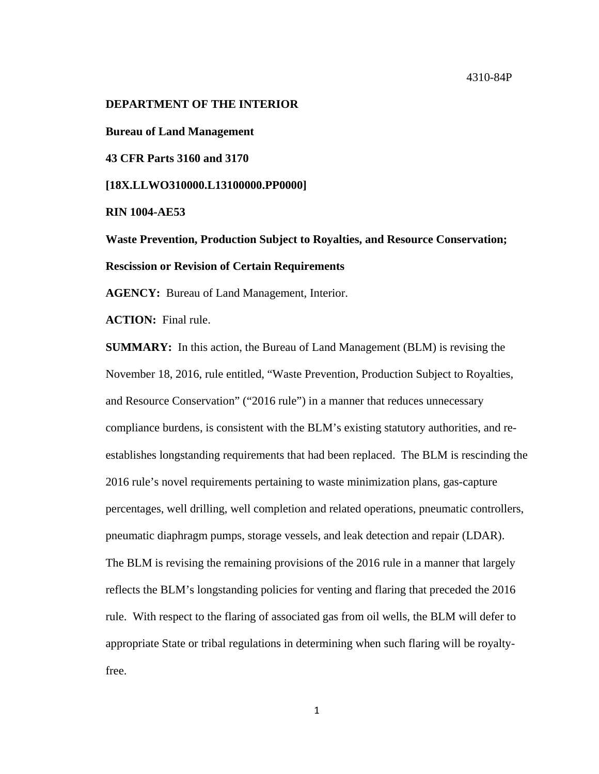### **DEPARTMENT OF THE INTERIOR**

**Bureau of Land Management**

**43 CFR Parts 3160 and 3170**

**[18X.LLWO310000.L13100000.PP0000]**

**RIN 1004-AE53**

**Waste Prevention, Production Subject to Royalties, and Resource Conservation; Rescission or Revision of Certain Requirements**

**AGENCY:** Bureau of Land Management, Interior.

**ACTION:** Final rule.

**SUMMARY:** In this action, the Bureau of Land Management (BLM) is revising the November 18, 2016, rule entitled, "Waste Prevention, Production Subject to Royalties, and Resource Conservation" ("2016 rule") in a manner that reduces unnecessary compliance burdens, is consistent with the BLM's existing statutory authorities, and reestablishes longstanding requirements that had been replaced. The BLM is rescinding the 2016 rule's novel requirements pertaining to waste minimization plans, gas-capture percentages, well drilling, well completion and related operations, pneumatic controllers, pneumatic diaphragm pumps, storage vessels, and leak detection and repair (LDAR). The BLM is revising the remaining provisions of the 2016 rule in a manner that largely reflects the BLM's longstanding policies for venting and flaring that preceded the 2016 rule. With respect to the flaring of associated gas from oil wells, the BLM will defer to appropriate State or tribal regulations in determining when such flaring will be royaltyfree.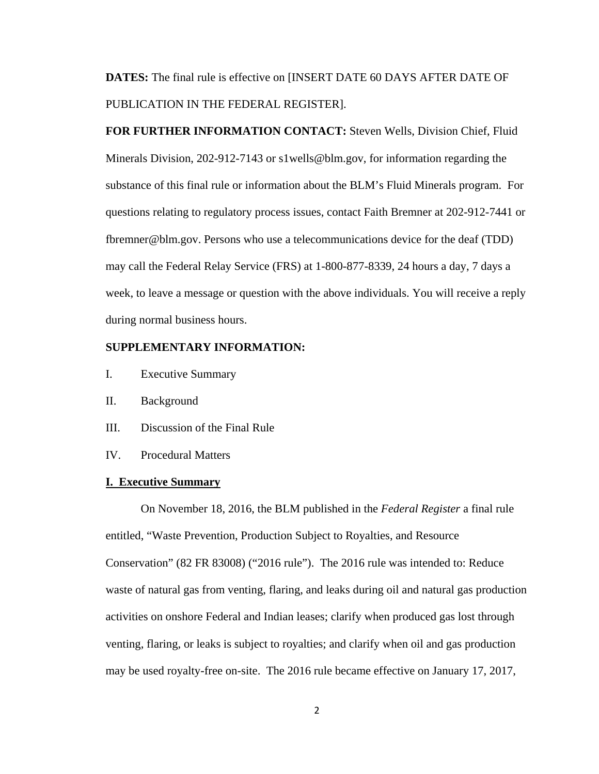**DATES:** The final rule is effective on [INSERT DATE 60 DAYS AFTER DATE OF PUBLICATION IN THE FEDERAL REGISTER].

**FOR FURTHER INFORMATION CONTACT:** Steven Wells, Division Chief, Fluid Minerals Division, 202-912-7143 or s1wells@blm.gov, for information regarding the substance of this final rule or information about the BLM's Fluid Minerals program. For questions relating to regulatory process issues, contact Faith Bremner at 202-912-7441 or fbremner@blm.gov. Persons who use a telecommunications device for the deaf (TDD) may call the Federal Relay Service (FRS) at 1-800-877-8339, 24 hours a day, 7 days a week, to leave a message or question with the above individuals. You will receive a reply during normal business hours.

## **SUPPLEMENTARY INFORMATION:**

- I. Executive Summary
- II. Background
- III. Discussion of the Final Rule
- IV. Procedural Matters

#### **I. Executive Summary**

On November 18, 2016, the BLM published in the *Federal Register* a final rule entitled, "Waste Prevention, Production Subject to Royalties, and Resource Conservation" (82 FR 83008) ("2016 rule"). The 2016 rule was intended to: Reduce waste of natural gas from venting, flaring, and leaks during oil and natural gas production activities on onshore Federal and Indian leases; clarify when produced gas lost through venting, flaring, or leaks is subject to royalties; and clarify when oil and gas production may be used royalty-free on-site. The 2016 rule became effective on January 17, 2017,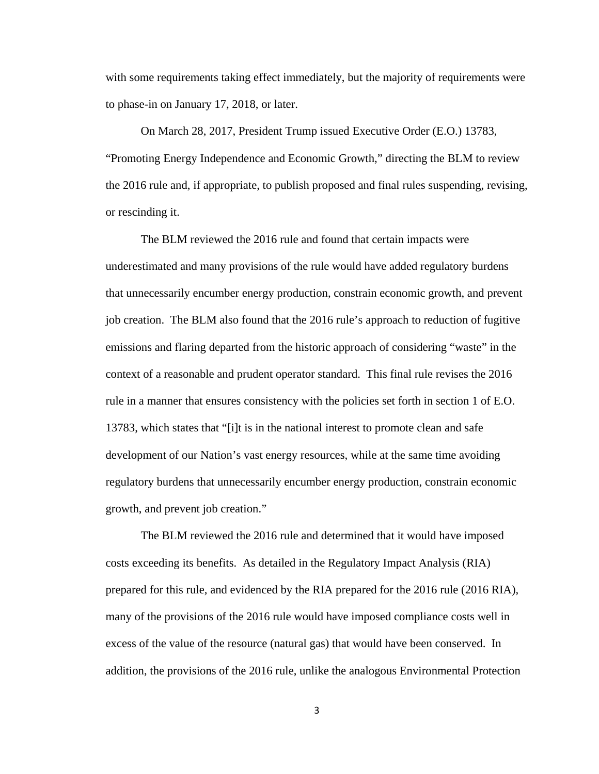with some requirements taking effect immediately, but the majority of requirements were to phase-in on January 17, 2018, or later.

On March 28, 2017, President Trump issued Executive Order (E.O.) 13783, "Promoting Energy Independence and Economic Growth," directing the BLM to review the 2016 rule and, if appropriate, to publish proposed and final rules suspending, revising, or rescinding it.

The BLM reviewed the 2016 rule and found that certain impacts were underestimated and many provisions of the rule would have added regulatory burdens that unnecessarily encumber energy production, constrain economic growth, and prevent job creation. The BLM also found that the 2016 rule's approach to reduction of fugitive emissions and flaring departed from the historic approach of considering "waste" in the context of a reasonable and prudent operator standard. This final rule revises the 2016 rule in a manner that ensures consistency with the policies set forth in section 1 of E.O. 13783, which states that "[i]t is in the national interest to promote clean and safe development of our Nation's vast energy resources, while at the same time avoiding regulatory burdens that unnecessarily encumber energy production, constrain economic growth, and prevent job creation."

The BLM reviewed the 2016 rule and determined that it would have imposed costs exceeding its benefits. As detailed in the Regulatory Impact Analysis (RIA) prepared for this rule, and evidenced by the RIA prepared for the 2016 rule (2016 RIA), many of the provisions of the 2016 rule would have imposed compliance costs well in excess of the value of the resource (natural gas) that would have been conserved. In addition, the provisions of the 2016 rule, unlike the analogous Environmental Protection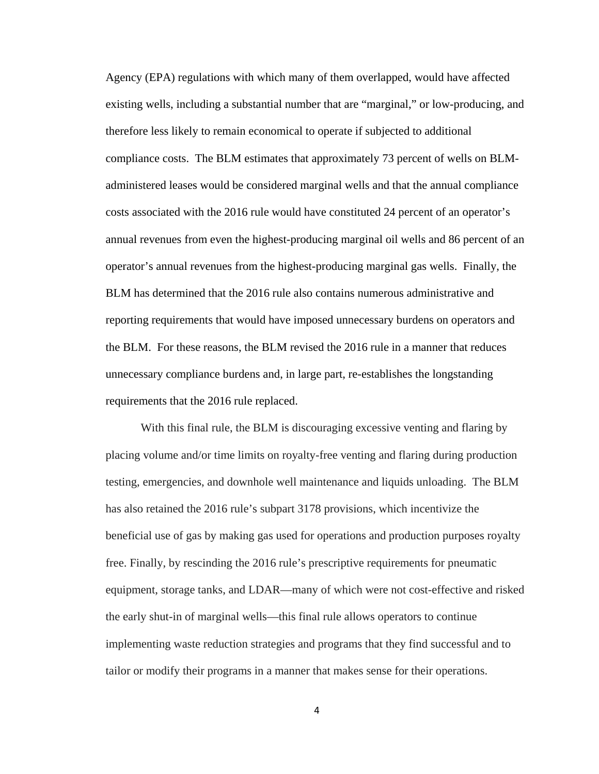Agency (EPA) regulations with which many of them overlapped, would have affected existing wells, including a substantial number that are "marginal," or low-producing, and therefore less likely to remain economical to operate if subjected to additional compliance costs. The BLM estimates that approximately 73 percent of wells on BLMadministered leases would be considered marginal wells and that the annual compliance costs associated with the 2016 rule would have constituted 24 percent of an operator's annual revenues from even the highest-producing marginal oil wells and 86 percent of an operator's annual revenues from the highest-producing marginal gas wells. Finally, the BLM has determined that the 2016 rule also contains numerous administrative and reporting requirements that would have imposed unnecessary burdens on operators and the BLM. For these reasons, the BLM revised the 2016 rule in a manner that reduces unnecessary compliance burdens and, in large part, re-establishes the longstanding requirements that the 2016 rule replaced.

With this final rule, the BLM is discouraging excessive venting and flaring by placing volume and/or time limits on royalty-free venting and flaring during production testing, emergencies, and downhole well maintenance and liquids unloading. The BLM has also retained the 2016 rule's subpart 3178 provisions, which incentivize the beneficial use of gas by making gas used for operations and production purposes royalty free. Finally, by rescinding the 2016 rule's prescriptive requirements for pneumatic equipment, storage tanks, and LDAR—many of which were not cost-effective and risked the early shut-in of marginal wells—this final rule allows operators to continue implementing waste reduction strategies and programs that they find successful and to tailor or modify their programs in a manner that makes sense for their operations.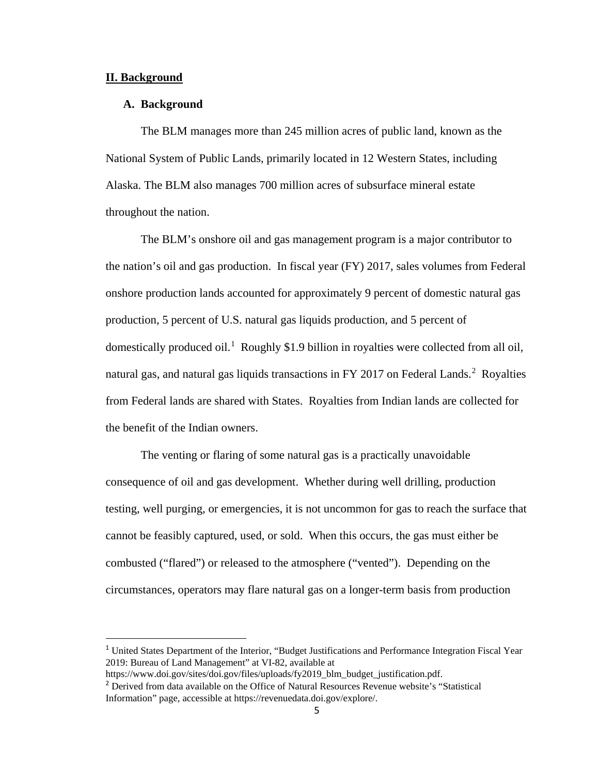## **II. Background**

## **A. Background**

The BLM manages more than 245 million acres of public land, known as the National System of Public Lands, primarily located in 12 Western States, including Alaska. The BLM also manages 700 million acres of subsurface mineral estate throughout the nation.

The BLM's onshore oil and gas management program is a major contributor to the nation's oil and gas production. In fiscal year (FY) 2017, sales volumes from Federal onshore production lands accounted for approximately 9 percent of domestic natural gas production, 5 percent of U.S. natural gas liquids production, and 5 percent of domestically produced oil.<sup>[1](#page-4-0)</sup> Roughly \$1.9 billion in royalties were collected from all oil, natural gas, and natural gas liquids transactions in FY [2](#page-4-1)017 on Federal Lands.<sup>2</sup> Royalties from Federal lands are shared with States. Royalties from Indian lands are collected for the benefit of the Indian owners.

The venting or flaring of some natural gas is a practically unavoidable consequence of oil and gas development. Whether during well drilling, production testing, well purging, or emergencies, it is not uncommon for gas to reach the surface that cannot be feasibly captured, used, or sold. When this occurs, the gas must either be combusted ("flared") or released to the atmosphere ("vented"). Depending on the circumstances, operators may flare natural gas on a longer-term basis from production

<span id="page-4-0"></span><sup>&</sup>lt;sup>1</sup> United States Department of the Interior, "Budget Justifications and Performance Integration Fiscal Year 2019: Bureau of Land Management" at VI-82, available at

https://www.doi.gov/sites/doi.gov/files/uploads/fy2019\_blm\_budget\_justification.pdf.

<span id="page-4-1"></span><sup>2</sup> Derived from data available on the Office of Natural Resources Revenue website's "Statistical Information" page, accessible at https://revenuedata.doi.gov/explore/.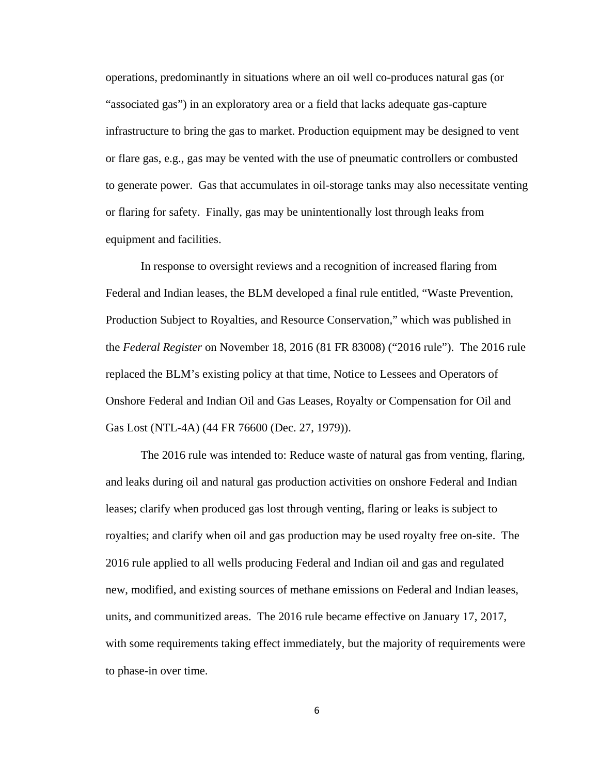operations, predominantly in situations where an oil well co-produces natural gas (or "associated gas") in an exploratory area or a field that lacks adequate gas-capture infrastructure to bring the gas to market. Production equipment may be designed to vent or flare gas, e.g., gas may be vented with the use of pneumatic controllers or combusted to generate power. Gas that accumulates in oil-storage tanks may also necessitate venting or flaring for safety. Finally, gas may be unintentionally lost through leaks from equipment and facilities.

In response to oversight reviews and a recognition of increased flaring from Federal and Indian leases, the BLM developed a final rule entitled, "Waste Prevention, Production Subject to Royalties, and Resource Conservation," which was published in the *Federal Register* on November 18, 2016 (81 FR 83008) ("2016 rule"). The 2016 rule replaced the BLM's existing policy at that time, Notice to Lessees and Operators of Onshore Federal and Indian Oil and Gas Leases, Royalty or Compensation for Oil and Gas Lost (NTL-4A) (44 FR 76600 (Dec. 27, 1979)).

The 2016 rule was intended to: Reduce waste of natural gas from venting, flaring, and leaks during oil and natural gas production activities on onshore Federal and Indian leases; clarify when produced gas lost through venting, flaring or leaks is subject to royalties; and clarify when oil and gas production may be used royalty free on-site. The 2016 rule applied to all wells producing Federal and Indian oil and gas and regulated new, modified, and existing sources of methane emissions on Federal and Indian leases, units, and communitized areas. The 2016 rule became effective on January 17, 2017, with some requirements taking effect immediately, but the majority of requirements were to phase-in over time.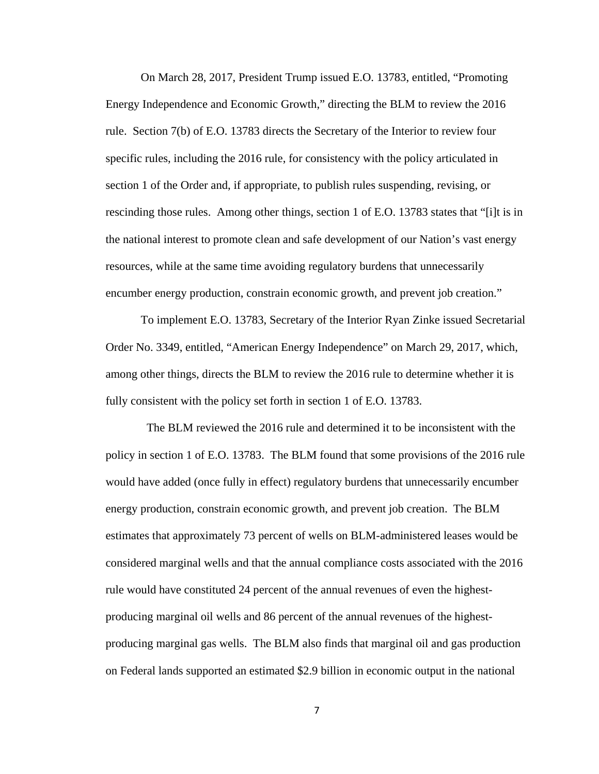On March 28, 2017, President Trump issued E.O. 13783, entitled, "Promoting Energy Independence and Economic Growth," directing the BLM to review the 2016 rule. Section 7(b) of E.O. 13783 directs the Secretary of the Interior to review four specific rules, including the 2016 rule, for consistency with the policy articulated in section 1 of the Order and, if appropriate, to publish rules suspending, revising, or rescinding those rules. Among other things, section 1 of E.O. 13783 states that "[i]t is in the national interest to promote clean and safe development of our Nation's vast energy resources, while at the same time avoiding regulatory burdens that unnecessarily encumber energy production, constrain economic growth, and prevent job creation."

To implement E.O. 13783, Secretary of the Interior Ryan Zinke issued Secretarial Order No. 3349, entitled, "American Energy Independence" on March 29, 2017, which, among other things, directs the BLM to review the 2016 rule to determine whether it is fully consistent with the policy set forth in section 1 of E.O. 13783.

The BLM reviewed the 2016 rule and determined it to be inconsistent with the policy in section 1 of E.O. 13783. The BLM found that some provisions of the 2016 rule would have added (once fully in effect) regulatory burdens that unnecessarily encumber energy production, constrain economic growth, and prevent job creation. The BLM estimates that approximately 73 percent of wells on BLM-administered leases would be considered marginal wells and that the annual compliance costs associated with the 2016 rule would have constituted 24 percent of the annual revenues of even the highestproducing marginal oil wells and 86 percent of the annual revenues of the highestproducing marginal gas wells. The BLM also finds that marginal oil and gas production on Federal lands supported an estimated \$2.9 billion in economic output in the national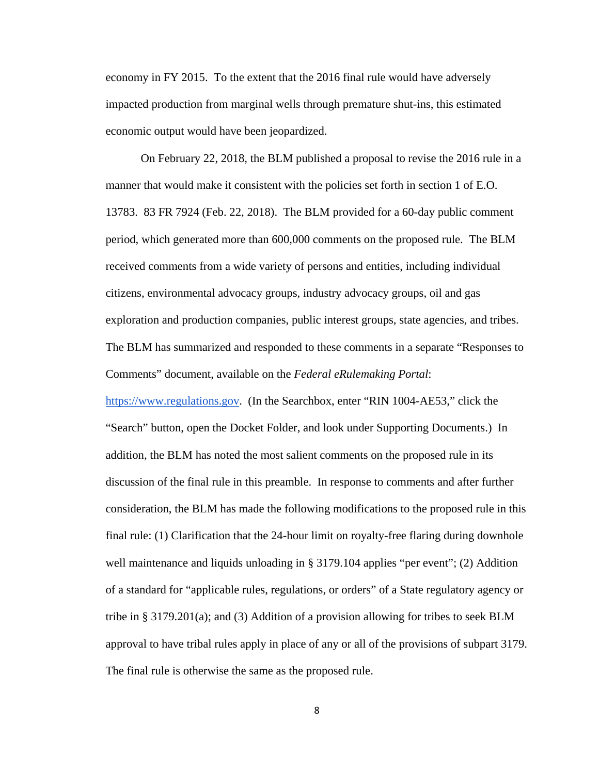economy in FY 2015. To the extent that the 2016 final rule would have adversely impacted production from marginal wells through premature shut-ins, this estimated economic output would have been jeopardized.

On February 22, 2018, the BLM published a proposal to revise the 2016 rule in a manner that would make it consistent with the policies set forth in section 1 of E.O. 13783. 83 FR 7924 (Feb. 22, 2018). The BLM provided for a 60-day public comment period, which generated more than 600,000 comments on the proposed rule. The BLM received comments from a wide variety of persons and entities, including individual citizens, environmental advocacy groups, industry advocacy groups, oil and gas exploration and production companies, public interest groups, state agencies, and tribes. The BLM has summarized and responded to these comments in a separate "Responses to Comments" document, available on the *Federal eRulemaking Portal*:

https://www.regulations.gov. (In the Searchbox, enter "RIN 1004-AE53," click the "Search" button, open the Docket Folder, and look under Supporting Documents.) In addition, the BLM has noted the most salient comments on the proposed rule in its discussion of the final rule in this preamble. In response to comments and after further consideration, the BLM has made the following modifications to the proposed rule in this final rule: (1) Clarification that the 24-hour limit on royalty-free flaring during downhole well maintenance and liquids unloading in § 3179.104 applies "per event"; (2) Addition of a standard for "applicable rules, regulations, or orders" of a State regulatory agency or tribe in § 3179.201(a); and (3) Addition of a provision allowing for tribes to seek BLM approval to have tribal rules apply in place of any or all of the provisions of subpart 3179. The final rule is otherwise the same as the proposed rule.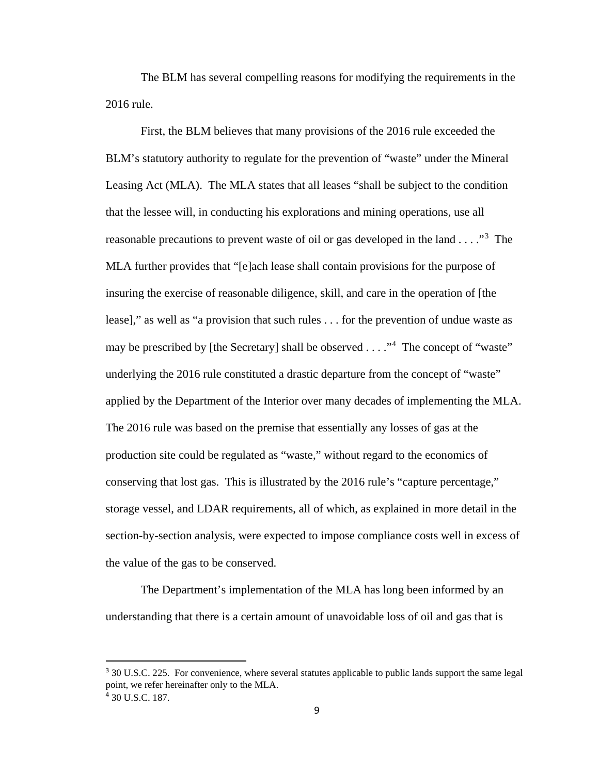The BLM has several compelling reasons for modifying the requirements in the 2016 rule.

First, the BLM believes that many provisions of the 2016 rule exceeded the BLM's statutory authority to regulate for the prevention of "waste" under the Mineral Leasing Act (MLA). The MLA states that all leases "shall be subject to the condition that the lessee will, in conducting his explorations and mining operations, use all reasonable precautions to prevent waste of oil or gas developed in the land . . . ."<sup>[3](#page-8-0)</sup> The MLA further provides that "[e]ach lease shall contain provisions for the purpose of insuring the exercise of reasonable diligence, skill, and care in the operation of [the lease]," as well as "a provision that such rules . . . for the prevention of undue waste as may be prescribed by [the Secretary] shall be observed  $\dots$ ."<sup>[4](#page-8-1)</sup> The concept of "waste" underlying the 2016 rule constituted a drastic departure from the concept of "waste" applied by the Department of the Interior over many decades of implementing the MLA. The 2016 rule was based on the premise that essentially any losses of gas at the production site could be regulated as "waste," without regard to the economics of conserving that lost gas. This is illustrated by the 2016 rule's "capture percentage," storage vessel, and LDAR requirements, all of which, as explained in more detail in the section-by-section analysis, were expected to impose compliance costs well in excess of the value of the gas to be conserved.

The Department's implementation of the MLA has long been informed by an understanding that there is a certain amount of unavoidable loss of oil and gas that is

<span id="page-8-1"></span><span id="page-8-0"></span><sup>&</sup>lt;sup>3</sup> 30 U.S.C. 225. For convenience, where several statutes applicable to public lands support the same legal point, we refer hereinafter only to the MLA. <sup>4</sup> 30 U.S.C. 187.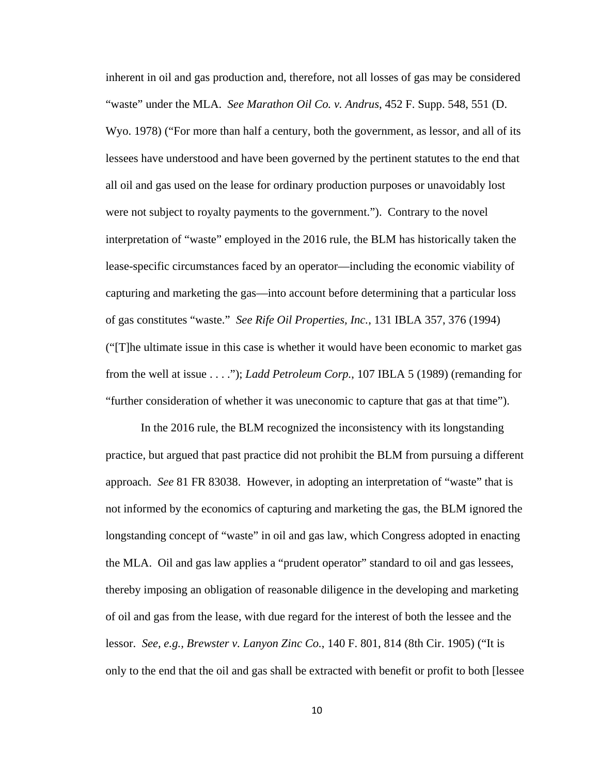inherent in oil and gas production and, therefore, not all losses of gas may be considered "waste" under the MLA. *See Marathon Oil Co. v. Andrus*, 452 F. Supp. 548, 551 (D. Wyo. 1978) ("For more than half a century, both the government, as lessor, and all of its lessees have understood and have been governed by the pertinent statutes to the end that all oil and gas used on the lease for ordinary production purposes or unavoidably lost were not subject to royalty payments to the government."). Contrary to the novel interpretation of "waste" employed in the 2016 rule, the BLM has historically taken the lease-specific circumstances faced by an operator—including the economic viability of capturing and marketing the gas—into account before determining that a particular loss of gas constitutes "waste." *See Rife Oil Properties, Inc.*, 131 IBLA 357, 376 (1994) ("[T]he ultimate issue in this case is whether it would have been economic to market gas from the well at issue . . . ."); *Ladd Petroleum Corp.*, 107 IBLA 5 (1989) (remanding for "further consideration of whether it was uneconomic to capture that gas at that time").

In the 2016 rule, the BLM recognized the inconsistency with its longstanding practice, but argued that past practice did not prohibit the BLM from pursuing a different approach. *See* 81 FR 83038. However, in adopting an interpretation of "waste" that is not informed by the economics of capturing and marketing the gas, the BLM ignored the longstanding concept of "waste" in oil and gas law, which Congress adopted in enacting the MLA. Oil and gas law applies a "prudent operator" standard to oil and gas lessees, thereby imposing an obligation of reasonable diligence in the developing and marketing of oil and gas from the lease, with due regard for the interest of both the lessee and the lessor. *See, e.g., Brewster v. Lanyon Zinc Co.*, 140 F. 801, 814 (8th Cir. 1905) ("It is only to the end that the oil and gas shall be extracted with benefit or profit to both [lessee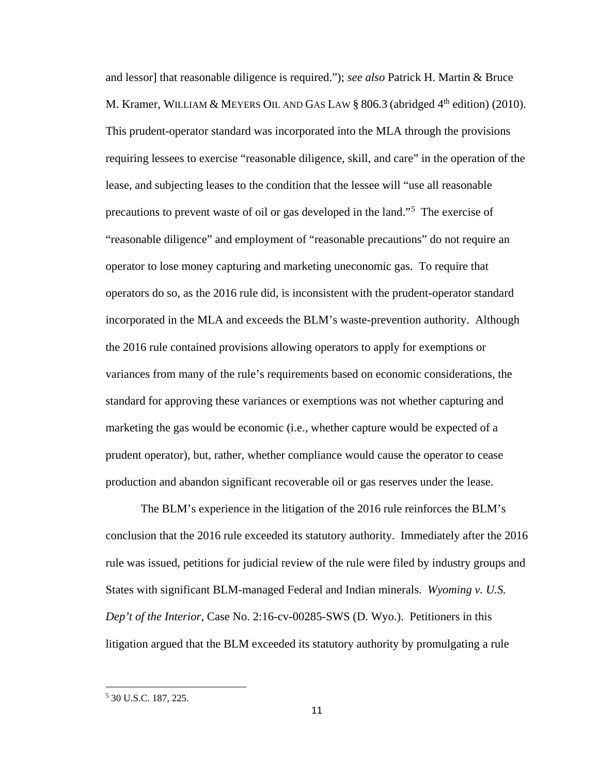and lessor] that reasonable diligence is required."); *see also* Patrick H. Martin & Bruce M. Kramer, WILLIAM & MEYERS OIL AND GAS LAW § 806.3 (abridged  $4<sup>th</sup>$  edition) (2010). This prudent-operator standard was incorporated into the MLA through the provisions requiring lessees to exercise "reasonable diligence, skill, and care" in the operation of the lease, and subjecting leases to the condition that the lessee will "use all reasonable precautions to prevent waste of oil or gas developed in the land."[5](#page-10-0) The exercise of "reasonable diligence" and employment of "reasonable precautions" do not require an operator to lose money capturing and marketing uneconomic gas. To require that operators do so, as the 2016 rule did, is inconsistent with the prudent-operator standard incorporated in the MLA and exceeds the BLM's waste-prevention authority. Although the 2016 rule contained provisions allowing operators to apply for exemptions or variances from many of the rule's requirements based on economic considerations, the standard for approving these variances or exemptions was not whether capturing and marketing the gas would be economic (i.e., whether capture would be expected of a prudent operator), but, rather, whether compliance would cause the operator to cease production and abandon significant recoverable oil or gas reserves under the lease.

The BLM's experience in the litigation of the 2016 rule reinforces the BLM's conclusion that the 2016 rule exceeded its statutory authority. Immediately after the 2016 rule was issued, petitions for judicial review of the rule were filed by industry groups and States with significant BLM-managed Federal and Indian minerals. *Wyoming v. U.S. Dep't of the Interior*, Case No. 2:16-cv-00285-SWS (D. Wyo.). Petitioners in this litigation argued that the BLM exceeded its statutory authority by promulgating a rule

l

<span id="page-10-0"></span><sup>5</sup> 30 U.S.C. 187, 225.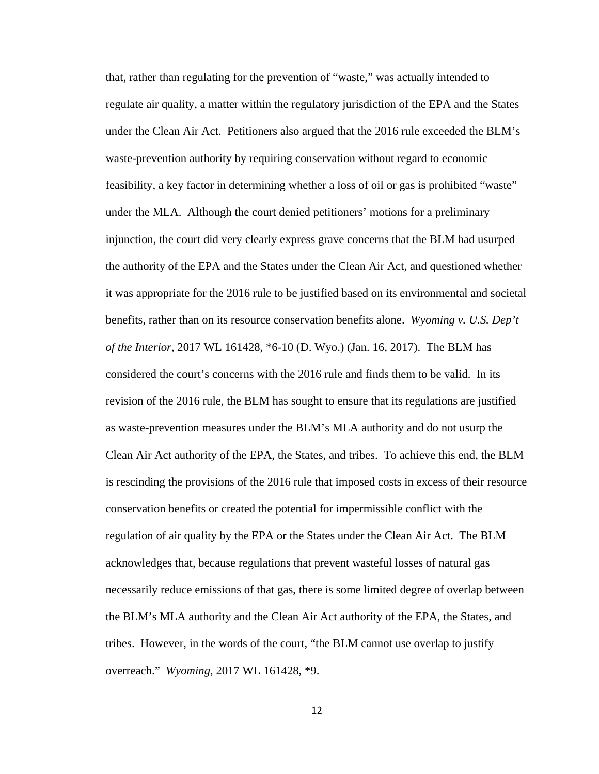that, rather than regulating for the prevention of "waste," was actually intended to regulate air quality, a matter within the regulatory jurisdiction of the EPA and the States under the Clean Air Act. Petitioners also argued that the 2016 rule exceeded the BLM's waste-prevention authority by requiring conservation without regard to economic feasibility, a key factor in determining whether a loss of oil or gas is prohibited "waste" under the MLA. Although the court denied petitioners' motions for a preliminary injunction, the court did very clearly express grave concerns that the BLM had usurped the authority of the EPA and the States under the Clean Air Act, and questioned whether it was appropriate for the 2016 rule to be justified based on its environmental and societal benefits, rather than on its resource conservation benefits alone. *Wyoming v. U.S. Dep't of the Interior*, 2017 WL 161428, \*6-10 (D. Wyo.) (Jan. 16, 2017). The BLM has considered the court's concerns with the 2016 rule and finds them to be valid. In its revision of the 2016 rule, the BLM has sought to ensure that its regulations are justified as waste-prevention measures under the BLM's MLA authority and do not usurp the Clean Air Act authority of the EPA, the States, and tribes. To achieve this end, the BLM is rescinding the provisions of the 2016 rule that imposed costs in excess of their resource conservation benefits or created the potential for impermissible conflict with the regulation of air quality by the EPA or the States under the Clean Air Act. The BLM acknowledges that, because regulations that prevent wasteful losses of natural gas necessarily reduce emissions of that gas, there is some limited degree of overlap between the BLM's MLA authority and the Clean Air Act authority of the EPA, the States, and tribes. However, in the words of the court, "the BLM cannot use overlap to justify overreach." *Wyoming*, 2017 WL 161428, \*9.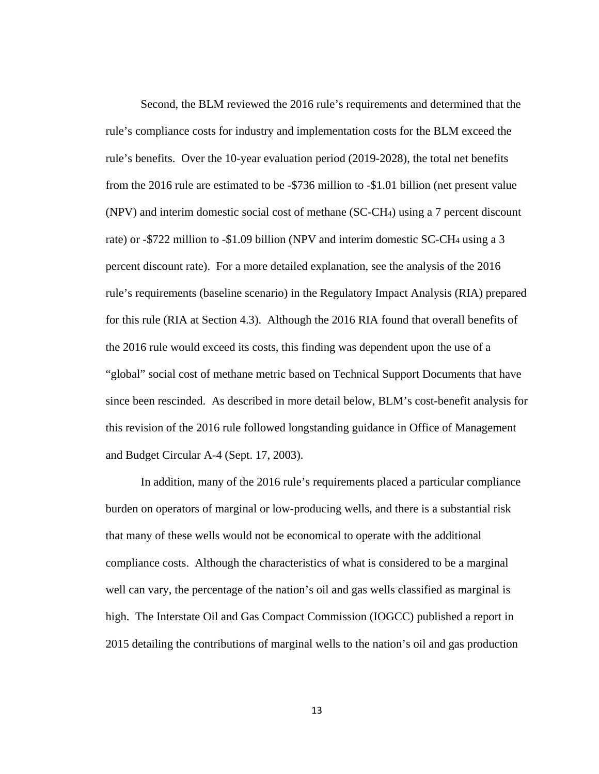Second, the BLM reviewed the 2016 rule's requirements and determined that the rule's compliance costs for industry and implementation costs for the BLM exceed the rule's benefits. Over the 10-year evaluation period (2019-2028), the total net benefits from the 2016 rule are estimated to be -\$736 million to -\$1.01 billion (net present value (NPV) and interim domestic social cost of methane (SC-CH4) using a 7 percent discount rate) or -\$722 million to -\$1.09 billion (NPV and interim domestic SC-CH4 using a 3 percent discount rate). For a more detailed explanation, see the analysis of the 2016 rule's requirements (baseline scenario) in the Regulatory Impact Analysis (RIA) prepared for this rule (RIA at Section 4.3). Although the 2016 RIA found that overall benefits of the 2016 rule would exceed its costs, this finding was dependent upon the use of a "global" social cost of methane metric based on Technical Support Documents that have since been rescinded. As described in more detail below, BLM's cost-benefit analysis for this revision of the 2016 rule followed longstanding guidance in Office of Management and Budget Circular A-4 (Sept. 17, 2003).

In addition, many of the 2016 rule's requirements placed a particular compliance burden on operators of marginal or low-producing wells, and there is a substantial risk that many of these wells would not be economical to operate with the additional compliance costs. Although the characteristics of what is considered to be a marginal well can vary, the percentage of the nation's oil and gas wells classified as marginal is high. The Interstate Oil and Gas Compact Commission (IOGCC) published a report in 2015 detailing the contributions of marginal wells to the nation's oil and gas production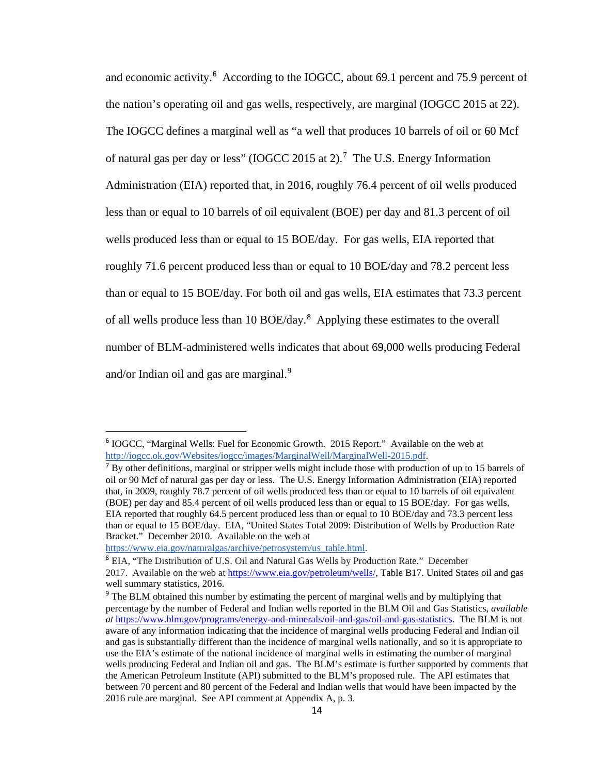and economic activity.<sup>[6](#page-13-0)</sup> According to the IOGCC, about 69.1 percent and 75.9 percent of the nation's operating oil and gas wells, respectively, are marginal (IOGCC 2015 at 22). The IOGCC defines a marginal well as "a well that produces 10 barrels of oil or 60 Mcf of natural gas per day or less" (IOGCC 2015 at 2).<sup>[7](#page-13-1)</sup> The U.S. Energy Information Administration (EIA) reported that, in 2016, roughly 76.4 percent of oil wells produced less than or equal to 10 barrels of oil equivalent (BOE) per day and 81.3 percent of oil wells produced less than or equal to 15 BOE/day. For gas wells, EIA reported that roughly 71.6 percent produced less than or equal to 10 BOE/day and 78.2 percent less than or equal to 15 BOE/day. For both oil and gas wells, EIA estimates that 73.3 percent of all wells produce less than 10 BOE/day.<sup>[8](#page-13-2)</sup> Applying these estimates to the overall number of BLM-administered wells indicates that about 69,000 wells producing Federal and/or Indian oil and gas are marginal.<sup>[9](#page-13-3)</sup>

<span id="page-13-0"></span> <sup>6</sup> IOGCC, "Marginal Wells: Fuel for Economic Growth. 2015 Report." Available on the web at http://iogcc.ok.gov/Websites/iogcc/images/MarginalWell/MarginalWell-2015.pdf.

<span id="page-13-1"></span> $<sup>7</sup>$  By other definitions, marginal or stripper wells might include those with production of up to 15 barrels of</sup> oil or 90 Mcf of natural gas per day or less. The U.S. Energy Information Administration (EIA) reported that, in 2009, roughly 78.7 percent of oil wells produced less than or equal to 10 barrels of oil equivalent (BOE) per day and 85.4 percent of oil wells produced less than or equal to 15 BOE/day. For gas wells, EIA reported that roughly 64.5 percent produced less than or equal to 10 BOE/day and 73.3 percent less than or equal to 15 BOE/day. EIA, "United States Total 2009: Distribution of Wells by Production Rate Bracket." December 2010. Available on the web at

<span id="page-13-2"></span>https://www.eia.gov/naturalgas/archive/petrosystem/us\_table.html.<br><sup>8</sup> EIA, "The Distribution of U.S. Oil and Natural Gas Wells by Production Rate." December 2017. Available on the web at [https://www.eia.gov/petroleum/wells/,](https://www.eia.gov/petroleum/wells/) Table B17. United States oil and gas well summary statistics, 2016.

<span id="page-13-3"></span><sup>&</sup>lt;sup>9</sup> The BLM obtained this number by estimating the percent of marginal wells and by multiplying that percentage by the number of Federal and Indian wells reported in the BLM Oil and Gas Statistics, *available at* [https://www.blm.gov/programs/energy-and-minerals/oil-and-gas/oil-and-gas-statistics.](https://www.blm.gov/programs/energy-and-minerals/oil-and-gas/oil-and-gas-statistics) The BLM is not aware of any information indicating that the incidence of marginal wells producing Federal and Indian oil and gas is substantially different than the incidence of marginal wells nationally, and so it is appropriate to use the EIA's estimate of the national incidence of marginal wells in estimating the number of marginal wells producing Federal and Indian oil and gas. The BLM's estimate is further supported by comments that the American Petroleum Institute (API) submitted to the BLM's proposed rule. The API estimates that between 70 percent and 80 percent of the Federal and Indian wells that would have been impacted by the 2016 rule are marginal. See API comment at Appendix A, p. 3.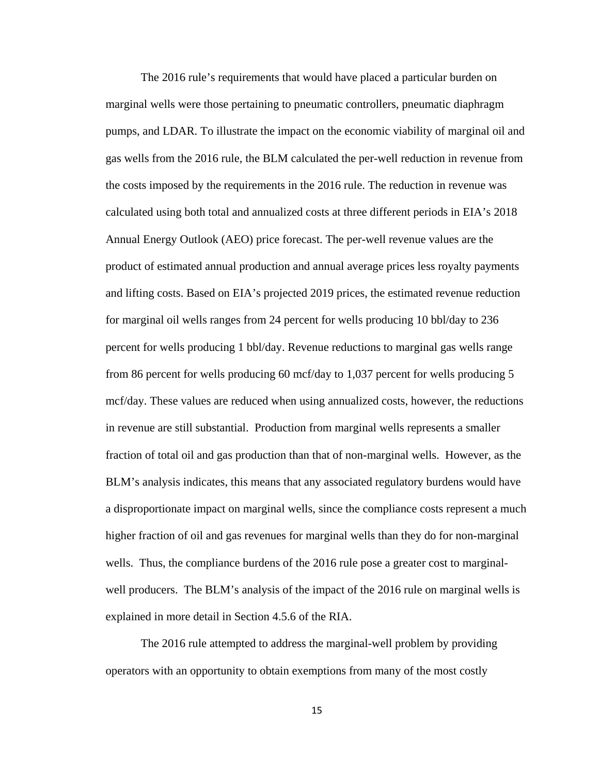The 2016 rule's requirements that would have placed a particular burden on marginal wells were those pertaining to pneumatic controllers, pneumatic diaphragm pumps, and LDAR. To illustrate the impact on the economic viability of marginal oil and gas wells from the 2016 rule, the BLM calculated the per-well reduction in revenue from the costs imposed by the requirements in the 2016 rule. The reduction in revenue was calculated using both total and annualized costs at three different periods in EIA's 2018 Annual Energy Outlook (AEO) price forecast. The per-well revenue values are the product of estimated annual production and annual average prices less royalty payments and lifting costs. Based on EIA's projected 2019 prices, the estimated revenue reduction for marginal oil wells ranges from 24 percent for wells producing 10 bbl/day to 236 percent for wells producing 1 bbl/day. Revenue reductions to marginal gas wells range from 86 percent for wells producing 60 mcf/day to 1,037 percent for wells producing 5 mcf/day. These values are reduced when using annualized costs, however, the reductions in revenue are still substantial. Production from marginal wells represents a smaller fraction of total oil and gas production than that of non-marginal wells. However, as the BLM's analysis indicates, this means that any associated regulatory burdens would have a disproportionate impact on marginal wells, since the compliance costs represent a much higher fraction of oil and gas revenues for marginal wells than they do for non-marginal wells. Thus, the compliance burdens of the 2016 rule pose a greater cost to marginalwell producers. The BLM's analysis of the impact of the 2016 rule on marginal wells is explained in more detail in Section 4.5.6 of the RIA.

The 2016 rule attempted to address the marginal-well problem by providing operators with an opportunity to obtain exemptions from many of the most costly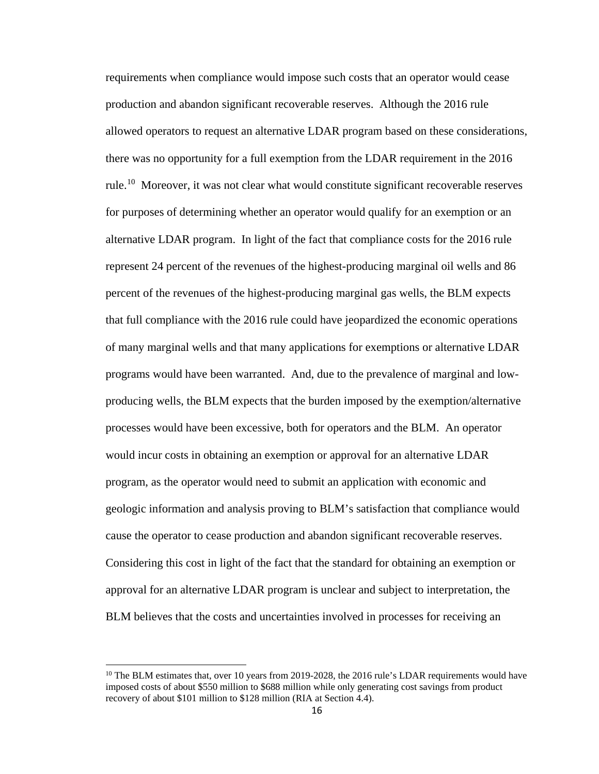requirements when compliance would impose such costs that an operator would cease production and abandon significant recoverable reserves. Although the 2016 rule allowed operators to request an alternative LDAR program based on these considerations, there was no opportunity for a full exemption from the LDAR requirement in the 2016 rule.<sup>[10](#page-15-0)</sup> Moreover, it was not clear what would constitute significant recoverable reserves for purposes of determining whether an operator would qualify for an exemption or an alternative LDAR program. In light of the fact that compliance costs for the 2016 rule represent 24 percent of the revenues of the highest-producing marginal oil wells and 86 percent of the revenues of the highest-producing marginal gas wells, the BLM expects that full compliance with the 2016 rule could have jeopardized the economic operations of many marginal wells and that many applications for exemptions or alternative LDAR programs would have been warranted. And, due to the prevalence of marginal and lowproducing wells, the BLM expects that the burden imposed by the exemption/alternative processes would have been excessive, both for operators and the BLM. An operator would incur costs in obtaining an exemption or approval for an alternative LDAR program, as the operator would need to submit an application with economic and geologic information and analysis proving to BLM's satisfaction that compliance would cause the operator to cease production and abandon significant recoverable reserves. Considering this cost in light of the fact that the standard for obtaining an exemption or approval for an alternative LDAR program is unclear and subject to interpretation, the BLM believes that the costs and uncertainties involved in processes for receiving an

 $\overline{a}$ 

<span id="page-15-0"></span> $10$  The BLM estimates that, over 10 years from 2019-2028, the 2016 rule's LDAR requirements would have imposed costs of about \$550 million to \$688 million while only generating cost savings from product recovery of about \$101 million to \$128 million (RIA at Section 4.4).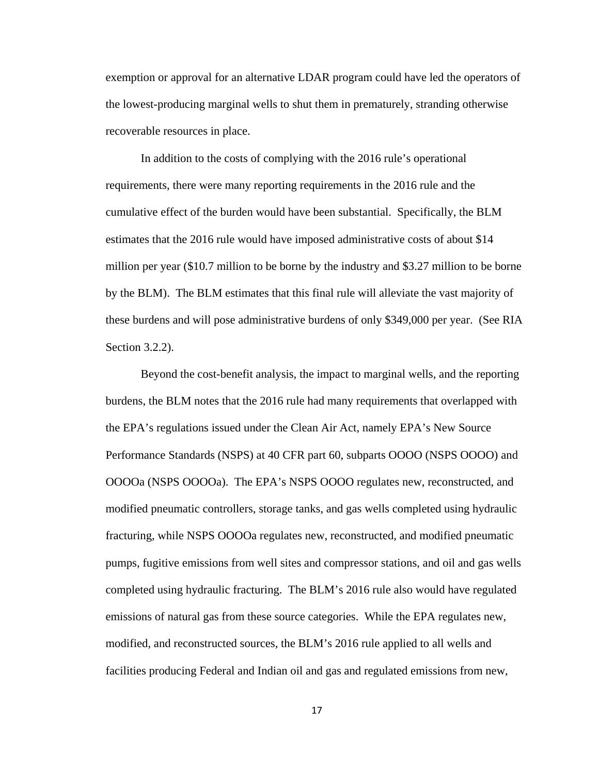exemption or approval for an alternative LDAR program could have led the operators of the lowest-producing marginal wells to shut them in prematurely, stranding otherwise recoverable resources in place.

In addition to the costs of complying with the 2016 rule's operational requirements, there were many reporting requirements in the 2016 rule and the cumulative effect of the burden would have been substantial. Specifically, the BLM estimates that the 2016 rule would have imposed administrative costs of about \$14 million per year (\$10.7 million to be borne by the industry and \$3.27 million to be borne by the BLM). The BLM estimates that this final rule will alleviate the vast majority of these burdens and will pose administrative burdens of only \$349,000 per year. (See RIA Section 3.2.2).

Beyond the cost-benefit analysis, the impact to marginal wells, and the reporting burdens, the BLM notes that the 2016 rule had many requirements that overlapped with the EPA's regulations issued under the Clean Air Act, namely EPA's New Source Performance Standards (NSPS) at 40 CFR part 60, subparts OOOO (NSPS OOOO) and OOOOa (NSPS OOOOa). The EPA's NSPS OOOO regulates new, reconstructed, and modified pneumatic controllers, storage tanks, and gas wells completed using hydraulic fracturing, while NSPS OOOOa regulates new, reconstructed, and modified pneumatic pumps, fugitive emissions from well sites and compressor stations, and oil and gas wells completed using hydraulic fracturing. The BLM's 2016 rule also would have regulated emissions of natural gas from these source categories. While the EPA regulates new, modified, and reconstructed sources, the BLM's 2016 rule applied to all wells and facilities producing Federal and Indian oil and gas and regulated emissions from new,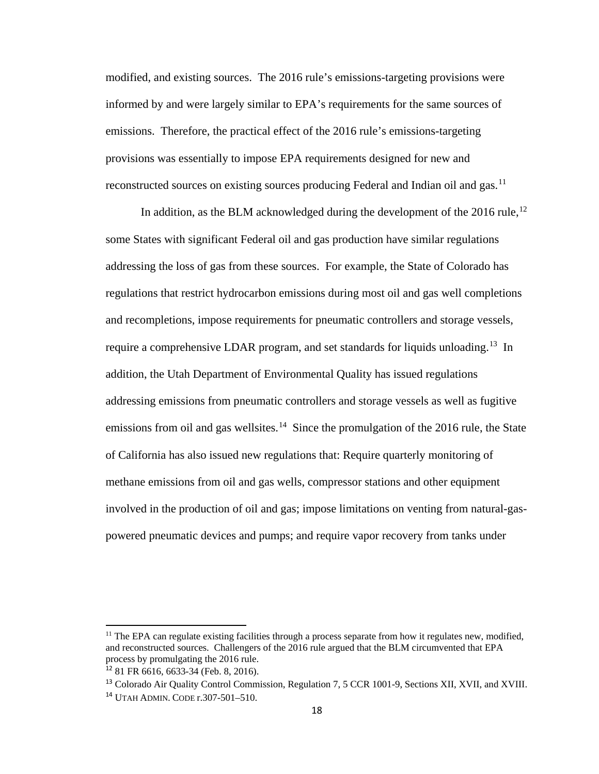modified, and existing sources. The 2016 rule's emissions-targeting provisions were informed by and were largely similar to EPA's requirements for the same sources of emissions. Therefore, the practical effect of the 2016 rule's emissions-targeting provisions was essentially to impose EPA requirements designed for new and reconstructed sources on existing sources producing Federal and Indian oil and gas.<sup>[11](#page-17-0)</sup>

In addition, as the BLM acknowledged during the development of the 2016 rule,  $^{12}$  $^{12}$  $^{12}$ some States with significant Federal oil and gas production have similar regulations addressing the loss of gas from these sources. For example, the State of Colorado has regulations that restrict hydrocarbon emissions during most oil and gas well completions and recompletions, impose requirements for pneumatic controllers and storage vessels, require a comprehensive LDAR program, and set standards for liquids unloading.<sup>13</sup> In addition, the Utah Department of Environmental Quality has issued regulations addressing emissions from pneumatic controllers and storage vessels as well as fugitive emissions from oil and gas wellsites.<sup>[14](#page-17-3)</sup> Since the promulgation of the 2016 rule, the State of California has also issued new regulations that: Require quarterly monitoring of methane emissions from oil and gas wells, compressor stations and other equipment involved in the production of oil and gas; impose limitations on venting from natural-gaspowered pneumatic devices and pumps; and require vapor recovery from tanks under

 $\overline{\phantom{a}}$ 

<span id="page-17-0"></span> $11$  The EPA can regulate existing facilities through a process separate from how it regulates new, modified, and reconstructed sources. Challengers of the 2016 rule argued that the BLM circumvented that EPA process by promulgating the 2016 rule.

<span id="page-17-2"></span><span id="page-17-1"></span><sup>12</sup> 81 FR 6616, 6633-34 (Feb. 8, 2016).

<span id="page-17-3"></span><sup>13</sup> Colorado Air Quality Control Commission, Regulation 7, 5 CCR 1001-9, Sections XII, XVII, and XVIII. <sup>14</sup> UTAH ADMIN. CODE r.307-501–510.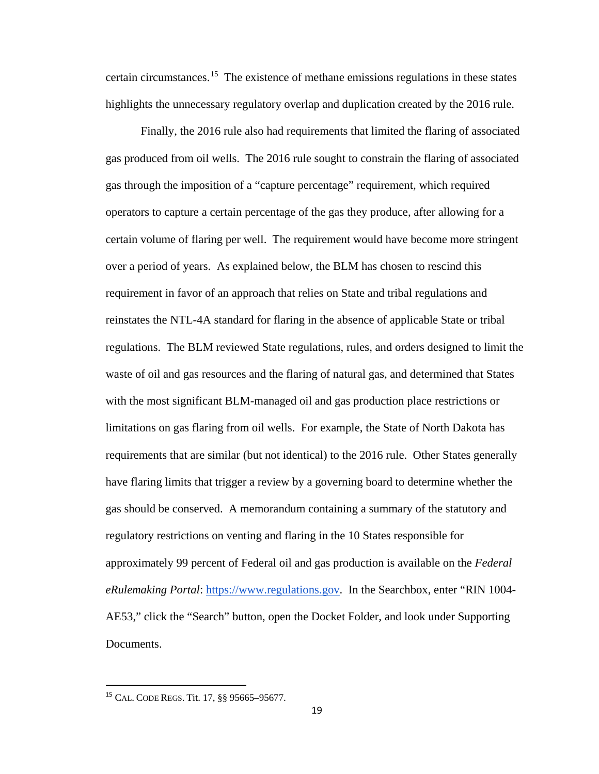certain circumstances.[15](#page-18-0) The existence of methane emissions regulations in these states highlights the unnecessary regulatory overlap and duplication created by the 2016 rule.

Finally, the 2016 rule also had requirements that limited the flaring of associated gas produced from oil wells. The 2016 rule sought to constrain the flaring of associated gas through the imposition of a "capture percentage" requirement, which required operators to capture a certain percentage of the gas they produce, after allowing for a certain volume of flaring per well. The requirement would have become more stringent over a period of years. As explained below, the BLM has chosen to rescind this requirement in favor of an approach that relies on State and tribal regulations and reinstates the NTL-4A standard for flaring in the absence of applicable State or tribal regulations. The BLM reviewed State regulations, rules, and orders designed to limit the waste of oil and gas resources and the flaring of natural gas, and determined that States with the most significant BLM-managed oil and gas production place restrictions or limitations on gas flaring from oil wells. For example, the State of North Dakota has requirements that are similar (but not identical) to the 2016 rule. Other States generally have flaring limits that trigger a review by a governing board to determine whether the gas should be conserved. A memorandum containing a summary of the statutory and regulatory restrictions on venting and flaring in the 10 States responsible for approximately 99 percent of Federal oil and gas production is available on the *Federal eRulemaking Portal*: https://www.regulations.gov. In the Searchbox, enter "RIN 1004- AE53," click the "Search" button, open the Docket Folder, and look under Supporting Documents.

<span id="page-18-0"></span> <sup>15</sup> CAL. CODE REGS. Tit. 17, §§ 95665–95677.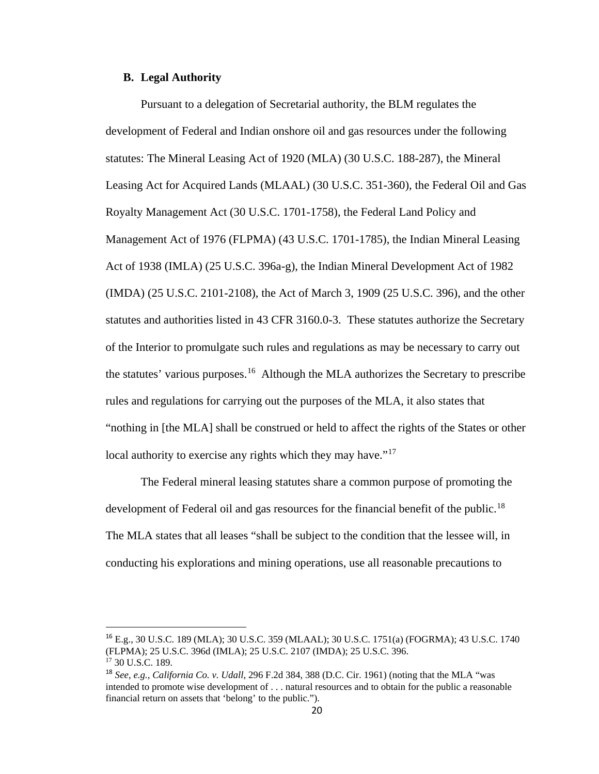# **B. Legal Authority**

Pursuant to a delegation of Secretarial authority, the BLM regulates the development of Federal and Indian onshore oil and gas resources under the following statutes: The Mineral Leasing Act of 1920 (MLA) (30 U.S.C. 188-287), the Mineral Leasing Act for Acquired Lands (MLAAL) (30 U.S.C. 351-360), the Federal Oil and Gas Royalty Management Act (30 U.S.C. 1701-1758), the Federal Land Policy and Management Act of 1976 (FLPMA) (43 U.S.C. 1701-1785), the Indian Mineral Leasing Act of 1938 (IMLA) (25 U.S.C. 396a-g), the Indian Mineral Development Act of 1982 (IMDA) (25 U.S.C. 2101-2108), the Act of March 3, 1909 (25 U.S.C. 396), and the other statutes and authorities listed in 43 CFR 3160.0-3. These statutes authorize the Secretary of the Interior to promulgate such rules and regulations as may be necessary to carry out the statutes' various purposes.<sup>[16](#page-19-0)</sup> Although the MLA authorizes the Secretary to prescribe rules and regulations for carrying out the purposes of the MLA, it also states that "nothing in [the MLA] shall be construed or held to affect the rights of the States or other local authority to exercise any rights which they may have."<sup>[17](#page-19-1)</sup>

The Federal mineral leasing statutes share a common purpose of promoting the development of Federal oil and gas resources for the financial benefit of the public.<sup>[18](#page-19-2)</sup> The MLA states that all leases "shall be subject to the condition that the lessee will, in conducting his explorations and mining operations, use all reasonable precautions to

<span id="page-19-0"></span> <sup>16</sup> E.g., 30 U.S.C. 189 (MLA); 30 U.S.C. 359 (MLAAL); 30 U.S.C. 1751(a) (FOGRMA); 43 U.S.C. 1740 (FLPMA); 25 U.S.C. 396d (IMLA); 25 U.S.C. 2107 (IMDA); 25 U.S.C. 396. <sup>17</sup> 30 U.S.C. 189.

<span id="page-19-2"></span><span id="page-19-1"></span><sup>18</sup> *See, e.g., California Co. v. Udall*, 296 F.2d 384, 388 (D.C. Cir. 1961) (noting that the MLA "was intended to promote wise development of . . . natural resources and to obtain for the public a reasonable financial return on assets that 'belong' to the public.").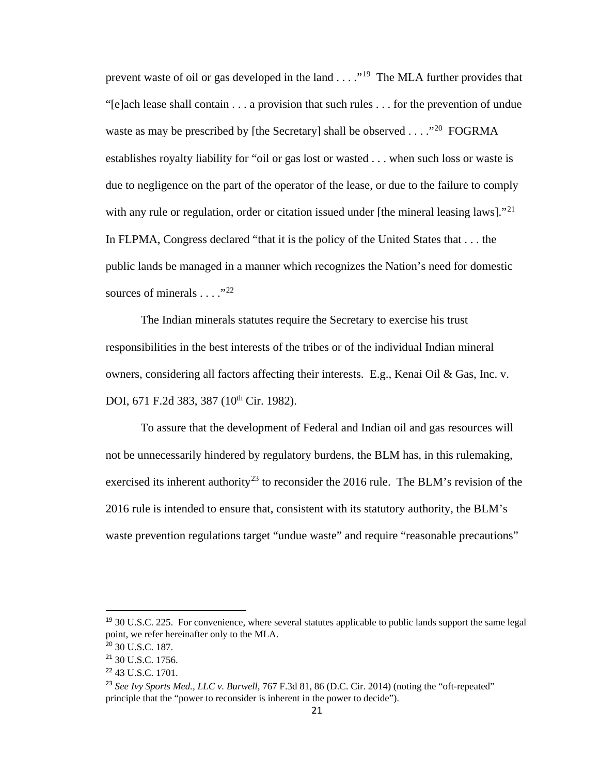prevent waste of oil or gas developed in the land . . . ."<sup>19</sup> The MLA further provides that "[e]ach lease shall contain . . . a provision that such rules . . . for the prevention of undue waste as may be prescribed by [the Secretary] shall be observed  $\dots$  ."<sup>[20](#page-20-1)</sup> FOGRMA establishes royalty liability for "oil or gas lost or wasted . . . when such loss or waste is due to negligence on the part of the operator of the lease, or due to the failure to comply with any rule or regulation, order or citation issued under [the mineral leasing laws]."<sup>21</sup> In FLPMA, Congress declared "that it is the policy of the United States that . . . the public lands be managed in a manner which recognizes the Nation's need for domestic sources of minerals  $\ldots$ ."<sup>[22](#page-20-3)</sup>

The Indian minerals statutes require the Secretary to exercise his trust responsibilities in the best interests of the tribes or of the individual Indian mineral owners, considering all factors affecting their interests. E.g., Kenai Oil & Gas, Inc. v. DOI, 671 F.2d 383, 387 (10<sup>th</sup> Cir. 1982).

To assure that the development of Federal and Indian oil and gas resources will not be unnecessarily hindered by regulatory burdens, the BLM has, in this rulemaking, exercised its inherent authority<sup>[23](#page-20-4)</sup> to reconsider the 2016 rule. The BLM's revision of the 2016 rule is intended to ensure that, consistent with its statutory authority, the BLM's waste prevention regulations target "undue waste" and require "reasonable precautions"

<span id="page-20-0"></span><sup>&</sup>lt;sup>19</sup> 30 U.S.C. 225. For convenience, where several statutes applicable to public lands support the same legal point, we refer hereinafter only to the MLA.

<span id="page-20-1"></span><sup>20</sup> 30 U.S.C. 187.

<span id="page-20-2"></span><sup>21</sup> 30 U.S.C. 1756.

<span id="page-20-3"></span><sup>22</sup> 43 U.S.C. 1701.

<span id="page-20-4"></span><sup>23</sup> *See Ivy Sports Med., LLC v. Burwell*, 767 F.3d 81, 86 (D.C. Cir. 2014) (noting the "oft-repeated" principle that the "power to reconsider is inherent in the power to decide").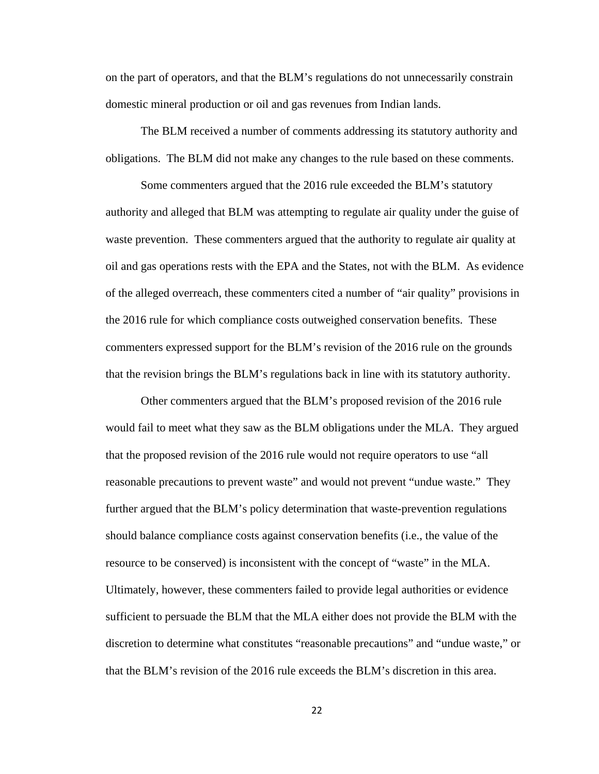on the part of operators, and that the BLM's regulations do not unnecessarily constrain domestic mineral production or oil and gas revenues from Indian lands.

The BLM received a number of comments addressing its statutory authority and obligations. The BLM did not make any changes to the rule based on these comments.

Some commenters argued that the 2016 rule exceeded the BLM's statutory authority and alleged that BLM was attempting to regulate air quality under the guise of waste prevention. These commenters argued that the authority to regulate air quality at oil and gas operations rests with the EPA and the States, not with the BLM. As evidence of the alleged overreach, these commenters cited a number of "air quality" provisions in the 2016 rule for which compliance costs outweighed conservation benefits. These commenters expressed support for the BLM's revision of the 2016 rule on the grounds that the revision brings the BLM's regulations back in line with its statutory authority.

Other commenters argued that the BLM's proposed revision of the 2016 rule would fail to meet what they saw as the BLM obligations under the MLA. They argued that the proposed revision of the 2016 rule would not require operators to use "all reasonable precautions to prevent waste" and would not prevent "undue waste." They further argued that the BLM's policy determination that waste-prevention regulations should balance compliance costs against conservation benefits (i.e., the value of the resource to be conserved) is inconsistent with the concept of "waste" in the MLA. Ultimately, however, these commenters failed to provide legal authorities or evidence sufficient to persuade the BLM that the MLA either does not provide the BLM with the discretion to determine what constitutes "reasonable precautions" and "undue waste," or that the BLM's revision of the 2016 rule exceeds the BLM's discretion in this area.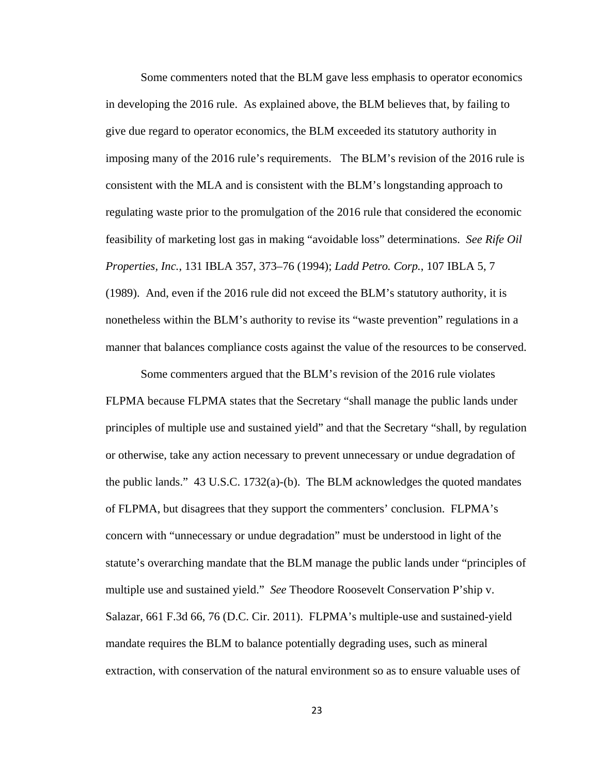Some commenters noted that the BLM gave less emphasis to operator economics in developing the 2016 rule. As explained above, the BLM believes that, by failing to give due regard to operator economics, the BLM exceeded its statutory authority in imposing many of the 2016 rule's requirements. The BLM's revision of the 2016 rule is consistent with the MLA and is consistent with the BLM's longstanding approach to regulating waste prior to the promulgation of the 2016 rule that considered the economic feasibility of marketing lost gas in making "avoidable loss" determinations. *See Rife Oil Properties, Inc.*, 131 IBLA 357, 373–76 (1994); *Ladd Petro. Corp.*, 107 IBLA 5, 7 (1989). And, even if the 2016 rule did not exceed the BLM's statutory authority, it is nonetheless within the BLM's authority to revise its "waste prevention" regulations in a manner that balances compliance costs against the value of the resources to be conserved.

Some commenters argued that the BLM's revision of the 2016 rule violates FLPMA because FLPMA states that the Secretary "shall manage the public lands under principles of multiple use and sustained yield" and that the Secretary "shall, by regulation or otherwise, take any action necessary to prevent unnecessary or undue degradation of the public lands."  $43 \text{ U.S.C. } 1732(a)$ -(b). The BLM acknowledges the quoted mandates of FLPMA, but disagrees that they support the commenters' conclusion. FLPMA's concern with "unnecessary or undue degradation" must be understood in light of the statute's overarching mandate that the BLM manage the public lands under "principles of multiple use and sustained yield." *See* Theodore Roosevelt Conservation P'ship v. Salazar, 661 F.3d 66, 76 (D.C. Cir. 2011). FLPMA's multiple-use and sustained-yield mandate requires the BLM to balance potentially degrading uses, such as mineral extraction, with conservation of the natural environment so as to ensure valuable uses of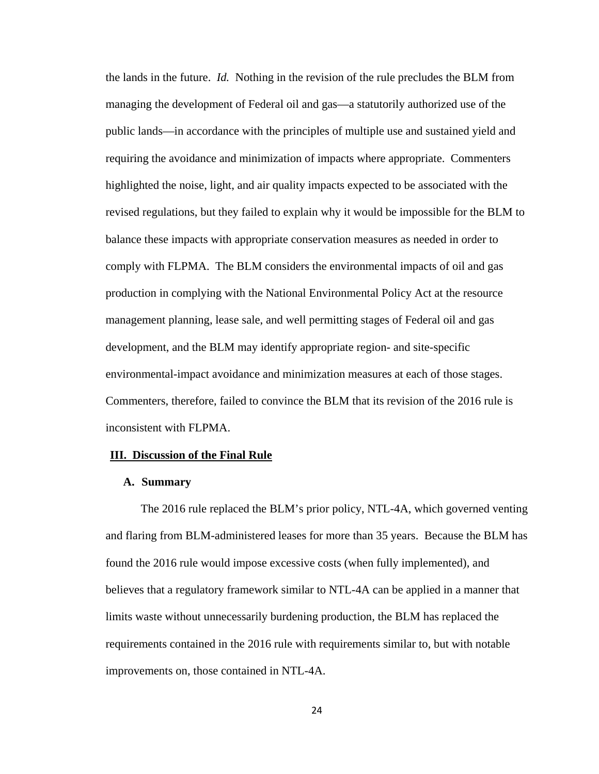the lands in the future. *Id.* Nothing in the revision of the rule precludes the BLM from managing the development of Federal oil and gas—a statutorily authorized use of the public lands—in accordance with the principles of multiple use and sustained yield and requiring the avoidance and minimization of impacts where appropriate. Commenters highlighted the noise, light, and air quality impacts expected to be associated with the revised regulations, but they failed to explain why it would be impossible for the BLM to balance these impacts with appropriate conservation measures as needed in order to comply with FLPMA. The BLM considers the environmental impacts of oil and gas production in complying with the National Environmental Policy Act at the resource management planning, lease sale, and well permitting stages of Federal oil and gas development, and the BLM may identify appropriate region- and site-specific environmental-impact avoidance and minimization measures at each of those stages. Commenters, therefore, failed to convince the BLM that its revision of the 2016 rule is inconsistent with FLPMA.

## **III. Discussion of the Final Rule**

#### **A. Summary**

The 2016 rule replaced the BLM's prior policy, NTL-4A, which governed venting and flaring from BLM-administered leases for more than 35 years. Because the BLM has found the 2016 rule would impose excessive costs (when fully implemented), and believes that a regulatory framework similar to NTL-4A can be applied in a manner that limits waste without unnecessarily burdening production, the BLM has replaced the requirements contained in the 2016 rule with requirements similar to, but with notable improvements on, those contained in NTL-4A.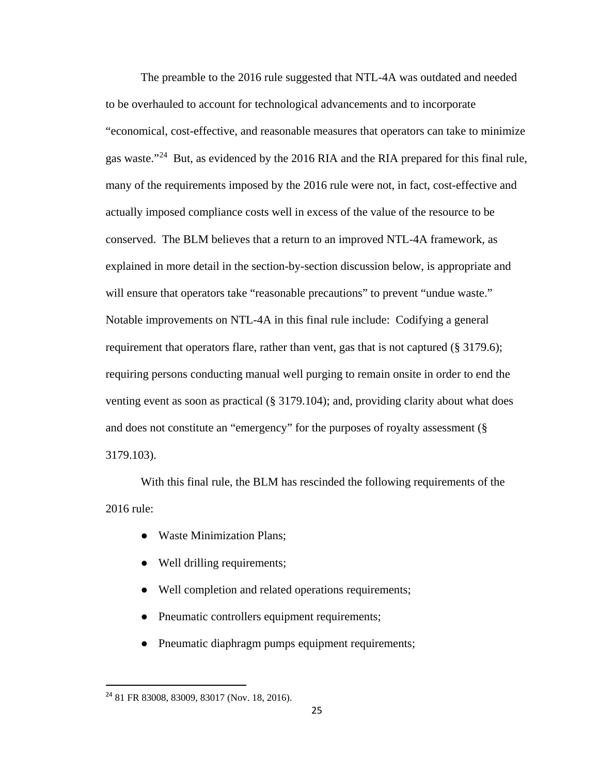The preamble to the 2016 rule suggested that NTL-4A was outdated and needed to be overhauled to account for technological advancements and to incorporate "economical, cost-effective, and reasonable measures that operators can take to minimize gas waste."[24](#page-24-0) But, as evidenced by the 2016 RIA and the RIA prepared for this final rule, many of the requirements imposed by the 2016 rule were not, in fact, cost-effective and actually imposed compliance costs well in excess of the value of the resource to be conserved. The BLM believes that a return to an improved NTL-4A framework, as explained in more detail in the section-by-section discussion below, is appropriate and will ensure that operators take "reasonable precautions" to prevent "undue waste." Notable improvements on NTL-4A in this final rule include: Codifying a general requirement that operators flare, rather than vent, gas that is not captured (§ 3179.6); requiring persons conducting manual well purging to remain onsite in order to end the venting event as soon as practical (§ 3179.104); and, providing clarity about what does and does not constitute an "emergency" for the purposes of royalty assessment (§ 3179.103).

With this final rule, the BLM has rescinded the following requirements of the 2016 rule:

- Waste Minimization Plans;
- Well drilling requirements;
- Well completion and related operations requirements;
- Pneumatic controllers equipment requirements;
- Pneumatic diaphragm pumps equipment requirements;

<span id="page-24-0"></span> <sup>24</sup> 81 FR 83008, 83009, 83017 (Nov. 18, 2016).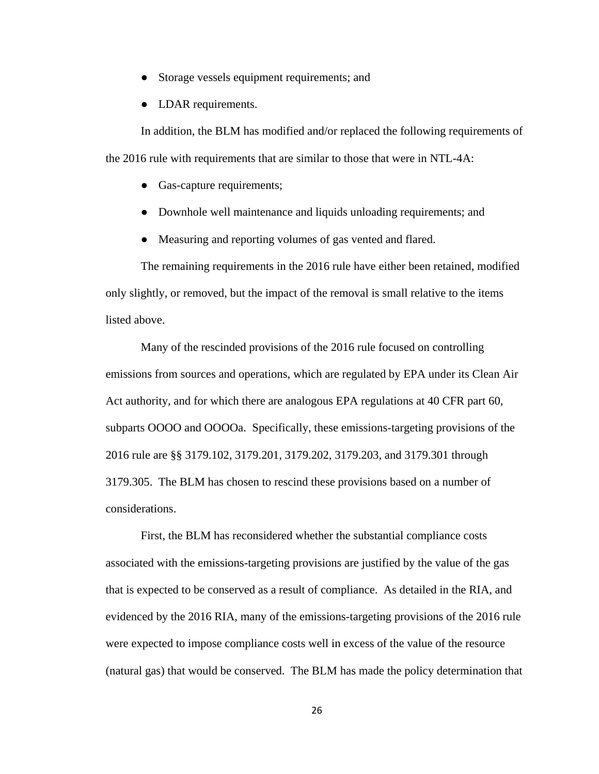- Storage vessels equipment requirements; and
- LDAR requirements.

In addition, the BLM has modified and/or replaced the following requirements of the 2016 rule with requirements that are similar to those that were in NTL-4A:

- Gas-capture requirements;
- Downhole well maintenance and liquids unloading requirements; and
- Measuring and reporting volumes of gas vented and flared.

The remaining requirements in the 2016 rule have either been retained, modified only slightly, or removed, but the impact of the removal is small relative to the items listed above.

Many of the rescinded provisions of the 2016 rule focused on controlling emissions from sources and operations, which are regulated by EPA under its Clean Air Act authority, and for which there are analogous EPA regulations at 40 CFR part 60, subparts OOOO and OOOOa. Specifically, these emissions-targeting provisions of the 2016 rule are §§ 3179.102, 3179.201, 3179.202, 3179.203, and 3179.301 through 3179.305. The BLM has chosen to rescind these provisions based on a number of considerations.

First, the BLM has reconsidered whether the substantial compliance costs associated with the emissions-targeting provisions are justified by the value of the gas that is expected to be conserved as a result of compliance. As detailed in the RIA, and evidenced by the 2016 RIA, many of the emissions-targeting provisions of the 2016 rule were expected to impose compliance costs well in excess of the value of the resource (natural gas) that would be conserved. The BLM has made the policy determination that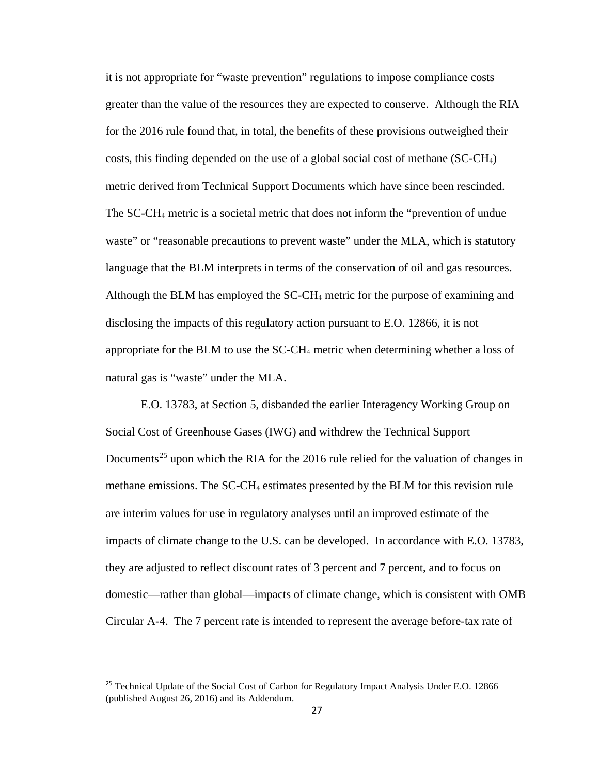it is not appropriate for "waste prevention" regulations to impose compliance costs greater than the value of the resources they are expected to conserve. Although the RIA for the 2016 rule found that, in total, the benefits of these provisions outweighed their costs, this finding depended on the use of a global social cost of methane (SC-CH4) metric derived from Technical Support Documents which have since been rescinded. The SC-CH<sup>4</sup> metric is a societal metric that does not inform the "prevention of undue waste" or "reasonable precautions to prevent waste" under the MLA, which is statutory language that the BLM interprets in terms of the conservation of oil and gas resources. Although the BLM has employed the SC-CH<sub>4</sub> metric for the purpose of examining and disclosing the impacts of this regulatory action pursuant to E.O. 12866, it is not appropriate for the BLM to use the  $SC-CH_4$  metric when determining whether a loss of natural gas is "waste" under the MLA.

E.O. 13783, at Section 5, disbanded the earlier Interagency Working Group on Social Cost of Greenhouse Gases (IWG) and withdrew the Technical Support Documents<sup>[25](#page-26-0)</sup> upon which the RIA for the 2016 rule relied for the valuation of changes in methane emissions. The SC-CH<sub>4</sub> estimates presented by the BLM for this revision rule are interim values for use in regulatory analyses until an improved estimate of the impacts of climate change to the U.S. can be developed. In accordance with E.O. 13783, they are adjusted to reflect discount rates of 3 percent and 7 percent, and to focus on domestic—rather than global—impacts of climate change, which is consistent with OMB Circular A-4. The 7 percent rate is intended to represent the average before-tax rate of

<span id="page-26-0"></span><sup>&</sup>lt;sup>25</sup> Technical Update of the Social Cost of Carbon for Regulatory Impact Analysis Under E.O. 12866 (published August 26, 2016) and its Addendum.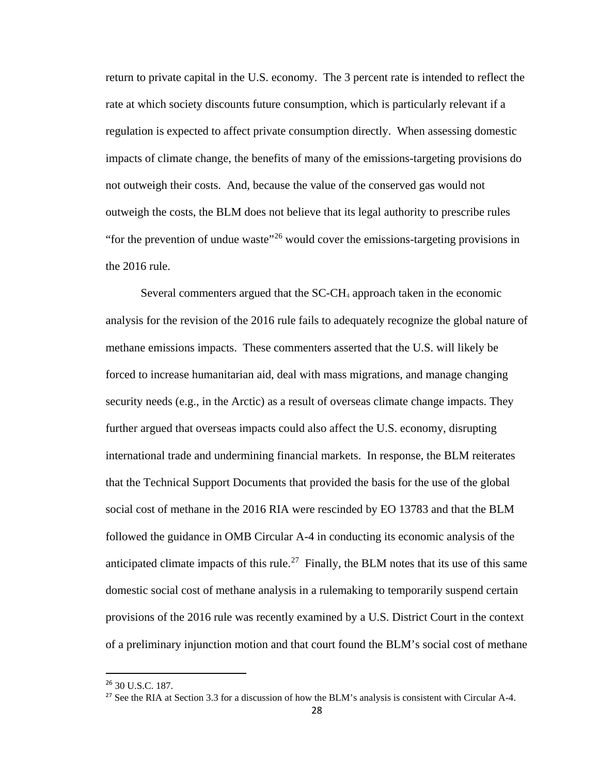return to private capital in the U.S. economy. The 3 percent rate is intended to reflect the rate at which society discounts future consumption, which is particularly relevant if a regulation is expected to affect private consumption directly. When assessing domestic impacts of climate change, the benefits of many of the emissions-targeting provisions do not outweigh their costs. And, because the value of the conserved gas would not outweigh the costs, the BLM does not believe that its legal authority to prescribe rules "for the prevention of undue waste"<sup>[26](#page-27-0)</sup> would cover the emissions-targeting provisions in the 2016 rule.

Several commenters argued that the SC-CH<sup>4</sup> approach taken in the economic analysis for the revision of the 2016 rule fails to adequately recognize the global nature of methane emissions impacts. These commenters asserted that the U.S. will likely be forced to increase humanitarian aid, deal with mass migrations, and manage changing security needs (e.g., in the Arctic) as a result of overseas climate change impacts. They further argued that overseas impacts could also affect the U.S. economy, disrupting international trade and undermining financial markets. In response, the BLM reiterates that the Technical Support Documents that provided the basis for the use of the global social cost of methane in the 2016 RIA were rescinded by EO 13783 and that the BLM followed the guidance in OMB Circular A-4 in conducting its economic analysis of the anticipated climate impacts of this rule.<sup>27</sup> Finally, the BLM notes that its use of this same domestic social cost of methane analysis in a rulemaking to temporarily suspend certain provisions of the 2016 rule was recently examined by a U.S. District Court in the context of a preliminary injunction motion and that court found the BLM's social cost of methane

<span id="page-27-0"></span> <sup>26</sup> 30 U.S.C. 187.

<span id="page-27-1"></span><sup>&</sup>lt;sup>27</sup> See the RIA at Section 3.3 for a discussion of how the BLM's analysis is consistent with Circular A-4.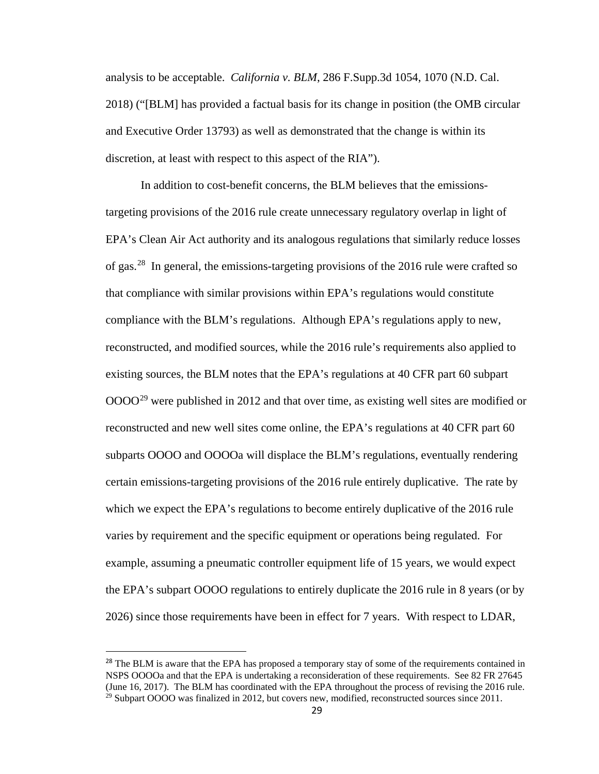analysis to be acceptable. *California v. BLM*, 286 F.Supp.3d 1054, 1070 (N.D. Cal. 2018) ("[BLM] has provided a factual basis for its change in position (the OMB circular and Executive Order 13793) as well as demonstrated that the change is within its discretion, at least with respect to this aspect of the RIA").

In addition to cost-benefit concerns, the BLM believes that the emissionstargeting provisions of the 2016 rule create unnecessary regulatory overlap in light of EPA's Clean Air Act authority and its analogous regulations that similarly reduce losses of gas.[28](#page-28-0) In general, the emissions-targeting provisions of the 2016 rule were crafted so that compliance with similar provisions within EPA's regulations would constitute compliance with the BLM's regulations. Although EPA's regulations apply to new, reconstructed, and modified sources, while the 2016 rule's requirements also applied to existing sources, the BLM notes that the EPA's regulations at 40 CFR part 60 subpart  $0000^{29}$  $0000^{29}$  $0000^{29}$  were published in 2012 and that over time, as existing well sites are modified or reconstructed and new well sites come online, the EPA's regulations at 40 CFR part 60 subparts OOOO and OOOOa will displace the BLM's regulations, eventually rendering certain emissions-targeting provisions of the 2016 rule entirely duplicative. The rate by which we expect the EPA's regulations to become entirely duplicative of the 2016 rule varies by requirement and the specific equipment or operations being regulated. For example, assuming a pneumatic controller equipment life of 15 years, we would expect the EPA's subpart OOOO regulations to entirely duplicate the 2016 rule in 8 years (or by 2026) since those requirements have been in effect for 7 years. With respect to LDAR,

<span id="page-28-1"></span><span id="page-28-0"></span><sup>&</sup>lt;sup>28</sup> The BLM is aware that the EPA has proposed a temporary stay of some of the requirements contained in NSPS OOOOa and that the EPA is undertaking a reconsideration of these requirements. See 82 FR 27645 (June 16, 2017). The BLM has coordinated with the EPA throughout the process of revising the 2016 rule.  $29$  Subpart OOOO was finalized in 2012, but covers new, modified, reconstructed sources since 2011.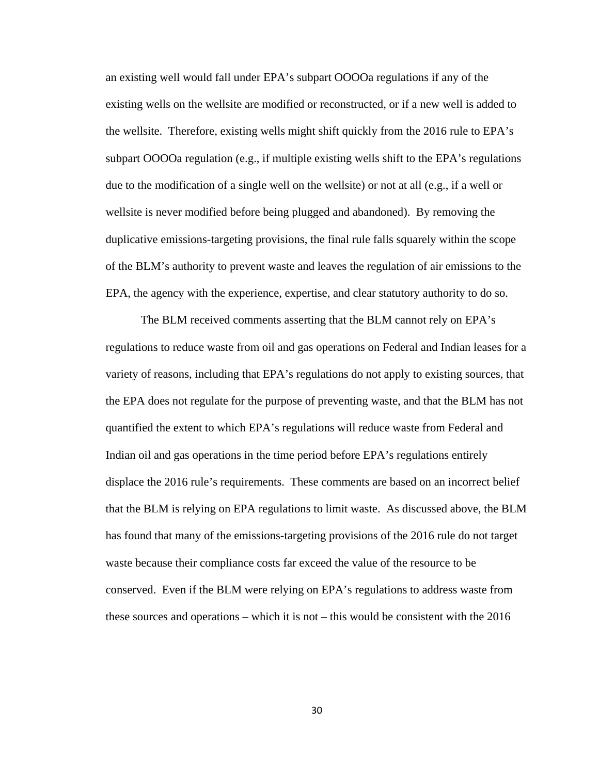an existing well would fall under EPA's subpart OOOOa regulations if any of the existing wells on the wellsite are modified or reconstructed, or if a new well is added to the wellsite. Therefore, existing wells might shift quickly from the 2016 rule to EPA's subpart OOOOa regulation (e.g., if multiple existing wells shift to the EPA's regulations due to the modification of a single well on the wellsite) or not at all (e.g., if a well or wellsite is never modified before being plugged and abandoned). By removing the duplicative emissions-targeting provisions, the final rule falls squarely within the scope of the BLM's authority to prevent waste and leaves the regulation of air emissions to the EPA, the agency with the experience, expertise, and clear statutory authority to do so.

The BLM received comments asserting that the BLM cannot rely on EPA's regulations to reduce waste from oil and gas operations on Federal and Indian leases for a variety of reasons, including that EPA's regulations do not apply to existing sources, that the EPA does not regulate for the purpose of preventing waste, and that the BLM has not quantified the extent to which EPA's regulations will reduce waste from Federal and Indian oil and gas operations in the time period before EPA's regulations entirely displace the 2016 rule's requirements. These comments are based on an incorrect belief that the BLM is relying on EPA regulations to limit waste. As discussed above, the BLM has found that many of the emissions-targeting provisions of the 2016 rule do not target waste because their compliance costs far exceed the value of the resource to be conserved. Even if the BLM were relying on EPA's regulations to address waste from these sources and operations – which it is not – this would be consistent with the 2016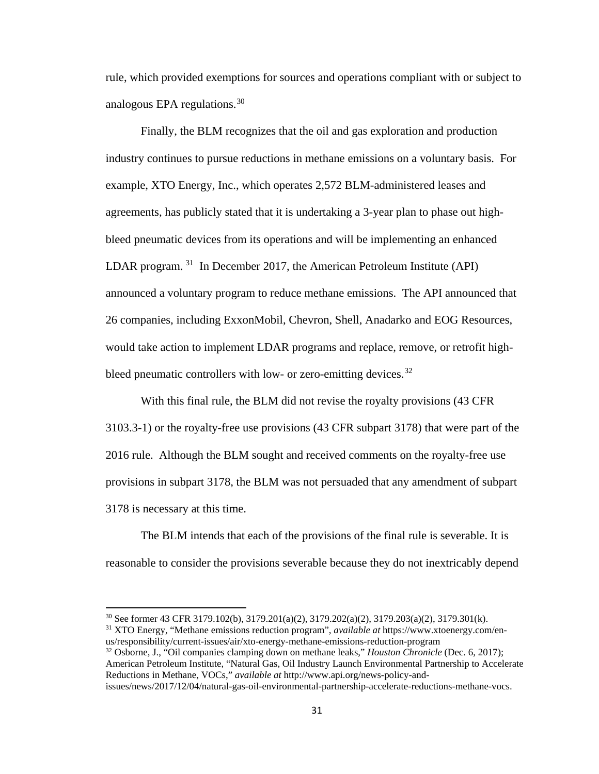rule, which provided exemptions for sources and operations compliant with or subject to analogous EPA regulations.<sup>[30](#page-30-0)</sup>

Finally, the BLM recognizes that the oil and gas exploration and production industry continues to pursue reductions in methane emissions on a voluntary basis. For example, XTO Energy, Inc., which operates 2,572 BLM-administered leases and agreements, has publicly stated that it is undertaking a 3-year plan to phase out highbleed pneumatic devices from its operations and will be implementing an enhanced LDAR program.  $31$  In December 2017, the American Petroleum Institute (API) announced a voluntary program to reduce methane emissions. The API announced that 26 companies, including ExxonMobil, Chevron, Shell, Anadarko and EOG Resources, would take action to implement LDAR programs and replace, remove, or retrofit high-bleed pneumatic controllers with low- or zero-emitting devices.<sup>[32](#page-30-2)</sup>

With this final rule, the BLM did not revise the royalty provisions (43 CFR 3103.3-1) or the royalty-free use provisions (43 CFR subpart 3178) that were part of the 2016 rule. Although the BLM sought and received comments on the royalty-free use provisions in subpart 3178, the BLM was not persuaded that any amendment of subpart 3178 is necessary at this time.

The BLM intends that each of the provisions of the final rule is severable. It is reasonable to consider the provisions severable because they do not inextricably depend

 $\overline{a}$ 

<sup>30</sup> See former 43 CFR 3179.102(b), 3179.201(a)(2), 3179.202(a)(2), 3179.203(a)(2), 3179.301(k).

<span id="page-30-1"></span><span id="page-30-0"></span><sup>31</sup> XTO Energy, "Methane emissions reduction program", *available at* https://www.xtoenergy.com/enus/responsibility/current-issues/air/xto-energy-methane-emissions-reduction-program

<span id="page-30-2"></span><sup>32</sup> Osborne, J., "Oil companies clamping down on methane leaks," *Houston Chronicle* (Dec. 6, 2017); American Petroleum Institute, "Natural Gas, Oil Industry Launch Environmental Partnership to Accelerate Reductions in Methane, VOCs," *available at* http://www.api.org/news-policy-andissues/news/2017/12/04/natural-gas-oil-environmental-partnership-accelerate-reductions-methane-vocs.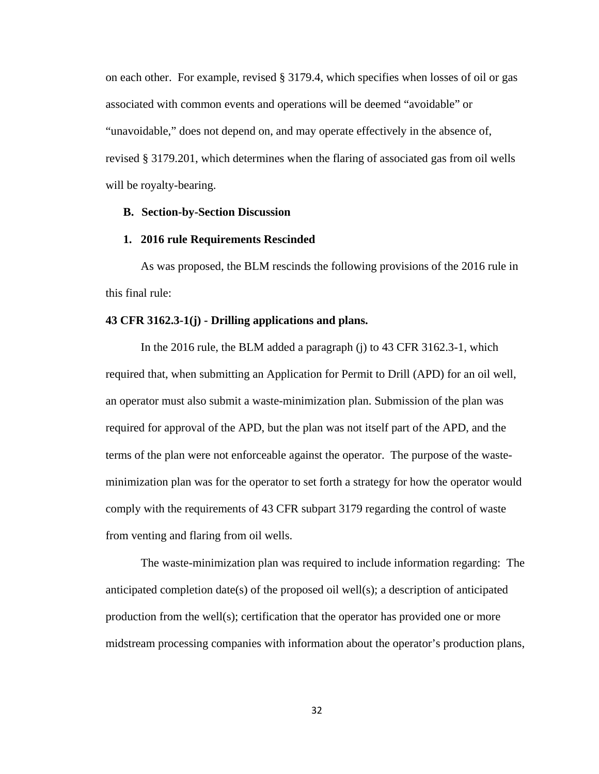on each other. For example, revised § 3179.4, which specifies when losses of oil or gas associated with common events and operations will be deemed "avoidable" or "unavoidable," does not depend on, and may operate effectively in the absence of, revised § 3179.201, which determines when the flaring of associated gas from oil wells will be royalty-bearing.

# **B. Section-by-Section Discussion**

### **1. 2016 rule Requirements Rescinded**

As was proposed, the BLM rescinds the following provisions of the 2016 rule in this final rule:

# **43 CFR 3162.3-1(j) - Drilling applications and plans.**

 In the 2016 rule, the BLM added a paragraph (j) to 43 CFR 3162.3-1, which required that, when submitting an Application for Permit to Drill (APD) for an oil well, an operator must also submit a waste-minimization plan. Submission of the plan was required for approval of the APD, but the plan was not itself part of the APD, and the terms of the plan were not enforceable against the operator. The purpose of the wasteminimization plan was for the operator to set forth a strategy for how the operator would comply with the requirements of 43 CFR subpart 3179 regarding the control of waste from venting and flaring from oil wells.

The waste-minimization plan was required to include information regarding: The anticipated completion date(s) of the proposed oil well(s); a description of anticipated production from the well(s); certification that the operator has provided one or more midstream processing companies with information about the operator's production plans,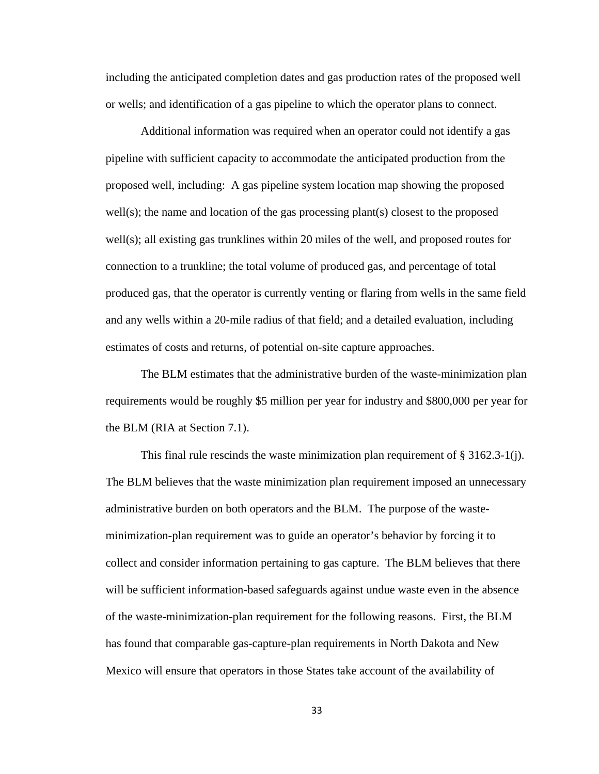including the anticipated completion dates and gas production rates of the proposed well or wells; and identification of a gas pipeline to which the operator plans to connect.

Additional information was required when an operator could not identify a gas pipeline with sufficient capacity to accommodate the anticipated production from the proposed well, including: A gas pipeline system location map showing the proposed well(s); the name and location of the gas processing plant(s) closest to the proposed well(s); all existing gas trunklines within 20 miles of the well, and proposed routes for connection to a trunkline; the total volume of produced gas, and percentage of total produced gas, that the operator is currently venting or flaring from wells in the same field and any wells within a 20-mile radius of that field; and a detailed evaluation, including estimates of costs and returns, of potential on-site capture approaches.

The BLM estimates that the administrative burden of the waste-minimization plan requirements would be roughly \$5 million per year for industry and \$800,000 per year for the BLM (RIA at Section 7.1).

This final rule rescinds the waste minimization plan requirement of  $\S 3162.3-1$ (j). The BLM believes that the waste minimization plan requirement imposed an unnecessary administrative burden on both operators and the BLM. The purpose of the wasteminimization-plan requirement was to guide an operator's behavior by forcing it to collect and consider information pertaining to gas capture. The BLM believes that there will be sufficient information-based safeguards against undue waste even in the absence of the waste-minimization-plan requirement for the following reasons. First, the BLM has found that comparable gas-capture-plan requirements in North Dakota and New Mexico will ensure that operators in those States take account of the availability of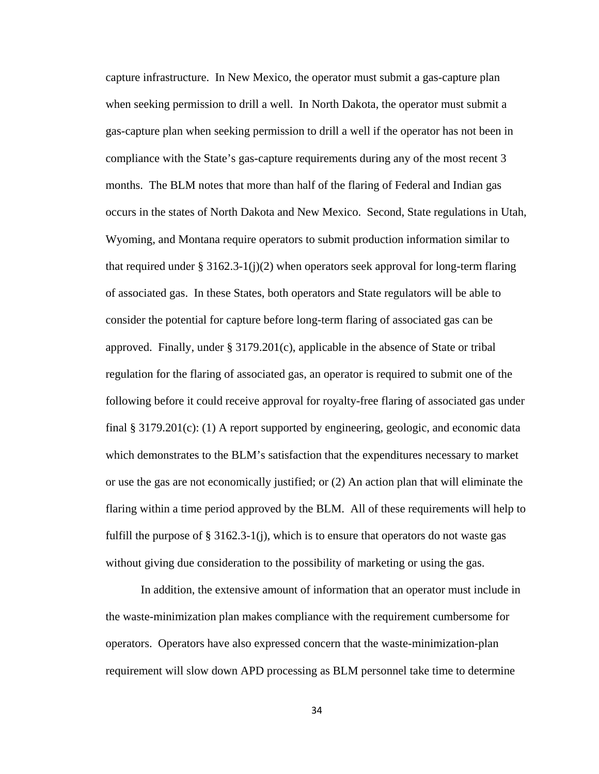capture infrastructure. In New Mexico, the operator must submit a gas-capture plan when seeking permission to drill a well. In North Dakota, the operator must submit a gas-capture plan when seeking permission to drill a well if the operator has not been in compliance with the State's gas-capture requirements during any of the most recent 3 months. The BLM notes that more than half of the flaring of Federal and Indian gas occurs in the states of North Dakota and New Mexico. Second, State regulations in Utah, Wyoming, and Montana require operators to submit production information similar to that required under § 3162.3-1(j)(2) when operators seek approval for long-term flaring of associated gas. In these States, both operators and State regulators will be able to consider the potential for capture before long-term flaring of associated gas can be approved. Finally, under  $\S 3179.201(c)$ , applicable in the absence of State or tribal regulation for the flaring of associated gas, an operator is required to submit one of the following before it could receive approval for royalty-free flaring of associated gas under final § 3179.201(c): (1) A report supported by engineering, geologic, and economic data which demonstrates to the BLM's satisfaction that the expenditures necessary to market or use the gas are not economically justified; or (2) An action plan that will eliminate the flaring within a time period approved by the BLM. All of these requirements will help to fulfill the purpose of  $\S 3162.3-1$  (j), which is to ensure that operators do not waste gas without giving due consideration to the possibility of marketing or using the gas.

In addition, the extensive amount of information that an operator must include in the waste-minimization plan makes compliance with the requirement cumbersome for operators. Operators have also expressed concern that the waste-minimization-plan requirement will slow down APD processing as BLM personnel take time to determine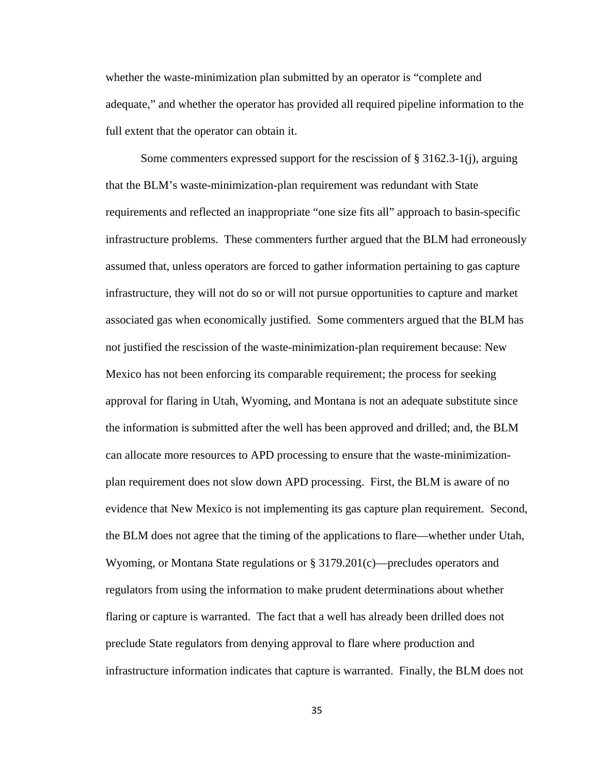whether the waste-minimization plan submitted by an operator is "complete and adequate," and whether the operator has provided all required pipeline information to the full extent that the operator can obtain it.

Some commenters expressed support for the rescission of § 3162.3-1(j), arguing that the BLM's waste-minimization-plan requirement was redundant with State requirements and reflected an inappropriate "one size fits all" approach to basin-specific infrastructure problems. These commenters further argued that the BLM had erroneously assumed that, unless operators are forced to gather information pertaining to gas capture infrastructure, they will not do so or will not pursue opportunities to capture and market associated gas when economically justified. Some commenters argued that the BLM has not justified the rescission of the waste-minimization-plan requirement because: New Mexico has not been enforcing its comparable requirement; the process for seeking approval for flaring in Utah, Wyoming, and Montana is not an adequate substitute since the information is submitted after the well has been approved and drilled; and, the BLM can allocate more resources to APD processing to ensure that the waste-minimizationplan requirement does not slow down APD processing. First, the BLM is aware of no evidence that New Mexico is not implementing its gas capture plan requirement. Second, the BLM does not agree that the timing of the applications to flare—whether under Utah, Wyoming, or Montana State regulations or § 3179.201(c)—precludes operators and regulators from using the information to make prudent determinations about whether flaring or capture is warranted. The fact that a well has already been drilled does not preclude State regulators from denying approval to flare where production and infrastructure information indicates that capture is warranted. Finally, the BLM does not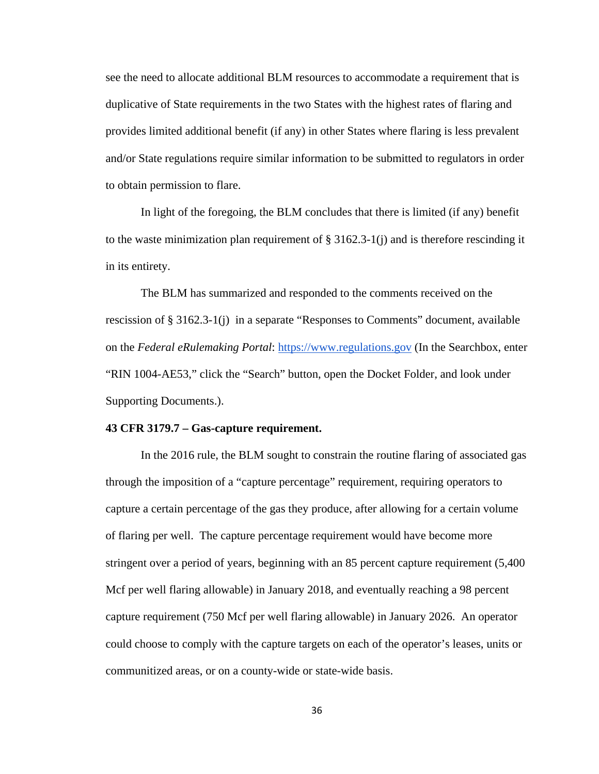see the need to allocate additional BLM resources to accommodate a requirement that is duplicative of State requirements in the two States with the highest rates of flaring and provides limited additional benefit (if any) in other States where flaring is less prevalent and/or State regulations require similar information to be submitted to regulators in order to obtain permission to flare.

In light of the foregoing, the BLM concludes that there is limited (if any) benefit to the waste minimization plan requirement of  $\S 3162.3-1$  (j) and is therefore rescinding it in its entirety.

The BLM has summarized and responded to the comments received on the rescission of § 3162.3-1(j) in a separate "Responses to Comments" document, available on the *Federal eRulemaking Portal*: https://www.regulations.gov (In the Searchbox, enter "RIN 1004-AE53," click the "Search" button, open the Docket Folder, and look under Supporting Documents.).

#### **43 CFR 3179.7 – Gas-capture requirement.**

 In the 2016 rule, the BLM sought to constrain the routine flaring of associated gas through the imposition of a "capture percentage" requirement, requiring operators to capture a certain percentage of the gas they produce, after allowing for a certain volume of flaring per well. The capture percentage requirement would have become more stringent over a period of years, beginning with an 85 percent capture requirement (5,400 Mcf per well flaring allowable) in January 2018, and eventually reaching a 98 percent capture requirement (750 Mcf per well flaring allowable) in January 2026. An operator could choose to comply with the capture targets on each of the operator's leases, units or communitized areas, or on a county-wide or state-wide basis.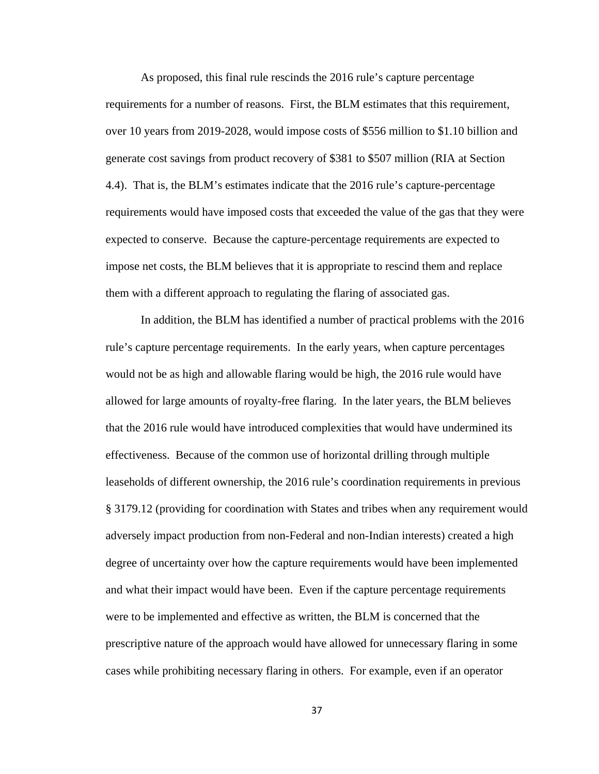As proposed, this final rule rescinds the 2016 rule's capture percentage requirements for a number of reasons. First, the BLM estimates that this requirement, over 10 years from 2019-2028, would impose costs of \$556 million to \$1.10 billion and generate cost savings from product recovery of \$381 to \$507 million (RIA at Section 4.4). That is, the BLM's estimates indicate that the 2016 rule's capture-percentage requirements would have imposed costs that exceeded the value of the gas that they were expected to conserve. Because the capture-percentage requirements are expected to impose net costs, the BLM believes that it is appropriate to rescind them and replace them with a different approach to regulating the flaring of associated gas.

In addition, the BLM has identified a number of practical problems with the 2016 rule's capture percentage requirements. In the early years, when capture percentages would not be as high and allowable flaring would be high, the 2016 rule would have allowed for large amounts of royalty-free flaring. In the later years, the BLM believes that the 2016 rule would have introduced complexities that would have undermined its effectiveness. Because of the common use of horizontal drilling through multiple leaseholds of different ownership, the 2016 rule's coordination requirements in previous § 3179.12 (providing for coordination with States and tribes when any requirement would adversely impact production from non-Federal and non-Indian interests) created a high degree of uncertainty over how the capture requirements would have been implemented and what their impact would have been. Even if the capture percentage requirements were to be implemented and effective as written, the BLM is concerned that the prescriptive nature of the approach would have allowed for unnecessary flaring in some cases while prohibiting necessary flaring in others. For example, even if an operator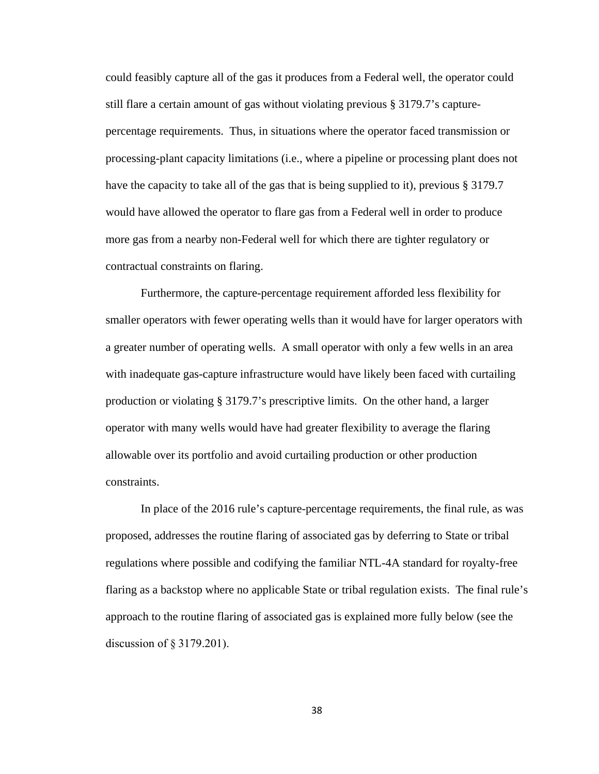could feasibly capture all of the gas it produces from a Federal well, the operator could still flare a certain amount of gas without violating previous § 3179.7's capturepercentage requirements. Thus, in situations where the operator faced transmission or processing-plant capacity limitations (i.e., where a pipeline or processing plant does not have the capacity to take all of the gas that is being supplied to it), previous § 3179.7 would have allowed the operator to flare gas from a Federal well in order to produce more gas from a nearby non-Federal well for which there are tighter regulatory or contractual constraints on flaring.

Furthermore, the capture-percentage requirement afforded less flexibility for smaller operators with fewer operating wells than it would have for larger operators with a greater number of operating wells. A small operator with only a few wells in an area with inadequate gas-capture infrastructure would have likely been faced with curtailing production or violating § 3179.7's prescriptive limits. On the other hand, a larger operator with many wells would have had greater flexibility to average the flaring allowable over its portfolio and avoid curtailing production or other production constraints.

In place of the 2016 rule's capture-percentage requirements, the final rule, as was proposed, addresses the routine flaring of associated gas by deferring to State or tribal regulations where possible and codifying the familiar NTL-4A standard for royalty-free flaring as a backstop where no applicable State or tribal regulation exists. The final rule's approach to the routine flaring of associated gas is explained more fully below (see the discussion of § 3179.201).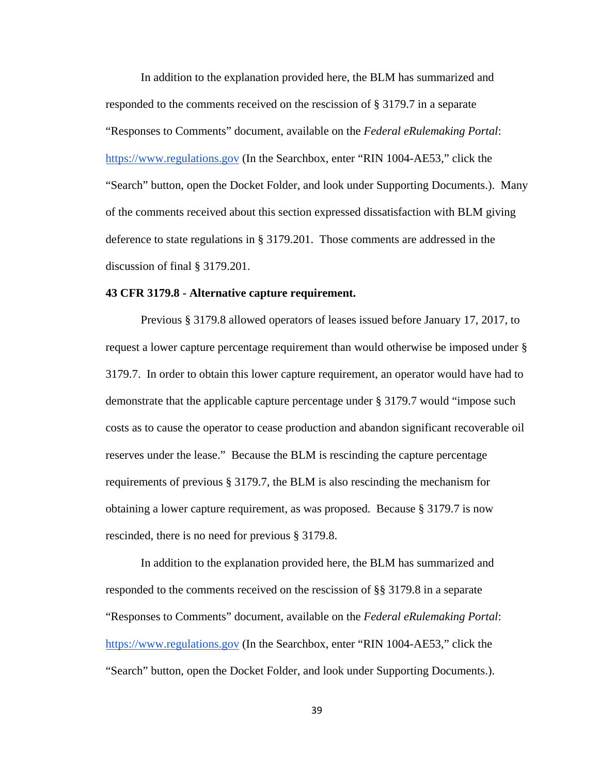In addition to the explanation provided here, the BLM has summarized and responded to the comments received on the rescission of § 3179.7 in a separate "Responses to Comments" document, available on the *Federal eRulemaking Portal*: https://www.regulations.gov (In the Searchbox, enter "RIN 1004-AE53," click the "Search" button, open the Docket Folder, and look under Supporting Documents.). Many of the comments received about this section expressed dissatisfaction with BLM giving deference to state regulations in § 3179.201. Those comments are addressed in the discussion of final § 3179.201.

#### **43 CFR 3179.8 - Alternative capture requirement.**

Previous § 3179.8 allowed operators of leases issued before January 17, 2017, to request a lower capture percentage requirement than would otherwise be imposed under § 3179.7. In order to obtain this lower capture requirement, an operator would have had to demonstrate that the applicable capture percentage under § 3179.7 would "impose such costs as to cause the operator to cease production and abandon significant recoverable oil reserves under the lease." Because the BLM is rescinding the capture percentage requirements of previous § 3179.7, the BLM is also rescinding the mechanism for obtaining a lower capture requirement, as was proposed. Because § 3179.7 is now rescinded, there is no need for previous § 3179.8.

In addition to the explanation provided here, the BLM has summarized and responded to the comments received on the rescission of §§ 3179.8 in a separate "Responses to Comments" document, available on the *Federal eRulemaking Portal*: https://www.regulations.gov (In the Searchbox, enter "RIN 1004-AE53," click the "Search" button, open the Docket Folder, and look under Supporting Documents.).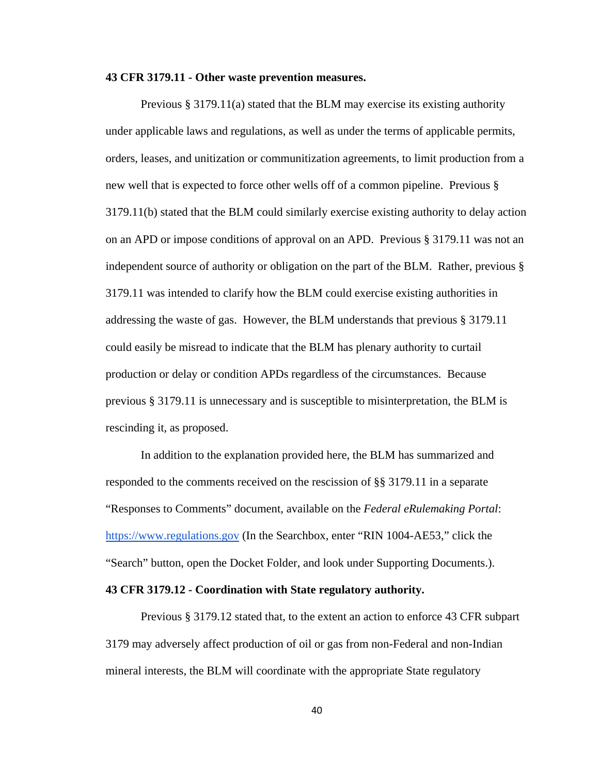#### **43 CFR 3179.11 - Other waste prevention measures.**

Previous § 3179.11(a) stated that the BLM may exercise its existing authority under applicable laws and regulations, as well as under the terms of applicable permits, orders, leases, and unitization or communitization agreements, to limit production from a new well that is expected to force other wells off of a common pipeline. Previous § 3179.11(b) stated that the BLM could similarly exercise existing authority to delay action on an APD or impose conditions of approval on an APD. Previous § 3179.11 was not an independent source of authority or obligation on the part of the BLM. Rather, previous § 3179.11 was intended to clarify how the BLM could exercise existing authorities in addressing the waste of gas. However, the BLM understands that previous § 3179.11 could easily be misread to indicate that the BLM has plenary authority to curtail production or delay or condition APDs regardless of the circumstances. Because previous § 3179.11 is unnecessary and is susceptible to misinterpretation, the BLM is rescinding it, as proposed.

In addition to the explanation provided here, the BLM has summarized and responded to the comments received on the rescission of §§ 3179.11 in a separate "Responses to Comments" document, available on the *Federal eRulemaking Portal*: https://www.regulations.gov (In the Searchbox, enter "RIN 1004-AE53," click the "Search" button, open the Docket Folder, and look under Supporting Documents.).

### **43 CFR 3179.12 - Coordination with State regulatory authority.**

Previous § 3179.12 stated that, to the extent an action to enforce 43 CFR subpart 3179 may adversely affect production of oil or gas from non-Federal and non-Indian mineral interests, the BLM will coordinate with the appropriate State regulatory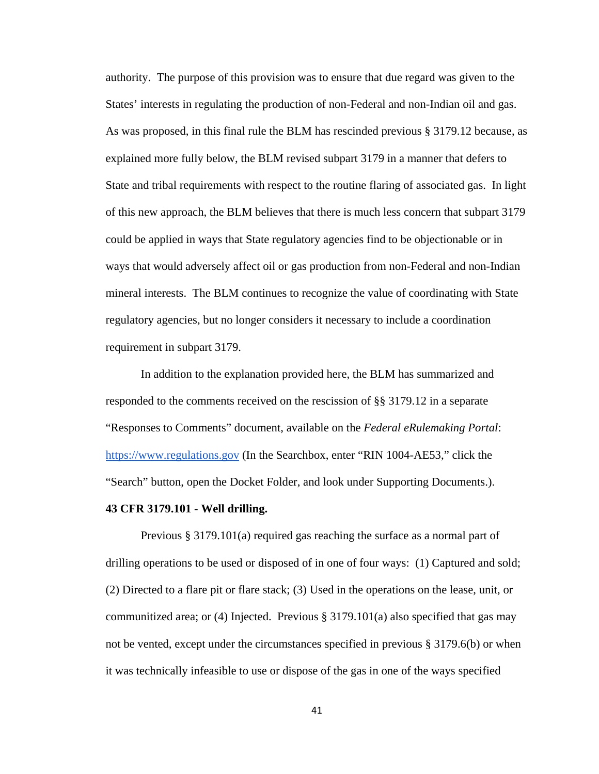authority. The purpose of this provision was to ensure that due regard was given to the States' interests in regulating the production of non-Federal and non-Indian oil and gas. As was proposed, in this final rule the BLM has rescinded previous § 3179.12 because, as explained more fully below, the BLM revised subpart 3179 in a manner that defers to State and tribal requirements with respect to the routine flaring of associated gas. In light of this new approach, the BLM believes that there is much less concern that subpart 3179 could be applied in ways that State regulatory agencies find to be objectionable or in ways that would adversely affect oil or gas production from non-Federal and non-Indian mineral interests. The BLM continues to recognize the value of coordinating with State regulatory agencies, but no longer considers it necessary to include a coordination requirement in subpart 3179.

In addition to the explanation provided here, the BLM has summarized and responded to the comments received on the rescission of §§ 3179.12 in a separate "Responses to Comments" document, available on the *Federal eRulemaking Portal*: https://www.regulations.gov (In the Searchbox, enter "RIN 1004-AE53," click the "Search" button, open the Docket Folder, and look under Supporting Documents.).

### **43 CFR 3179.101 - Well drilling.**

 Previous § 3179.101(a) required gas reaching the surface as a normal part of drilling operations to be used or disposed of in one of four ways: (1) Captured and sold; (2) Directed to a flare pit or flare stack; (3) Used in the operations on the lease, unit, or communitized area; or (4) Injected. Previous  $\S 3179.101(a)$  also specified that gas may not be vented, except under the circumstances specified in previous § 3179.6(b) or when it was technically infeasible to use or dispose of the gas in one of the ways specified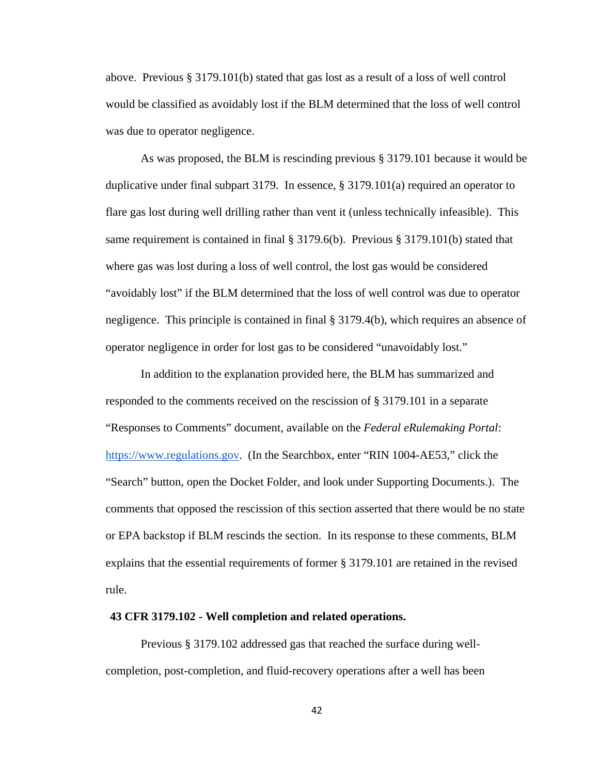above. Previous § 3179.101(b) stated that gas lost as a result of a loss of well control would be classified as avoidably lost if the BLM determined that the loss of well control was due to operator negligence.

As was proposed, the BLM is rescinding previous § 3179.101 because it would be duplicative under final subpart 3179. In essence, § 3179.101(a) required an operator to flare gas lost during well drilling rather than vent it (unless technically infeasible). This same requirement is contained in final § 3179.6(b). Previous § 3179.101(b) stated that where gas was lost during a loss of well control, the lost gas would be considered "avoidably lost" if the BLM determined that the loss of well control was due to operator negligence. This principle is contained in final § 3179.4(b), which requires an absence of operator negligence in order for lost gas to be considered "unavoidably lost."

In addition to the explanation provided here, the BLM has summarized and responded to the comments received on the rescission of § 3179.101 in a separate "Responses to Comments" document, available on the *Federal eRulemaking Portal*: https://www.regulations.gov. (In the Searchbox, enter "RIN 1004-AE53," click the "Search" button, open the Docket Folder, and look under Supporting Documents.). The comments that opposed the rescission of this section asserted that there would be no state or EPA backstop if BLM rescinds the section. In its response to these comments, BLM explains that the essential requirements of former § 3179.101 are retained in the revised rule.

#### **43 CFR 3179.102 - Well completion and related operations.**

Previous § 3179.102 addressed gas that reached the surface during wellcompletion, post-completion, and fluid-recovery operations after a well has been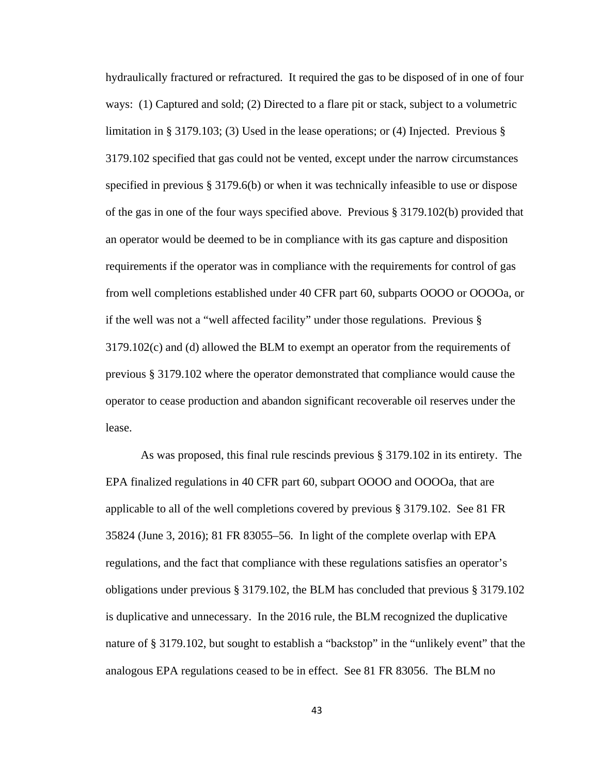hydraulically fractured or refractured. It required the gas to be disposed of in one of four ways: (1) Captured and sold; (2) Directed to a flare pit or stack, subject to a volumetric limitation in § 3179.103; (3) Used in the lease operations; or (4) Injected. Previous § 3179.102 specified that gas could not be vented, except under the narrow circumstances specified in previous § 3179.6(b) or when it was technically infeasible to use or dispose of the gas in one of the four ways specified above. Previous § 3179.102(b) provided that an operator would be deemed to be in compliance with its gas capture and disposition requirements if the operator was in compliance with the requirements for control of gas from well completions established under 40 CFR part 60, subparts OOOO or OOOOa, or if the well was not a "well affected facility" under those regulations. Previous § 3179.102(c) and (d) allowed the BLM to exempt an operator from the requirements of previous § 3179.102 where the operator demonstrated that compliance would cause the operator to cease production and abandon significant recoverable oil reserves under the lease.

As was proposed, this final rule rescinds previous § 3179.102 in its entirety. The EPA finalized regulations in 40 CFR part 60, subpart OOOO and OOOOa, that are applicable to all of the well completions covered by previous § 3179.102. See 81 FR 35824 (June 3, 2016); 81 FR 83055–56. In light of the complete overlap with EPA regulations, and the fact that compliance with these regulations satisfies an operator's obligations under previous § 3179.102, the BLM has concluded that previous § 3179.102 is duplicative and unnecessary. In the 2016 rule, the BLM recognized the duplicative nature of § 3179.102, but sought to establish a "backstop" in the "unlikely event" that the analogous EPA regulations ceased to be in effect. See 81 FR 83056. The BLM no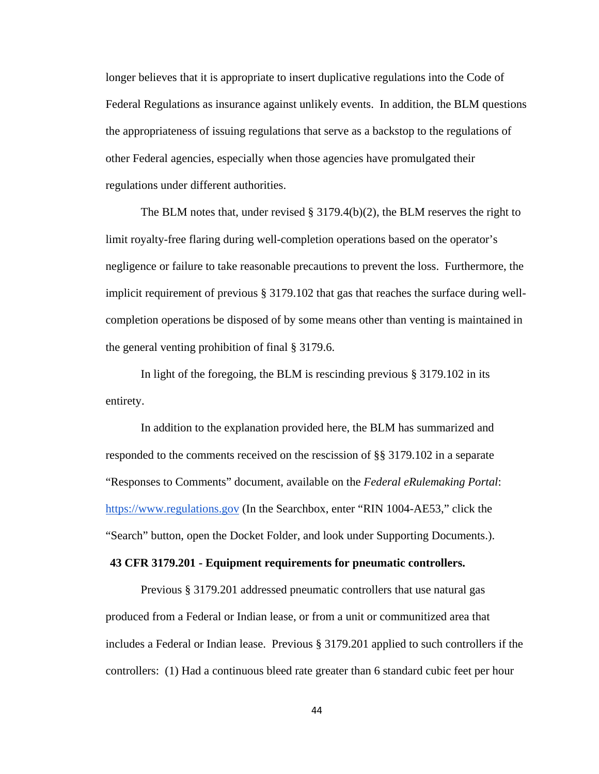longer believes that it is appropriate to insert duplicative regulations into the Code of Federal Regulations as insurance against unlikely events. In addition, the BLM questions the appropriateness of issuing regulations that serve as a backstop to the regulations of other Federal agencies, especially when those agencies have promulgated their regulations under different authorities.

The BLM notes that, under revised  $\S 3179.4(b)(2)$ , the BLM reserves the right to limit royalty-free flaring during well-completion operations based on the operator's negligence or failure to take reasonable precautions to prevent the loss. Furthermore, the implicit requirement of previous § 3179.102 that gas that reaches the surface during wellcompletion operations be disposed of by some means other than venting is maintained in the general venting prohibition of final § 3179.6.

In light of the foregoing, the BLM is rescinding previous § 3179.102 in its entirety.

In addition to the explanation provided here, the BLM has summarized and responded to the comments received on the rescission of §§ 3179.102 in a separate "Responses to Comments" document, available on the *Federal eRulemaking Portal*: https://www.regulations.gov (In the Searchbox, enter "RIN 1004-AE53," click the "Search" button, open the Docket Folder, and look under Supporting Documents.).

### **43 CFR 3179.201 - Equipment requirements for pneumatic controllers.**

 Previous § 3179.201 addressed pneumatic controllers that use natural gas produced from a Federal or Indian lease, or from a unit or communitized area that includes a Federal or Indian lease. Previous § 3179.201 applied to such controllers if the controllers: (1) Had a continuous bleed rate greater than 6 standard cubic feet per hour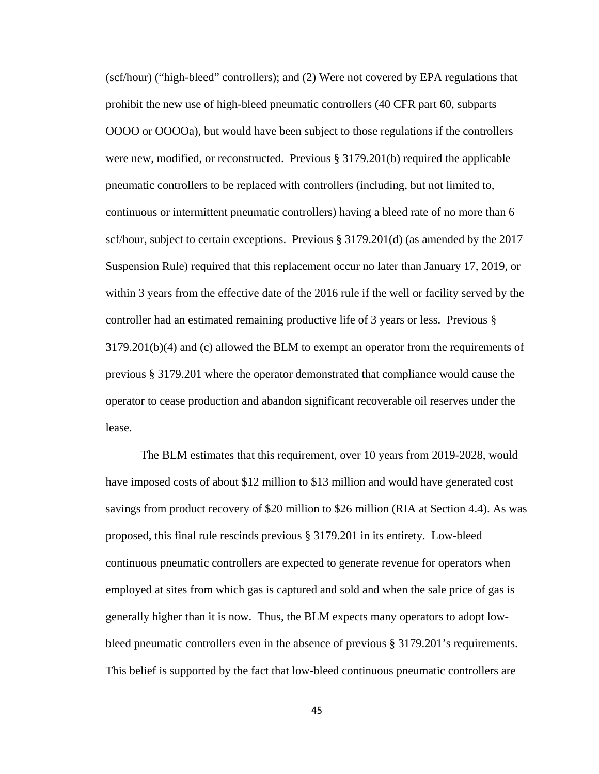(scf/hour) ("high-bleed" controllers); and (2) Were not covered by EPA regulations that prohibit the new use of high-bleed pneumatic controllers (40 CFR part 60, subparts OOOO or OOOOa), but would have been subject to those regulations if the controllers were new, modified, or reconstructed. Previous  $\S 3179.201(b)$  required the applicable pneumatic controllers to be replaced with controllers (including, but not limited to, continuous or intermittent pneumatic controllers) having a bleed rate of no more than 6 scf/hour, subject to certain exceptions. Previous § 3179.201(d) (as amended by the 2017 Suspension Rule) required that this replacement occur no later than January 17, 2019, or within 3 years from the effective date of the 2016 rule if the well or facility served by the controller had an estimated remaining productive life of 3 years or less. Previous § 3179.201(b)(4) and (c) allowed the BLM to exempt an operator from the requirements of previous § 3179.201 where the operator demonstrated that compliance would cause the operator to cease production and abandon significant recoverable oil reserves under the lease.

The BLM estimates that this requirement, over 10 years from 2019-2028, would have imposed costs of about \$12 million to \$13 million and would have generated cost savings from product recovery of \$20 million to \$26 million (RIA at Section 4.4). As was proposed, this final rule rescinds previous § 3179.201 in its entirety. Low-bleed continuous pneumatic controllers are expected to generate revenue for operators when employed at sites from which gas is captured and sold and when the sale price of gas is generally higher than it is now. Thus, the BLM expects many operators to adopt lowbleed pneumatic controllers even in the absence of previous § 3179.201's requirements. This belief is supported by the fact that low-bleed continuous pneumatic controllers are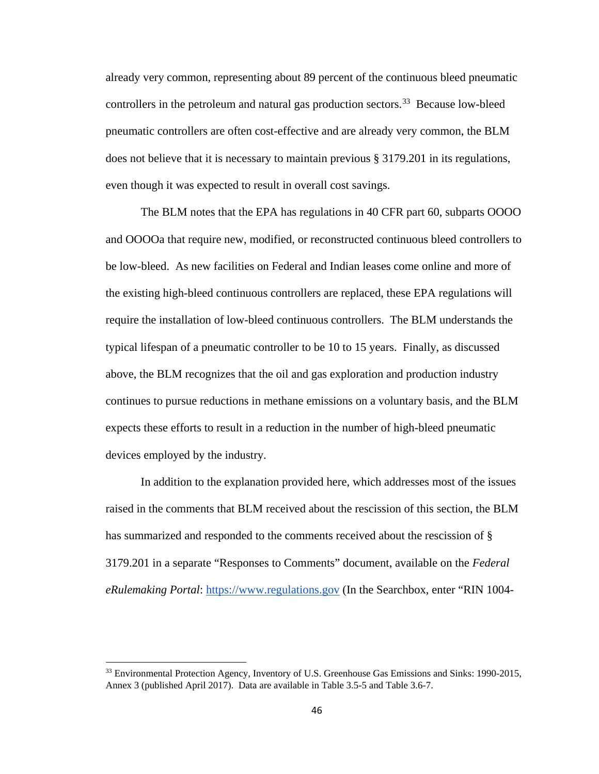already very common, representing about 89 percent of the continuous bleed pneumatic controllers in the petroleum and natural gas production sectors.<sup>33</sup> Because low-bleed pneumatic controllers are often cost-effective and are already very common, the BLM does not believe that it is necessary to maintain previous § 3179.201 in its regulations, even though it was expected to result in overall cost savings.

The BLM notes that the EPA has regulations in 40 CFR part 60, subparts OOOO and OOOOa that require new, modified, or reconstructed continuous bleed controllers to be low-bleed. As new facilities on Federal and Indian leases come online and more of the existing high-bleed continuous controllers are replaced, these EPA regulations will require the installation of low-bleed continuous controllers. The BLM understands the typical lifespan of a pneumatic controller to be 10 to 15 years. Finally, as discussed above, the BLM recognizes that the oil and gas exploration and production industry continues to pursue reductions in methane emissions on a voluntary basis, and the BLM expects these efforts to result in a reduction in the number of high-bleed pneumatic devices employed by the industry.

In addition to the explanation provided here, which addresses most of the issues raised in the comments that BLM received about the rescission of this section, the BLM has summarized and responded to the comments received about the rescission of § 3179.201 in a separate "Responses to Comments" document, available on the *Federal eRulemaking Portal*: https://www.regulations.gov (In the Searchbox, enter "RIN 1004-

l

<span id="page-45-0"></span><sup>33</sup> Environmental Protection Agency, Inventory of U.S. Greenhouse Gas Emissions and Sinks: 1990-2015, Annex 3 (published April 2017). Data are available in Table 3.5-5 and Table 3.6-7.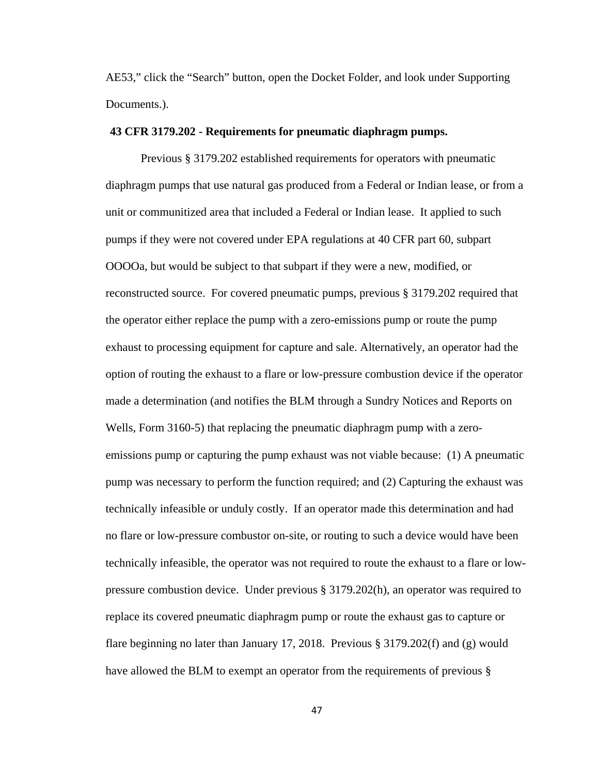AE53," click the "Search" button, open the Docket Folder, and look under Supporting Documents.).

### **43 CFR 3179.202 - Requirements for pneumatic diaphragm pumps.**

Previous § 3179.202 established requirements for operators with pneumatic diaphragm pumps that use natural gas produced from a Federal or Indian lease, or from a unit or communitized area that included a Federal or Indian lease. It applied to such pumps if they were not covered under EPA regulations at 40 CFR part 60, subpart OOOOa, but would be subject to that subpart if they were a new, modified, or reconstructed source. For covered pneumatic pumps, previous § 3179.202 required that the operator either replace the pump with a zero-emissions pump or route the pump exhaust to processing equipment for capture and sale. Alternatively, an operator had the option of routing the exhaust to a flare or low-pressure combustion device if the operator made a determination (and notifies the BLM through a Sundry Notices and Reports on Wells, Form 3160-5) that replacing the pneumatic diaphragm pump with a zeroemissions pump or capturing the pump exhaust was not viable because: (1) A pneumatic pump was necessary to perform the function required; and (2) Capturing the exhaust was technically infeasible or unduly costly. If an operator made this determination and had no flare or low-pressure combustor on-site, or routing to such a device would have been technically infeasible, the operator was not required to route the exhaust to a flare or lowpressure combustion device. Under previous § 3179.202(h), an operator was required to replace its covered pneumatic diaphragm pump or route the exhaust gas to capture or flare beginning no later than January 17, 2018. Previous § 3179.202(f) and (g) would have allowed the BLM to exempt an operator from the requirements of previous §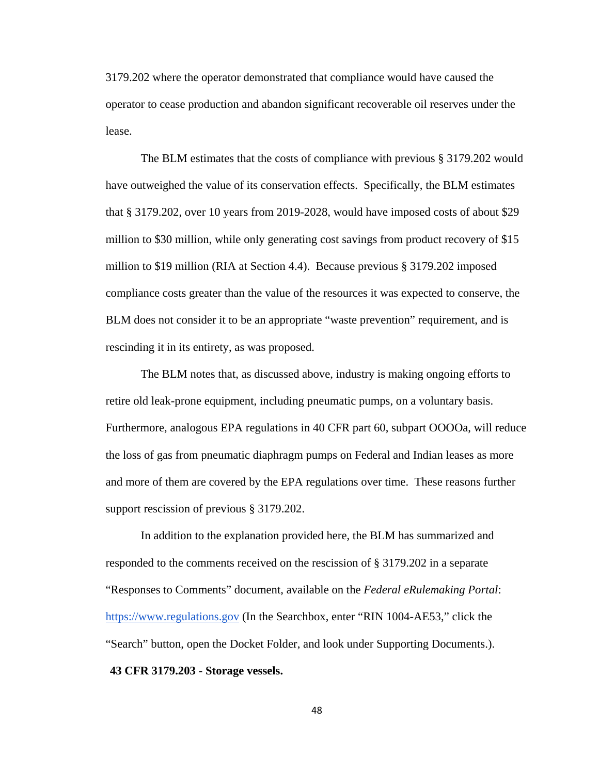3179.202 where the operator demonstrated that compliance would have caused the operator to cease production and abandon significant recoverable oil reserves under the lease.

 The BLM estimates that the costs of compliance with previous § 3179.202 would have outweighed the value of its conservation effects. Specifically, the BLM estimates that § 3179.202, over 10 years from 2019-2028, would have imposed costs of about \$29 million to \$30 million, while only generating cost savings from product recovery of \$15 million to \$19 million (RIA at Section 4.4). Because previous § 3179.202 imposed compliance costs greater than the value of the resources it was expected to conserve, the BLM does not consider it to be an appropriate "waste prevention" requirement, and is rescinding it in its entirety, as was proposed.

The BLM notes that, as discussed above, industry is making ongoing efforts to retire old leak-prone equipment, including pneumatic pumps, on a voluntary basis. Furthermore, analogous EPA regulations in 40 CFR part 60, subpart OOOOa, will reduce the loss of gas from pneumatic diaphragm pumps on Federal and Indian leases as more and more of them are covered by the EPA regulations over time. These reasons further support rescission of previous § 3179.202.

In addition to the explanation provided here, the BLM has summarized and responded to the comments received on the rescission of § 3179.202 in a separate "Responses to Comments" document, available on the *Federal eRulemaking Portal*: https://www.regulations.gov (In the Searchbox, enter "RIN 1004-AE53," click the "Search" button, open the Docket Folder, and look under Supporting Documents.). **43 CFR 3179.203 - Storage vessels.**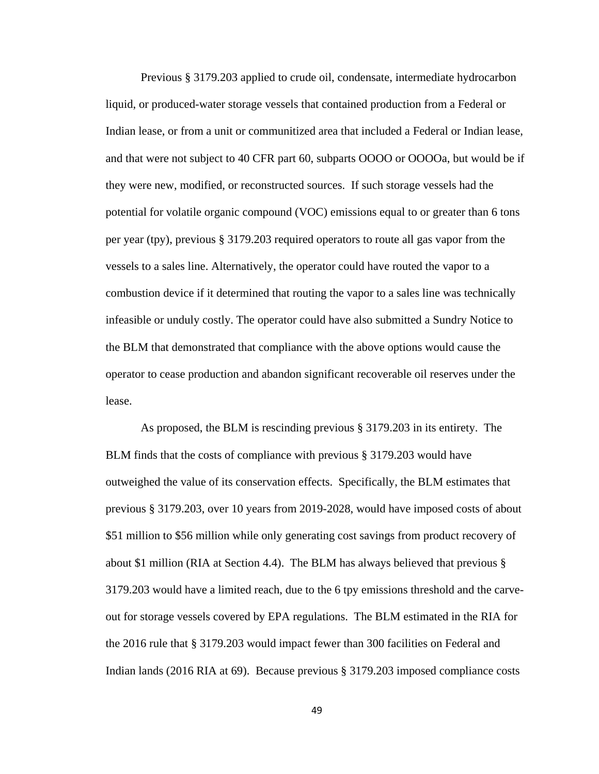Previous § 3179.203 applied to crude oil, condensate, intermediate hydrocarbon liquid, or produced-water storage vessels that contained production from a Federal or Indian lease, or from a unit or communitized area that included a Federal or Indian lease, and that were not subject to 40 CFR part 60, subparts OOOO or OOOOa, but would be if they were new, modified, or reconstructed sources. If such storage vessels had the potential for volatile organic compound (VOC) emissions equal to or greater than 6 tons per year (tpy), previous § 3179.203 required operators to route all gas vapor from the vessels to a sales line. Alternatively, the operator could have routed the vapor to a combustion device if it determined that routing the vapor to a sales line was technically infeasible or unduly costly. The operator could have also submitted a Sundry Notice to the BLM that demonstrated that compliance with the above options would cause the operator to cease production and abandon significant recoverable oil reserves under the lease.

As proposed, the BLM is rescinding previous § 3179.203 in its entirety. The BLM finds that the costs of compliance with previous § 3179.203 would have outweighed the value of its conservation effects. Specifically, the BLM estimates that previous § 3179.203, over 10 years from 2019-2028, would have imposed costs of about \$51 million to \$56 million while only generating cost savings from product recovery of about \$1 million (RIA at Section 4.4). The BLM has always believed that previous § 3179.203 would have a limited reach, due to the 6 tpy emissions threshold and the carveout for storage vessels covered by EPA regulations. The BLM estimated in the RIA for the 2016 rule that § 3179.203 would impact fewer than 300 facilities on Federal and Indian lands (2016 RIA at 69). Because previous § 3179.203 imposed compliance costs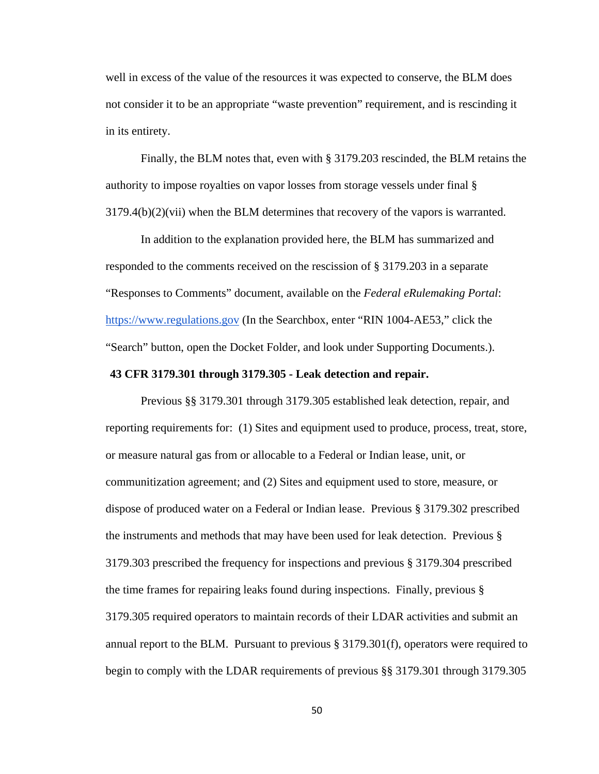well in excess of the value of the resources it was expected to conserve, the BLM does not consider it to be an appropriate "waste prevention" requirement, and is rescinding it in its entirety.

Finally, the BLM notes that, even with § 3179.203 rescinded, the BLM retains the authority to impose royalties on vapor losses from storage vessels under final §  $3179.4(b)(2)(vii)$  when the BLM determines that recovery of the vapors is warranted.

In addition to the explanation provided here, the BLM has summarized and responded to the comments received on the rescission of § 3179.203 in a separate "Responses to Comments" document, available on the *Federal eRulemaking Portal*: https://www.regulations.gov (In the Searchbox, enter "RIN 1004-AE53," click the "Search" button, open the Docket Folder, and look under Supporting Documents.).

## **43 CFR 3179.301 through 3179.305 - Leak detection and repair.**

 Previous §§ 3179.301 through 3179.305 established leak detection, repair, and reporting requirements for: (1) Sites and equipment used to produce, process, treat, store, or measure natural gas from or allocable to a Federal or Indian lease, unit, or communitization agreement; and (2) Sites and equipment used to store, measure, or dispose of produced water on a Federal or Indian lease. Previous § 3179.302 prescribed the instruments and methods that may have been used for leak detection. Previous § 3179.303 prescribed the frequency for inspections and previous § 3179.304 prescribed the time frames for repairing leaks found during inspections. Finally, previous § 3179.305 required operators to maintain records of their LDAR activities and submit an annual report to the BLM. Pursuant to previous  $\S 3179.301(f)$ , operators were required to begin to comply with the LDAR requirements of previous §§ 3179.301 through 3179.305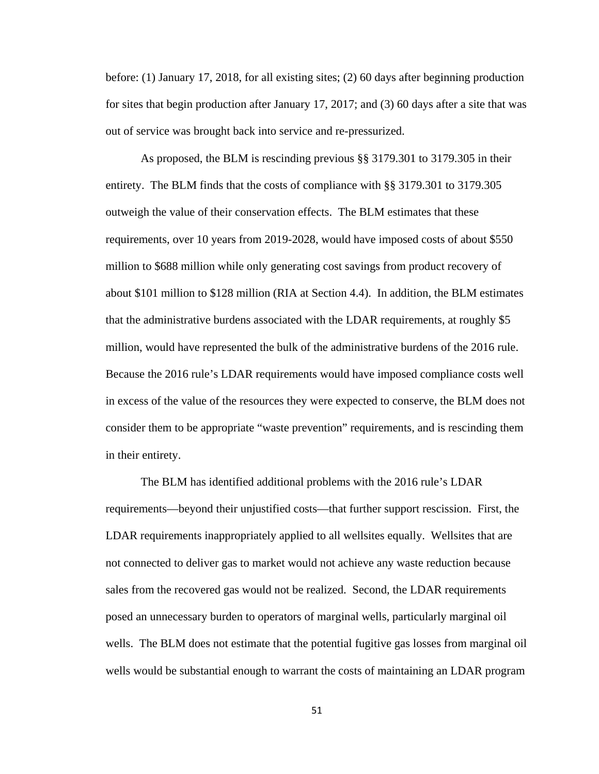before: (1) January 17, 2018, for all existing sites; (2) 60 days after beginning production for sites that begin production after January 17, 2017; and (3) 60 days after a site that was out of service was brought back into service and re-pressurized.

As proposed, the BLM is rescinding previous §§ 3179.301 to 3179.305 in their entirety. The BLM finds that the costs of compliance with §§ 3179.301 to 3179.305 outweigh the value of their conservation effects. The BLM estimates that these requirements, over 10 years from 2019-2028, would have imposed costs of about \$550 million to \$688 million while only generating cost savings from product recovery of about \$101 million to \$128 million (RIA at Section 4.4). In addition, the BLM estimates that the administrative burdens associated with the LDAR requirements, at roughly \$5 million, would have represented the bulk of the administrative burdens of the 2016 rule. Because the 2016 rule's LDAR requirements would have imposed compliance costs well in excess of the value of the resources they were expected to conserve, the BLM does not consider them to be appropriate "waste prevention" requirements, and is rescinding them in their entirety.

The BLM has identified additional problems with the 2016 rule's LDAR requirements—beyond their unjustified costs—that further support rescission. First, the LDAR requirements inappropriately applied to all wellsites equally. Wellsites that are not connected to deliver gas to market would not achieve any waste reduction because sales from the recovered gas would not be realized. Second, the LDAR requirements posed an unnecessary burden to operators of marginal wells, particularly marginal oil wells. The BLM does not estimate that the potential fugitive gas losses from marginal oil wells would be substantial enough to warrant the costs of maintaining an LDAR program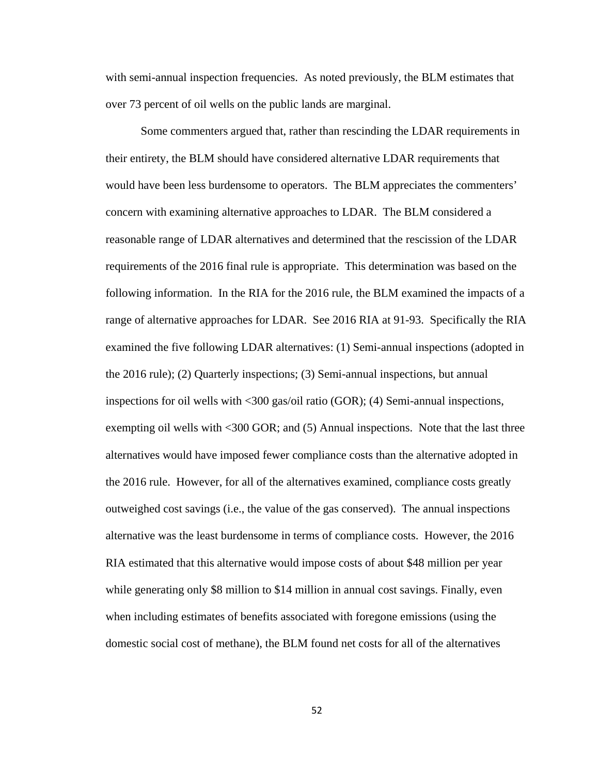with semi-annual inspection frequencies. As noted previously, the BLM estimates that over 73 percent of oil wells on the public lands are marginal.

Some commenters argued that, rather than rescinding the LDAR requirements in their entirety, the BLM should have considered alternative LDAR requirements that would have been less burdensome to operators. The BLM appreciates the commenters' concern with examining alternative approaches to LDAR. The BLM considered a reasonable range of LDAR alternatives and determined that the rescission of the LDAR requirements of the 2016 final rule is appropriate. This determination was based on the following information. In the RIA for the 2016 rule, the BLM examined the impacts of a range of alternative approaches for LDAR. See 2016 RIA at 91-93. Specifically the RIA examined the five following LDAR alternatives: (1) Semi-annual inspections (adopted in the 2016 rule); (2) Quarterly inspections; (3) Semi-annual inspections, but annual inspections for oil wells with <300 gas/oil ratio (GOR); (4) Semi-annual inspections, exempting oil wells with <300 GOR; and (5) Annual inspections. Note that the last three alternatives would have imposed fewer compliance costs than the alternative adopted in the 2016 rule. However, for all of the alternatives examined, compliance costs greatly outweighed cost savings (i.e., the value of the gas conserved). The annual inspections alternative was the least burdensome in terms of compliance costs. However, the 2016 RIA estimated that this alternative would impose costs of about \$48 million per year while generating only \$8 million to \$14 million in annual cost savings. Finally, even when including estimates of benefits associated with foregone emissions (using the domestic social cost of methane), the BLM found net costs for all of the alternatives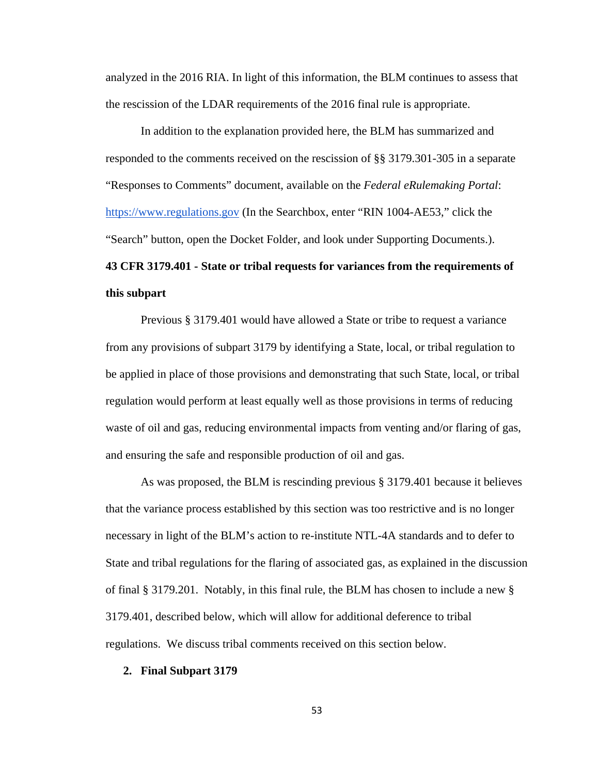analyzed in the 2016 RIA. In light of this information, the BLM continues to assess that the rescission of the LDAR requirements of the 2016 final rule is appropriate.

In addition to the explanation provided here, the BLM has summarized and responded to the comments received on the rescission of §§ 3179.301-305 in a separate "Responses to Comments" document, available on the *Federal eRulemaking Portal*: https://www.regulations.gov (In the Searchbox, enter "RIN 1004-AE53," click the "Search" button, open the Docket Folder, and look under Supporting Documents.). **43 CFR 3179.401 - State or tribal requests for variances from the requirements of** 

# **this subpart**

Previous § 3179.401 would have allowed a State or tribe to request a variance from any provisions of subpart 3179 by identifying a State, local, or tribal regulation to be applied in place of those provisions and demonstrating that such State, local, or tribal regulation would perform at least equally well as those provisions in terms of reducing waste of oil and gas, reducing environmental impacts from venting and/or flaring of gas, and ensuring the safe and responsible production of oil and gas.

As was proposed, the BLM is rescinding previous § 3179.401 because it believes that the variance process established by this section was too restrictive and is no longer necessary in light of the BLM's action to re-institute NTL-4A standards and to defer to State and tribal regulations for the flaring of associated gas, as explained in the discussion of final § 3179.201. Notably, in this final rule, the BLM has chosen to include a new § 3179.401, described below, which will allow for additional deference to tribal regulations. We discuss tribal comments received on this section below.

#### **2. Final Subpart 3179**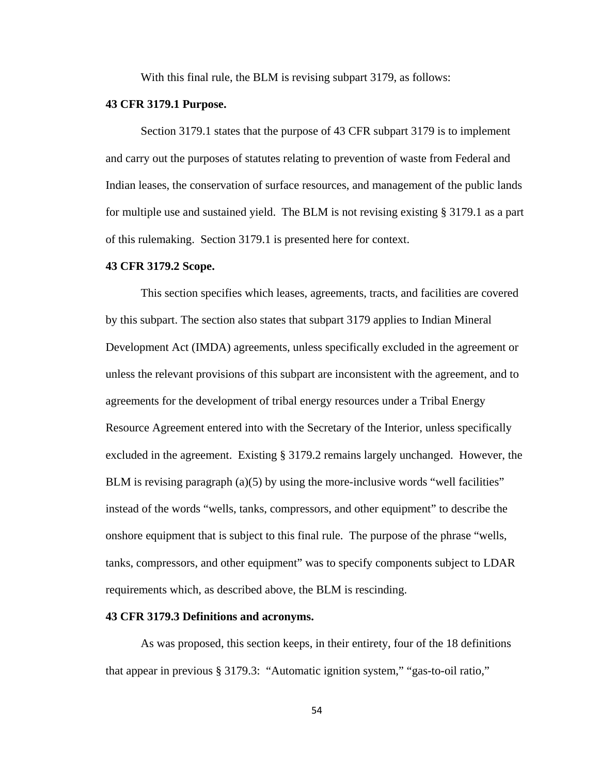With this final rule, the BLM is revising subpart 3179, as follows:

### **43 CFR 3179.1 Purpose.**

Section 3179.1 states that the purpose of 43 CFR subpart 3179 is to implement and carry out the purposes of statutes relating to prevention of waste from Federal and Indian leases, the conservation of surface resources, and management of the public lands for multiple use and sustained yield. The BLM is not revising existing § 3179.1 as a part of this rulemaking. Section 3179.1 is presented here for context.

### **43 CFR 3179.2 Scope.**

This section specifies which leases, agreements, tracts, and facilities are covered by this subpart. The section also states that subpart 3179 applies to Indian Mineral Development Act (IMDA) agreements, unless specifically excluded in the agreement or unless the relevant provisions of this subpart are inconsistent with the agreement, and to agreements for the development of tribal energy resources under a Tribal Energy Resource Agreement entered into with the Secretary of the Interior, unless specifically excluded in the agreement. Existing § 3179.2 remains largely unchanged. However, the BLM is revising paragraph (a)(5) by using the more-inclusive words "well facilities" instead of the words "wells, tanks, compressors, and other equipment" to describe the onshore equipment that is subject to this final rule. The purpose of the phrase "wells, tanks, compressors, and other equipment" was to specify components subject to LDAR requirements which, as described above, the BLM is rescinding.

### **43 CFR 3179.3 Definitions and acronyms.**

As was proposed, this section keeps, in their entirety, four of the 18 definitions that appear in previous § 3179.3: "Automatic ignition system," "gas-to-oil ratio,"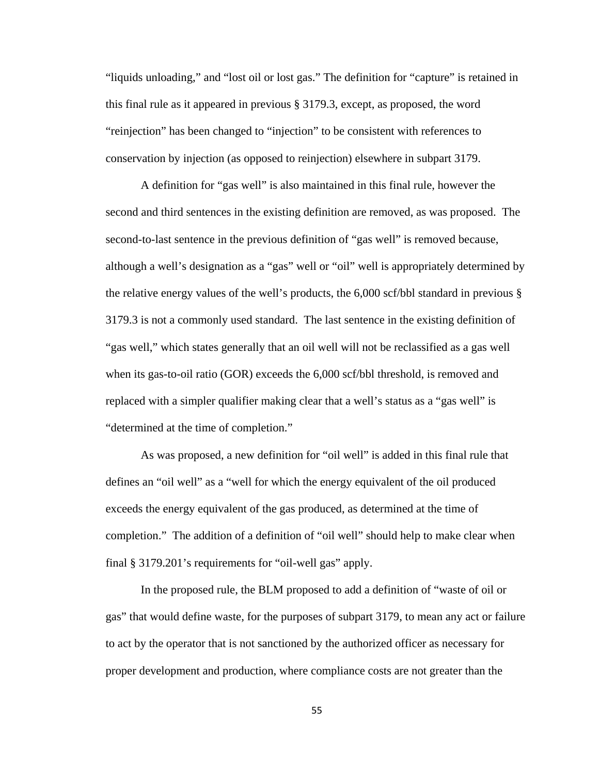"liquids unloading," and "lost oil or lost gas." The definition for "capture" is retained in this final rule as it appeared in previous § 3179.3, except, as proposed, the word "reinjection" has been changed to "injection" to be consistent with references to conservation by injection (as opposed to reinjection) elsewhere in subpart 3179.

A definition for "gas well" is also maintained in this final rule, however the second and third sentences in the existing definition are removed, as was proposed. The second-to-last sentence in the previous definition of "gas well" is removed because, although a well's designation as a "gas" well or "oil" well is appropriately determined by the relative energy values of the well's products, the 6,000 scf/bbl standard in previous § 3179.3 is not a commonly used standard. The last sentence in the existing definition of "gas well," which states generally that an oil well will not be reclassified as a gas well when its gas-to-oil ratio (GOR) exceeds the 6,000 scf/bbl threshold, is removed and replaced with a simpler qualifier making clear that a well's status as a "gas well" is "determined at the time of completion."

As was proposed, a new definition for "oil well" is added in this final rule that defines an "oil well" as a "well for which the energy equivalent of the oil produced exceeds the energy equivalent of the gas produced, as determined at the time of completion." The addition of a definition of "oil well" should help to make clear when final § 3179.201's requirements for "oil-well gas" apply.

In the proposed rule, the BLM proposed to add a definition of "waste of oil or gas" that would define waste, for the purposes of subpart 3179, to mean any act or failure to act by the operator that is not sanctioned by the authorized officer as necessary for proper development and production, where compliance costs are not greater than the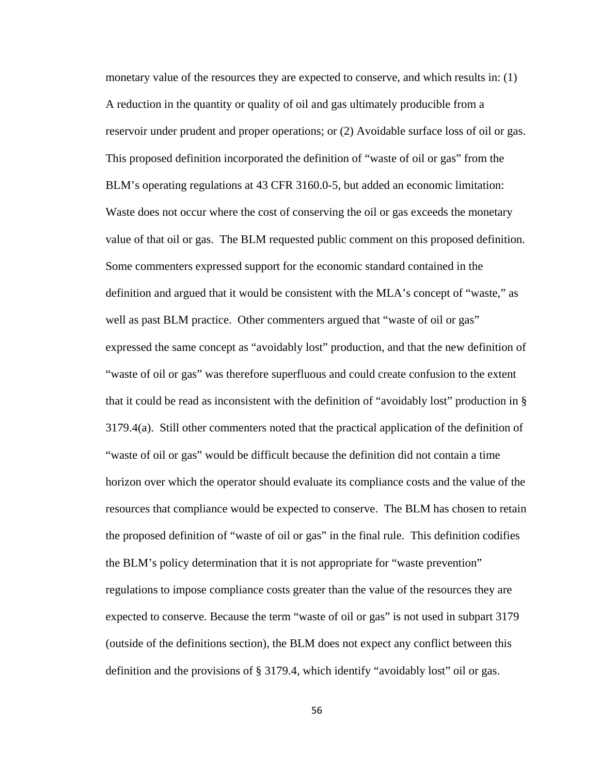monetary value of the resources they are expected to conserve, and which results in: (1) A reduction in the quantity or quality of oil and gas ultimately producible from a reservoir under prudent and proper operations; or (2) Avoidable surface loss of oil or gas. This proposed definition incorporated the definition of "waste of oil or gas" from the BLM's operating regulations at 43 CFR 3160.0-5, but added an economic limitation: Waste does not occur where the cost of conserving the oil or gas exceeds the monetary value of that oil or gas. The BLM requested public comment on this proposed definition. Some commenters expressed support for the economic standard contained in the definition and argued that it would be consistent with the MLA's concept of "waste," as well as past BLM practice. Other commenters argued that "waste of oil or gas" expressed the same concept as "avoidably lost" production, and that the new definition of "waste of oil or gas" was therefore superfluous and could create confusion to the extent that it could be read as inconsistent with the definition of "avoidably lost" production in § 3179.4(a). Still other commenters noted that the practical application of the definition of "waste of oil or gas" would be difficult because the definition did not contain a time horizon over which the operator should evaluate its compliance costs and the value of the resources that compliance would be expected to conserve. The BLM has chosen to retain the proposed definition of "waste of oil or gas" in the final rule. This definition codifies the BLM's policy determination that it is not appropriate for "waste prevention" regulations to impose compliance costs greater than the value of the resources they are expected to conserve. Because the term "waste of oil or gas" is not used in subpart 3179 (outside of the definitions section), the BLM does not expect any conflict between this definition and the provisions of § 3179.4, which identify "avoidably lost" oil or gas.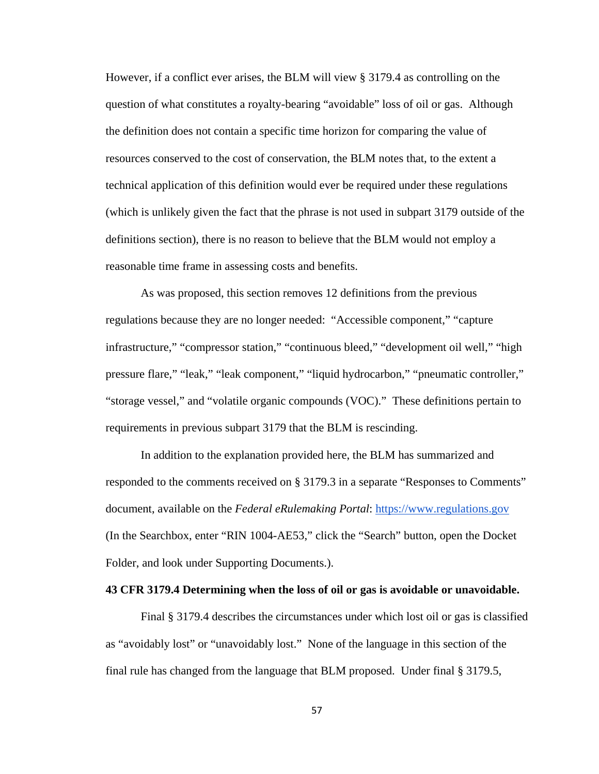However, if a conflict ever arises, the BLM will view § 3179.4 as controlling on the question of what constitutes a royalty-bearing "avoidable" loss of oil or gas. Although the definition does not contain a specific time horizon for comparing the value of resources conserved to the cost of conservation, the BLM notes that, to the extent a technical application of this definition would ever be required under these regulations (which is unlikely given the fact that the phrase is not used in subpart 3179 outside of the definitions section), there is no reason to believe that the BLM would not employ a reasonable time frame in assessing costs and benefits.

As was proposed, this section removes 12 definitions from the previous regulations because they are no longer needed: "Accessible component," "capture infrastructure," "compressor station," "continuous bleed," "development oil well," "high pressure flare," "leak," "leak component," "liquid hydrocarbon," "pneumatic controller," "storage vessel," and "volatile organic compounds (VOC)." These definitions pertain to requirements in previous subpart 3179 that the BLM is rescinding.

In addition to the explanation provided here, the BLM has summarized and responded to the comments received on § 3179.3 in a separate "Responses to Comments" document, available on the *Federal eRulemaking Portal*: https://www.regulations.gov (In the Searchbox, enter "RIN 1004-AE53," click the "Search" button, open the Docket Folder, and look under Supporting Documents.).

### **43 CFR 3179.4 Determining when the loss of oil or gas is avoidable or unavoidable.**

Final § 3179.4 describes the circumstances under which lost oil or gas is classified as "avoidably lost" or "unavoidably lost." None of the language in this section of the final rule has changed from the language that BLM proposed. Under final § 3179.5,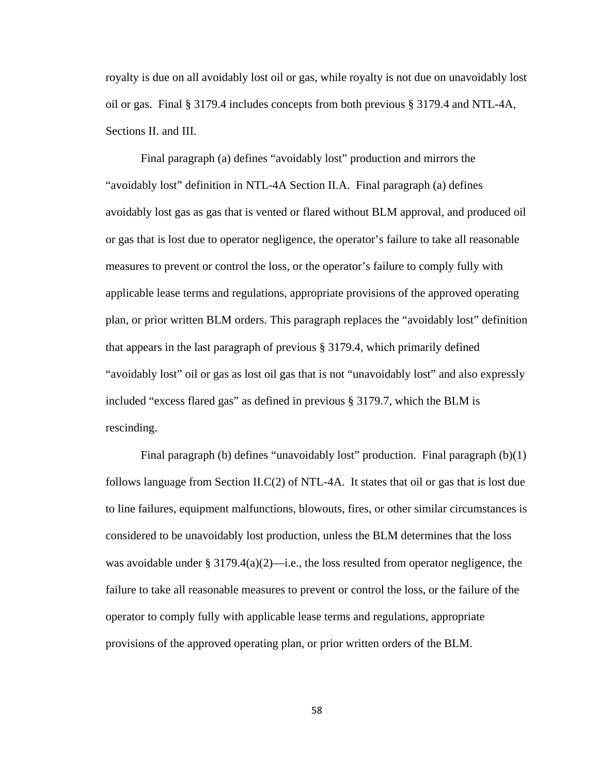royalty is due on all avoidably lost oil or gas, while royalty is not due on unavoidably lost oil or gas. Final § 3179.4 includes concepts from both previous § 3179.4 and NTL-4A, Sections II. and III.

Final paragraph (a) defines "avoidably lost" production and mirrors the "avoidably lost" definition in NTL-4A Section II.A. Final paragraph (a) defines avoidably lost gas as gas that is vented or flared without BLM approval, and produced oil or gas that is lost due to operator negligence, the operator's failure to take all reasonable measures to prevent or control the loss, or the operator's failure to comply fully with applicable lease terms and regulations, appropriate provisions of the approved operating plan, or prior written BLM orders. This paragraph replaces the "avoidably lost" definition that appears in the last paragraph of previous § 3179.4, which primarily defined "avoidably lost" oil or gas as lost oil gas that is not "unavoidably lost" and also expressly included "excess flared gas" as defined in previous § 3179.7, which the BLM is rescinding.

Final paragraph (b) defines "unavoidably lost" production. Final paragraph (b)(1) follows language from Section  $ILC(2)$  of NTL-4A. It states that oil or gas that is lost due to line failures, equipment malfunctions, blowouts, fires, or other similar circumstances is considered to be unavoidably lost production, unless the BLM determines that the loss was avoidable under § 3179.4(a)(2)—i.e., the loss resulted from operator negligence, the failure to take all reasonable measures to prevent or control the loss, or the failure of the operator to comply fully with applicable lease terms and regulations, appropriate provisions of the approved operating plan, or prior written orders of the BLM.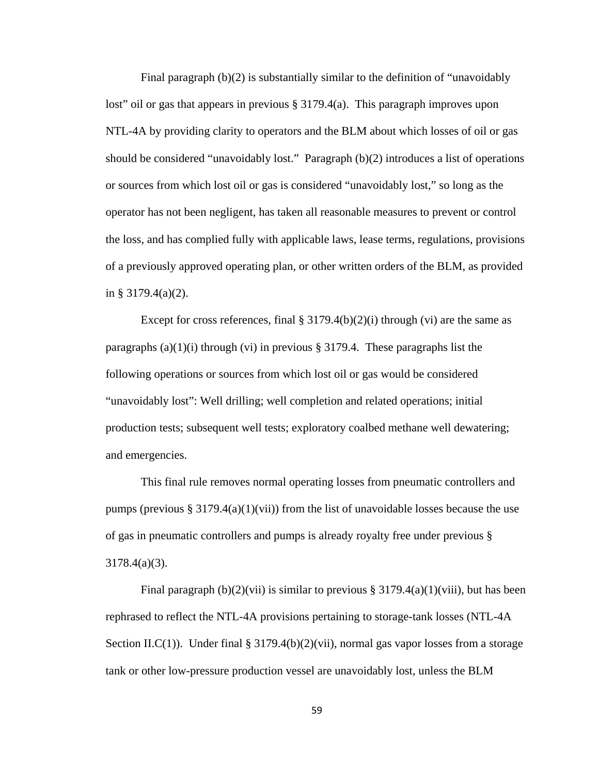Final paragraph  $(b)(2)$  is substantially similar to the definition of "unavoidably" lost" oil or gas that appears in previous § 3179.4(a). This paragraph improves upon NTL-4A by providing clarity to operators and the BLM about which losses of oil or gas should be considered "unavoidably lost." Paragraph (b)(2) introduces a list of operations or sources from which lost oil or gas is considered "unavoidably lost," so long as the operator has not been negligent, has taken all reasonable measures to prevent or control the loss, and has complied fully with applicable laws, lease terms, regulations, provisions of a previously approved operating plan, or other written orders of the BLM, as provided in § 3179.4(a)(2).

Except for cross references, final  $\S 3179.4(b)(2)(i)$  through (vi) are the same as paragraphs (a)(1)(i) through (vi) in previous § 3179.4. These paragraphs list the following operations or sources from which lost oil or gas would be considered "unavoidably lost": Well drilling; well completion and related operations; initial production tests; subsequent well tests; exploratory coalbed methane well dewatering; and emergencies.

This final rule removes normal operating losses from pneumatic controllers and pumps (previous  $\S 3179.4(a)(1)(vii)$ ) from the list of unavoidable losses because the use of gas in pneumatic controllers and pumps is already royalty free under previous § 3178.4(a)(3).

Final paragraph (b)(2)(vii) is similar to previous § 3179.4(a)(1)(viii), but has been rephrased to reflect the NTL-4A provisions pertaining to storage-tank losses (NTL-4A Section II.C(1)). Under final  $\S 3179.4(b)(2)(vii)$ , normal gas vapor losses from a storage tank or other low-pressure production vessel are unavoidably lost, unless the BLM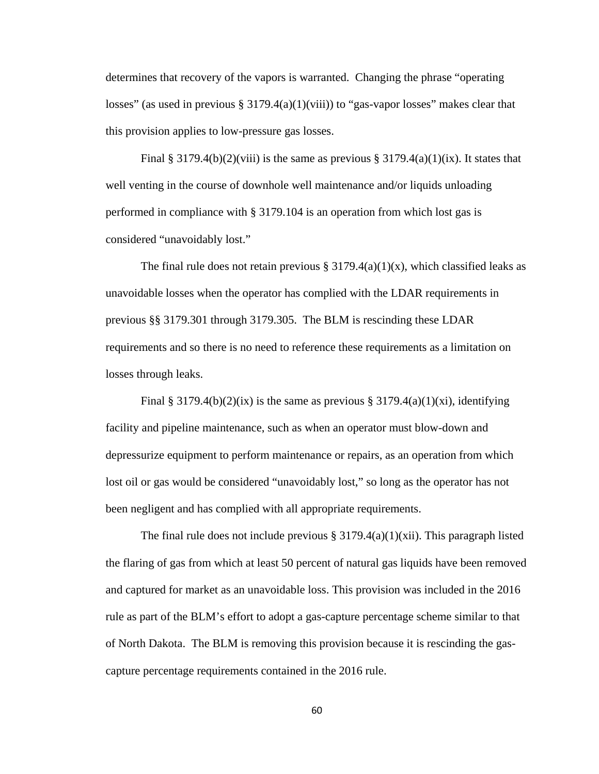determines that recovery of the vapors is warranted. Changing the phrase "operating losses" (as used in previous  $\S 3179.4(a)(1)(viii)$ ) to "gas-vapor losses" makes clear that this provision applies to low-pressure gas losses.

Final § 3179.4(b)(2)(viii) is the same as previous § 3179.4(a)(1)(ix). It states that well venting in the course of downhole well maintenance and/or liquids unloading performed in compliance with § 3179.104 is an operation from which lost gas is considered "unavoidably lost."

The final rule does not retain previous  $\S 3179.4(a)(1)(x)$ , which classified leaks as unavoidable losses when the operator has complied with the LDAR requirements in previous §§ 3179.301 through 3179.305. The BLM is rescinding these LDAR requirements and so there is no need to reference these requirements as a limitation on losses through leaks.

Final § 3179.4(b)(2)(ix) is the same as previous § 3179.4(a)(1)(xi), identifying facility and pipeline maintenance, such as when an operator must blow-down and depressurize equipment to perform maintenance or repairs, as an operation from which lost oil or gas would be considered "unavoidably lost," so long as the operator has not been negligent and has complied with all appropriate requirements.

The final rule does not include previous  $\S 3179.4(a)(1)(xii)$ . This paragraph listed the flaring of gas from which at least 50 percent of natural gas liquids have been removed and captured for market as an unavoidable loss. This provision was included in the 2016 rule as part of the BLM's effort to adopt a gas-capture percentage scheme similar to that of North Dakota. The BLM is removing this provision because it is rescinding the gascapture percentage requirements contained in the 2016 rule.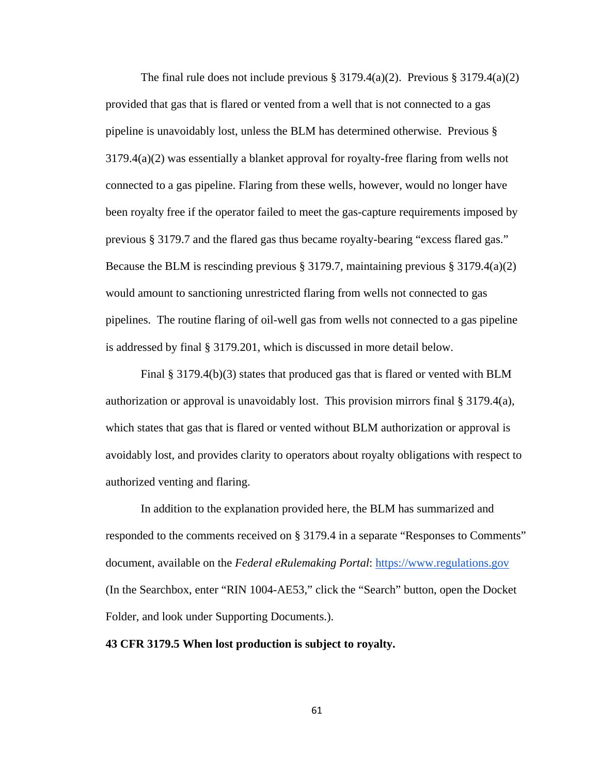The final rule does not include previous  $\S 3179.4(a)(2)$ . Previous  $\S 3179.4(a)(2)$ provided that gas that is flared or vented from a well that is not connected to a gas pipeline is unavoidably lost, unless the BLM has determined otherwise. Previous § 3179.4(a)(2) was essentially a blanket approval for royalty-free flaring from wells not connected to a gas pipeline. Flaring from these wells, however, would no longer have been royalty free if the operator failed to meet the gas-capture requirements imposed by previous § 3179.7 and the flared gas thus became royalty-bearing "excess flared gas." Because the BLM is rescinding previous § 3179.7, maintaining previous § 3179.4(a)(2) would amount to sanctioning unrestricted flaring from wells not connected to gas pipelines. The routine flaring of oil-well gas from wells not connected to a gas pipeline is addressed by final § 3179.201, which is discussed in more detail below.

Final § 3179.4(b)(3) states that produced gas that is flared or vented with BLM authorization or approval is unavoidably lost. This provision mirrors final § 3179.4(a), which states that gas that is flared or vented without BLM authorization or approval is avoidably lost, and provides clarity to operators about royalty obligations with respect to authorized venting and flaring.

In addition to the explanation provided here, the BLM has summarized and responded to the comments received on § 3179.4 in a separate "Responses to Comments" document, available on the *Federal eRulemaking Portal*: https://www.regulations.gov (In the Searchbox, enter "RIN 1004-AE53," click the "Search" button, open the Docket Folder, and look under Supporting Documents.).

## **43 CFR 3179.5 When lost production is subject to royalty.**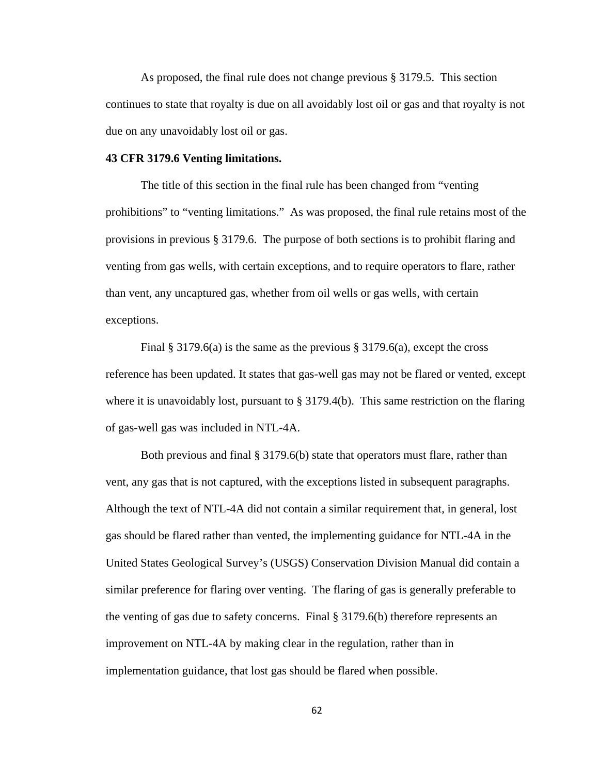As proposed, the final rule does not change previous § 3179.5. This section continues to state that royalty is due on all avoidably lost oil or gas and that royalty is not due on any unavoidably lost oil or gas.

## **43 CFR 3179.6 Venting limitations.**

The title of this section in the final rule has been changed from "venting prohibitions" to "venting limitations." As was proposed, the final rule retains most of the provisions in previous § 3179.6. The purpose of both sections is to prohibit flaring and venting from gas wells, with certain exceptions, and to require operators to flare, rather than vent, any uncaptured gas, whether from oil wells or gas wells, with certain exceptions.

Final § 3179.6(a) is the same as the previous § 3179.6(a), except the cross reference has been updated. It states that gas-well gas may not be flared or vented, except where it is unavoidably lost, pursuant to  $\S 3179.4(b)$ . This same restriction on the flaring of gas-well gas was included in NTL-4A.

Both previous and final § 3179.6(b) state that operators must flare, rather than vent, any gas that is not captured, with the exceptions listed in subsequent paragraphs. Although the text of NTL-4A did not contain a similar requirement that, in general, lost gas should be flared rather than vented, the implementing guidance for NTL-4A in the United States Geological Survey's (USGS) Conservation Division Manual did contain a similar preference for flaring over venting. The flaring of gas is generally preferable to the venting of gas due to safety concerns. Final  $\S 3179.6(b)$  therefore represents an improvement on NTL-4A by making clear in the regulation, rather than in implementation guidance, that lost gas should be flared when possible.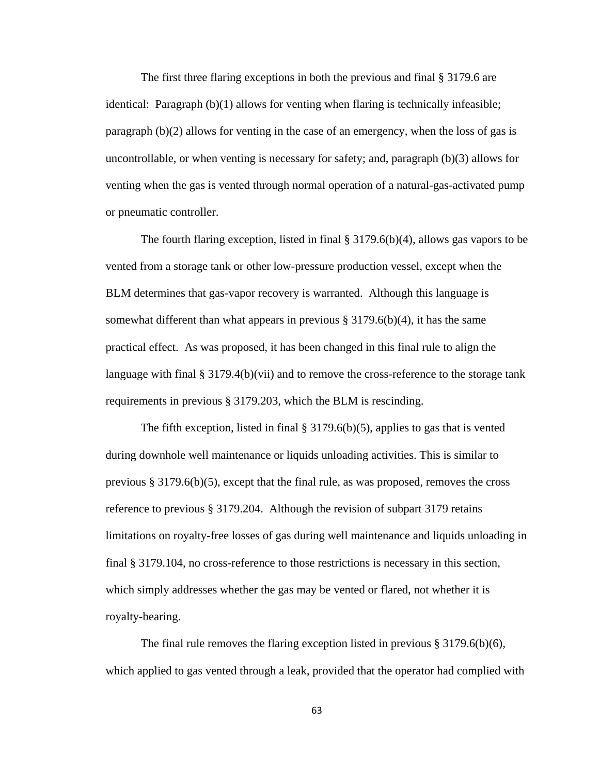The first three flaring exceptions in both the previous and final § 3179.6 are identical: Paragraph (b)(1) allows for venting when flaring is technically infeasible; paragraph (b)(2) allows for venting in the case of an emergency, when the loss of gas is uncontrollable, or when venting is necessary for safety; and, paragraph (b)(3) allows for venting when the gas is vented through normal operation of a natural-gas-activated pump or pneumatic controller.

The fourth flaring exception, listed in final  $\S 3179.6(b)(4)$ , allows gas vapors to be vented from a storage tank or other low-pressure production vessel, except when the BLM determines that gas-vapor recovery is warranted. Although this language is somewhat different than what appears in previous  $\S 3179.6(b)(4)$ , it has the same practical effect. As was proposed, it has been changed in this final rule to align the language with final  $\S 3179.4(b)(vii)$  and to remove the cross-reference to the storage tank requirements in previous § 3179.203, which the BLM is rescinding.

The fifth exception, listed in final  $\S 3179.6(b)(5)$ , applies to gas that is vented during downhole well maintenance or liquids unloading activities. This is similar to previous § 3179.6(b)(5), except that the final rule, as was proposed, removes the cross reference to previous § 3179.204. Although the revision of subpart 3179 retains limitations on royalty-free losses of gas during well maintenance and liquids unloading in final § 3179.104, no cross-reference to those restrictions is necessary in this section, which simply addresses whether the gas may be vented or flared, not whether it is royalty-bearing.

The final rule removes the flaring exception listed in previous  $\S 3179.6(b)(6)$ , which applied to gas vented through a leak, provided that the operator had complied with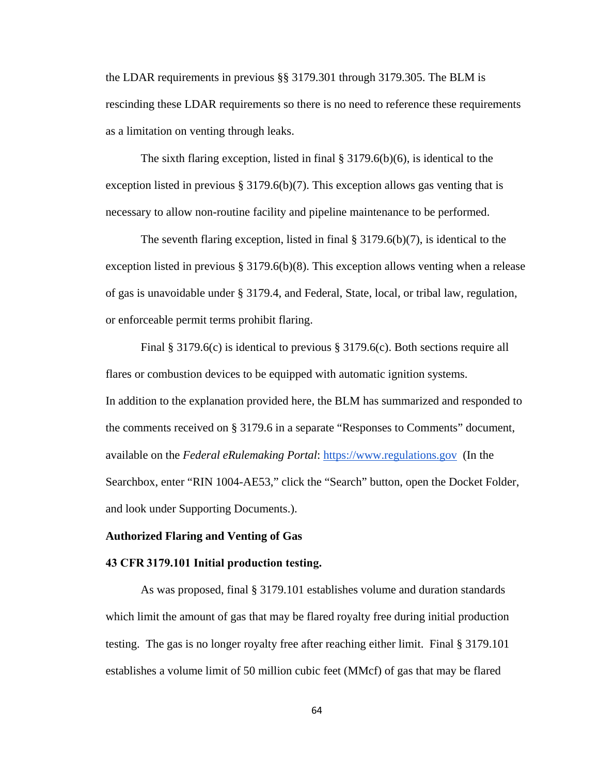the LDAR requirements in previous §§ 3179.301 through 3179.305. The BLM is rescinding these LDAR requirements so there is no need to reference these requirements as a limitation on venting through leaks.

The sixth flaring exception, listed in final § 3179.6(b)(6), is identical to the exception listed in previous § 3179.6(b)(7). This exception allows gas venting that is necessary to allow non-routine facility and pipeline maintenance to be performed.

The seventh flaring exception, listed in final  $\S 3179.6(b)(7)$ , is identical to the exception listed in previous § 3179.6(b)(8). This exception allows venting when a release of gas is unavoidable under § 3179.4, and Federal, State, local, or tribal law, regulation, or enforceable permit terms prohibit flaring.

Final § 3179.6(c) is identical to previous § 3179.6(c). Both sections require all flares or combustion devices to be equipped with automatic ignition systems. In addition to the explanation provided here, the BLM has summarized and responded to the comments received on § 3179.6 in a separate "Responses to Comments" document, available on the *Federal eRulemaking Portal*: https://www.regulations.gov (In the Searchbox, enter "RIN 1004-AE53," click the "Search" button, open the Docket Folder, and look under Supporting Documents.).

### **Authorized Flaring and Venting of Gas**

#### **43 CFR 3179.101 Initial production testing.**

As was proposed, final § 3179.101 establishes volume and duration standards which limit the amount of gas that may be flared royalty free during initial production testing. The gas is no longer royalty free after reaching either limit. Final § 3179.101 establishes a volume limit of 50 million cubic feet (MMcf) of gas that may be flared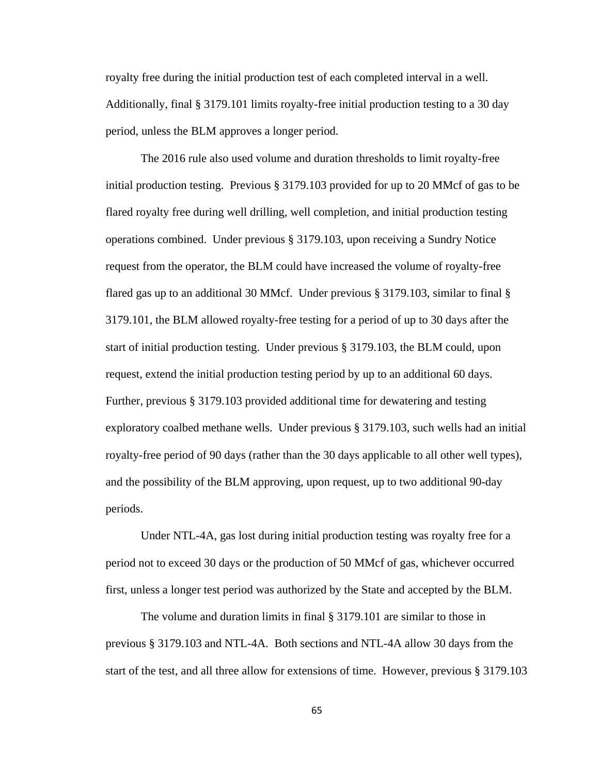royalty free during the initial production test of each completed interval in a well. Additionally, final § 3179.101 limits royalty-free initial production testing to a 30 day period, unless the BLM approves a longer period.

The 2016 rule also used volume and duration thresholds to limit royalty-free initial production testing. Previous § 3179.103 provided for up to 20 MMcf of gas to be flared royalty free during well drilling, well completion, and initial production testing operations combined. Under previous § 3179.103, upon receiving a Sundry Notice request from the operator, the BLM could have increased the volume of royalty-free flared gas up to an additional 30 MMcf. Under previous § 3179.103, similar to final § 3179.101, the BLM allowed royalty-free testing for a period of up to 30 days after the start of initial production testing. Under previous § 3179.103, the BLM could, upon request, extend the initial production testing period by up to an additional 60 days. Further, previous § 3179.103 provided additional time for dewatering and testing exploratory coalbed methane wells. Under previous § 3179.103, such wells had an initial royalty-free period of 90 days (rather than the 30 days applicable to all other well types), and the possibility of the BLM approving, upon request, up to two additional 90-day periods.

Under NTL-4A, gas lost during initial production testing was royalty free for a period not to exceed 30 days or the production of 50 MMcf of gas, whichever occurred first, unless a longer test period was authorized by the State and accepted by the BLM.

The volume and duration limits in final § 3179.101 are similar to those in previous § 3179.103 and NTL-4A. Both sections and NTL-4A allow 30 days from the start of the test, and all three allow for extensions of time. However, previous § 3179.103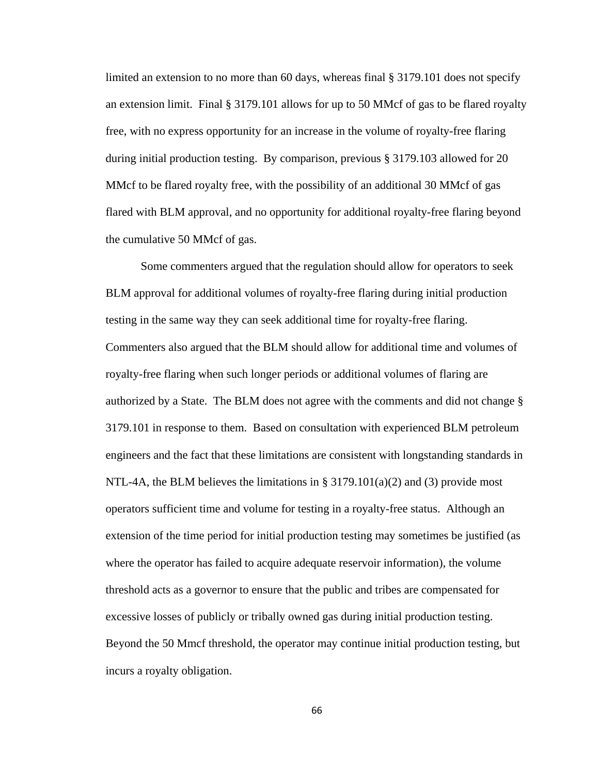limited an extension to no more than 60 days, whereas final § 3179.101 does not specify an extension limit. Final § 3179.101 allows for up to 50 MMcf of gas to be flared royalty free, with no express opportunity for an increase in the volume of royalty-free flaring during initial production testing. By comparison, previous § 3179.103 allowed for 20 MMcf to be flared royalty free, with the possibility of an additional 30 MMcf of gas flared with BLM approval, and no opportunity for additional royalty-free flaring beyond the cumulative 50 MMcf of gas.

Some commenters argued that the regulation should allow for operators to seek BLM approval for additional volumes of royalty-free flaring during initial production testing in the same way they can seek additional time for royalty-free flaring. Commenters also argued that the BLM should allow for additional time and volumes of royalty-free flaring when such longer periods or additional volumes of flaring are authorized by a State. The BLM does not agree with the comments and did not change § 3179.101 in response to them. Based on consultation with experienced BLM petroleum engineers and the fact that these limitations are consistent with longstanding standards in NTL-4A, the BLM believes the limitations in §  $3179.101(a)(2)$  and (3) provide most operators sufficient time and volume for testing in a royalty-free status. Although an extension of the time period for initial production testing may sometimes be justified (as where the operator has failed to acquire adequate reservoir information), the volume threshold acts as a governor to ensure that the public and tribes are compensated for excessive losses of publicly or tribally owned gas during initial production testing. Beyond the 50 Mmcf threshold, the operator may continue initial production testing, but incurs a royalty obligation.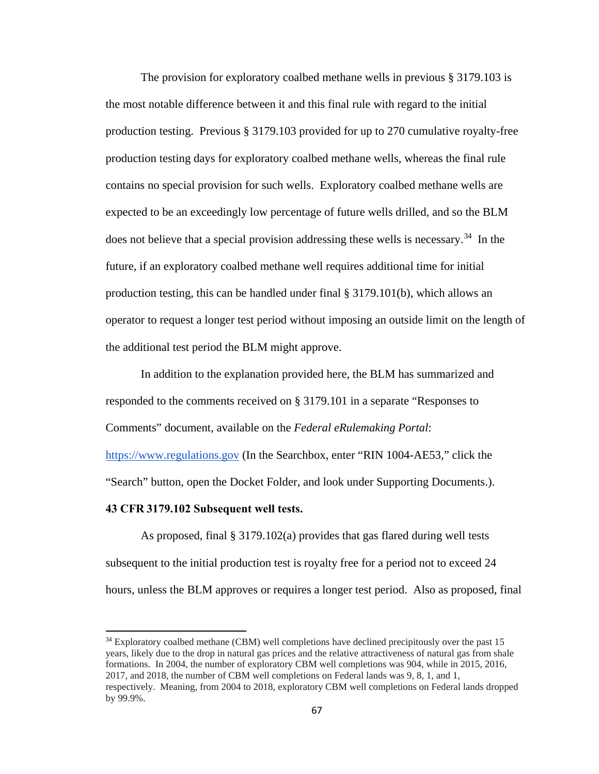The provision for exploratory coalbed methane wells in previous § 3179.103 is the most notable difference between it and this final rule with regard to the initial production testing. Previous § 3179.103 provided for up to 270 cumulative royalty-free production testing days for exploratory coalbed methane wells, whereas the final rule contains no special provision for such wells. Exploratory coalbed methane wells are expected to be an exceedingly low percentage of future wells drilled, and so the BLM does not believe that a special provision addressing these wells is necessary.<sup>[34](#page-66-0)</sup> In the future, if an exploratory coalbed methane well requires additional time for initial production testing, this can be handled under final § 3179.101(b), which allows an operator to request a longer test period without imposing an outside limit on the length of the additional test period the BLM might approve.

In addition to the explanation provided here, the BLM has summarized and responded to the comments received on § 3179.101 in a separate "Responses to Comments" document, available on the *Federal eRulemaking Portal*: https://www.regulations.gov (In the Searchbox, enter "RIN 1004-AE53," click the "Search" button, open the Docket Folder, and look under Supporting Documents.).

## **43 CFR 3179.102 Subsequent well tests.**

 $\overline{a}$ 

As proposed, final § 3179.102(a) provides that gas flared during well tests subsequent to the initial production test is royalty free for a period not to exceed 24 hours, unless the BLM approves or requires a longer test period. Also as proposed, final

<span id="page-66-0"></span> $34$  Exploratory coalbed methane (CBM) well completions have declined precipitously over the past 15 years, likely due to the drop in natural gas prices and the relative attractiveness of natural gas from shale formations. In 2004, the number of exploratory CBM well completions was 904, while in 2015, 2016, 2017, and 2018, the number of CBM well completions on Federal lands was 9, 8, 1, and 1, respectively. Meaning, from 2004 to 2018, exploratory CBM well completions on Federal lands dropped by 99.9%.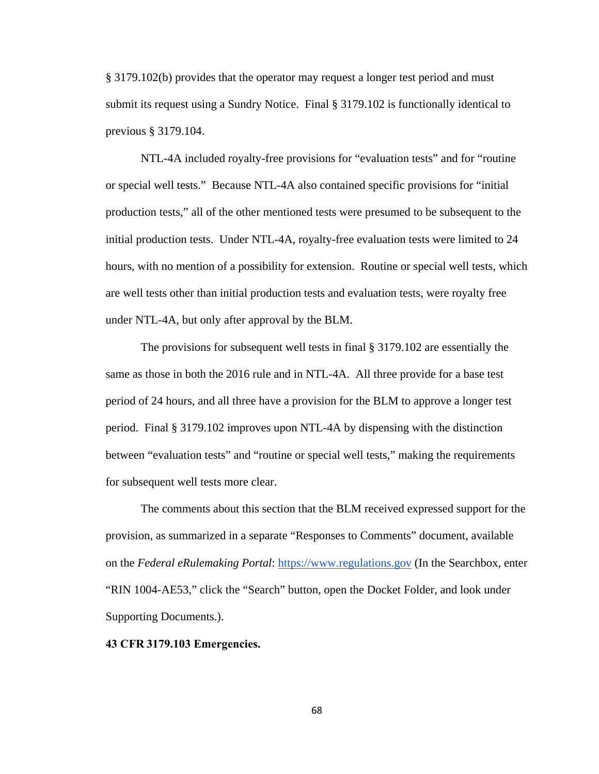§ 3179.102(b) provides that the operator may request a longer test period and must submit its request using a Sundry Notice. Final § 3179.102 is functionally identical to previous § 3179.104.

NTL-4A included royalty-free provisions for "evaluation tests" and for "routine or special well tests." Because NTL-4A also contained specific provisions for "initial production tests," all of the other mentioned tests were presumed to be subsequent to the initial production tests. Under NTL-4A, royalty-free evaluation tests were limited to 24 hours, with no mention of a possibility for extension. Routine or special well tests, which are well tests other than initial production tests and evaluation tests, were royalty free under NTL-4A, but only after approval by the BLM.

The provisions for subsequent well tests in final § 3179.102 are essentially the same as those in both the 2016 rule and in NTL-4A. All three provide for a base test period of 24 hours, and all three have a provision for the BLM to approve a longer test period. Final § 3179.102 improves upon NTL-4A by dispensing with the distinction between "evaluation tests" and "routine or special well tests," making the requirements for subsequent well tests more clear.

The comments about this section that the BLM received expressed support for the provision, as summarized in a separate "Responses to Comments" document, available on the *Federal eRulemaking Portal*: https://www.regulations.gov (In the Searchbox, enter "RIN 1004-AE53," click the "Search" button, open the Docket Folder, and look under Supporting Documents.).

### **43 CFR 3179.103 Emergencies.**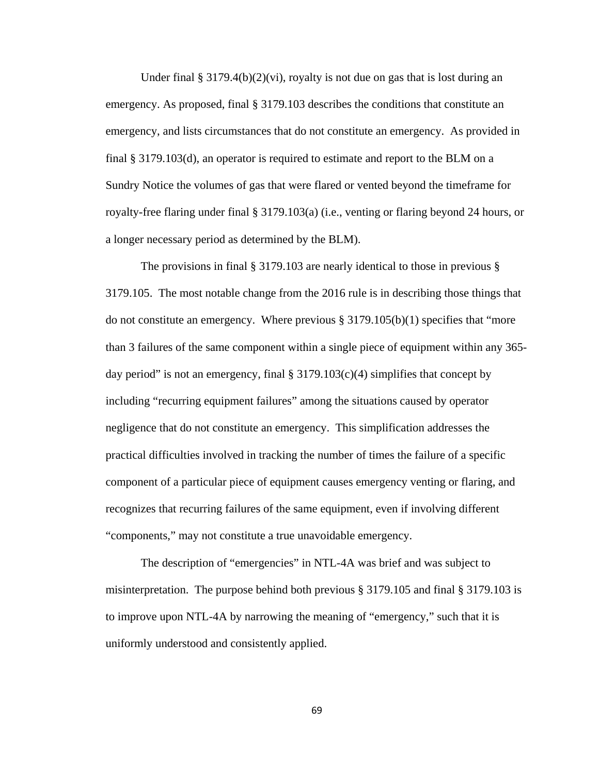Under final  $\S 3179.4(b)(2)(vi)$ , royalty is not due on gas that is lost during an emergency. As proposed, final § 3179.103 describes the conditions that constitute an emergency, and lists circumstances that do not constitute an emergency. As provided in final § 3179.103(d), an operator is required to estimate and report to the BLM on a Sundry Notice the volumes of gas that were flared or vented beyond the timeframe for royalty-free flaring under final § 3179.103(a) (i.e., venting or flaring beyond 24 hours, or a longer necessary period as determined by the BLM).

The provisions in final § 3179.103 are nearly identical to those in previous § 3179.105. The most notable change from the 2016 rule is in describing those things that do not constitute an emergency. Where previous  $\S 3179.105(b)(1)$  specifies that "more than 3 failures of the same component within a single piece of equipment within any 365 day period" is not an emergency, final  $\S 3179.103(c)(4)$  simplifies that concept by including "recurring equipment failures" among the situations caused by operator negligence that do not constitute an emergency. This simplification addresses the practical difficulties involved in tracking the number of times the failure of a specific component of a particular piece of equipment causes emergency venting or flaring, and recognizes that recurring failures of the same equipment, even if involving different "components," may not constitute a true unavoidable emergency.

The description of "emergencies" in NTL-4A was brief and was subject to misinterpretation. The purpose behind both previous § 3179.105 and final § 3179.103 is to improve upon NTL-4A by narrowing the meaning of "emergency," such that it is uniformly understood and consistently applied.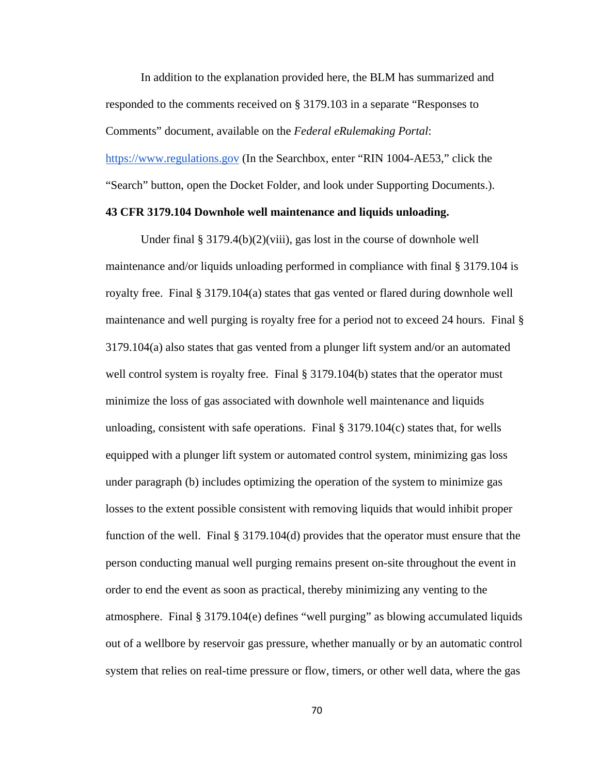In addition to the explanation provided here, the BLM has summarized and responded to the comments received on § 3179.103 in a separate "Responses to Comments" document, available on the *Federal eRulemaking Portal*: https://www.regulations.gov (In the Searchbox, enter "RIN 1004-AE53," click the "Search" button, open the Docket Folder, and look under Supporting Documents.).

## **43 CFR 3179.104 Downhole well maintenance and liquids unloading.**

Under final § 3179.4(b)(2)(viii), gas lost in the course of downhole well maintenance and/or liquids unloading performed in compliance with final § 3179.104 is royalty free. Final § 3179.104(a) states that gas vented or flared during downhole well maintenance and well purging is royalty free for a period not to exceed 24 hours. Final § 3179.104(a) also states that gas vented from a plunger lift system and/or an automated well control system is royalty free. Final § 3179.104(b) states that the operator must minimize the loss of gas associated with downhole well maintenance and liquids unloading, consistent with safe operations. Final  $\S 3179.104(c)$  states that, for wells equipped with a plunger lift system or automated control system, minimizing gas loss under paragraph (b) includes optimizing the operation of the system to minimize gas losses to the extent possible consistent with removing liquids that would inhibit proper function of the well. Final § 3179.104(d) provides that the operator must ensure that the person conducting manual well purging remains present on-site throughout the event in order to end the event as soon as practical, thereby minimizing any venting to the atmosphere. Final § 3179.104(e) defines "well purging" as blowing accumulated liquids out of a wellbore by reservoir gas pressure, whether manually or by an automatic control system that relies on real-time pressure or flow, timers, or other well data, where the gas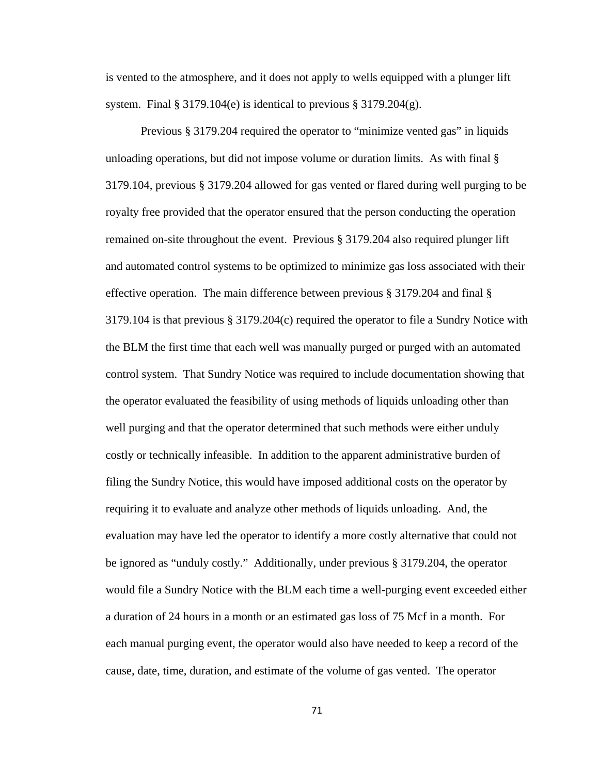is vented to the atmosphere, and it does not apply to wells equipped with a plunger lift system. Final  $\S 3179.104(e)$  is identical to previous  $\S 3179.204(g)$ .

Previous § 3179.204 required the operator to "minimize vented gas" in liquids unloading operations, but did not impose volume or duration limits. As with final § 3179.104, previous § 3179.204 allowed for gas vented or flared during well purging to be royalty free provided that the operator ensured that the person conducting the operation remained on-site throughout the event. Previous § 3179.204 also required plunger lift and automated control systems to be optimized to minimize gas loss associated with their effective operation. The main difference between previous § 3179.204 and final § 3179.104 is that previous § 3179.204(c) required the operator to file a Sundry Notice with the BLM the first time that each well was manually purged or purged with an automated control system. That Sundry Notice was required to include documentation showing that the operator evaluated the feasibility of using methods of liquids unloading other than well purging and that the operator determined that such methods were either unduly costly or technically infeasible. In addition to the apparent administrative burden of filing the Sundry Notice, this would have imposed additional costs on the operator by requiring it to evaluate and analyze other methods of liquids unloading. And, the evaluation may have led the operator to identify a more costly alternative that could not be ignored as "unduly costly." Additionally, under previous § 3179.204, the operator would file a Sundry Notice with the BLM each time a well-purging event exceeded either a duration of 24 hours in a month or an estimated gas loss of 75 Mcf in a month. For each manual purging event, the operator would also have needed to keep a record of the cause, date, time, duration, and estimate of the volume of gas vented. The operator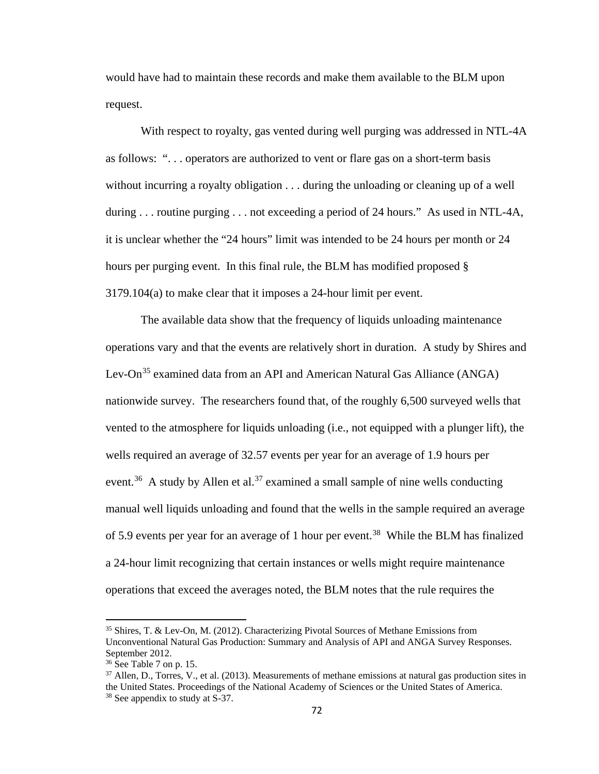would have had to maintain these records and make them available to the BLM upon request.

With respect to royalty, gas vented during well purging was addressed in NTL-4A as follows: ". . . operators are authorized to vent or flare gas on a short-term basis without incurring a royalty obligation . . . during the unloading or cleaning up of a well during ... routine purging ... not exceeding a period of 24 hours." As used in NTL-4A, it is unclear whether the "24 hours" limit was intended to be 24 hours per month or 24 hours per purging event. In this final rule, the BLM has modified proposed § 3179.104(a) to make clear that it imposes a 24-hour limit per event.

The available data show that the frequency of liquids unloading maintenance operations vary and that the events are relatively short in duration. A study by Shires and Lev-On<sup>[35](#page-71-0)</sup> examined data from an API and American Natural Gas Alliance (ANGA) nationwide survey. The researchers found that, of the roughly 6,500 surveyed wells that vented to the atmosphere for liquids unloading (i.e., not equipped with a plunger lift), the wells required an average of 32.57 events per year for an average of 1.9 hours per event.<sup>36</sup> A study by Allen et al.<sup>[37](#page-71-2)</sup> examined a small sample of nine wells conducting manual well liquids unloading and found that the wells in the sample required an average of 5.9 events per year for an average of 1 hour per event. [38](#page-71-3) While the BLM has finalized a 24-hour limit recognizing that certain instances or wells might require maintenance operations that exceed the averages noted, the BLM notes that the rule requires the

l

<span id="page-71-0"></span><sup>35</sup> Shires, T. & Lev-On, M. (2012). Characterizing Pivotal Sources of Methane Emissions from Unconventional Natural Gas Production: Summary and Analysis of API and ANGA Survey Responses. September 2012.

<sup>36</sup> See Table 7 on p. 15.

<span id="page-71-3"></span><span id="page-71-2"></span><span id="page-71-1"></span> $37$  Allen, D., Torres, V., et al. (2013). Measurements of methane emissions at natural gas production sites in the United States. Proceedings of the National Academy of Sciences or the United States of America. <sup>38</sup> See appendix to study at S-37.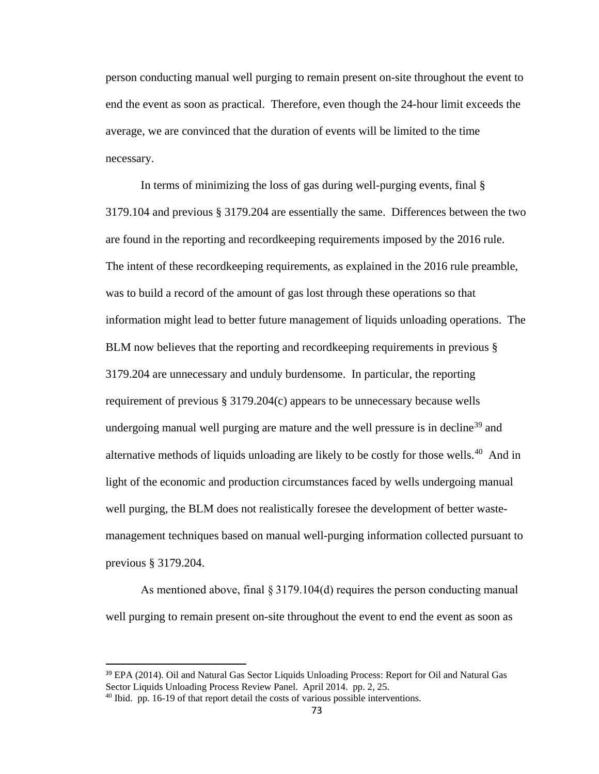person conducting manual well purging to remain present on-site throughout the event to end the event as soon as practical. Therefore, even though the 24-hour limit exceeds the average, we are convinced that the duration of events will be limited to the time necessary.

In terms of minimizing the loss of gas during well-purging events, final § 3179.104 and previous § 3179.204 are essentially the same. Differences between the two are found in the reporting and recordkeeping requirements imposed by the 2016 rule. The intent of these recordkeeping requirements, as explained in the 2016 rule preamble, was to build a record of the amount of gas lost through these operations so that information might lead to better future management of liquids unloading operations. The BLM now believes that the reporting and recordkeeping requirements in previous § 3179.204 are unnecessary and unduly burdensome. In particular, the reporting requirement of previous § 3179.204(c) appears to be unnecessary because wells undergoing manual well purging are mature and the well pressure is in decline<sup>[39](#page-72-0)</sup> and alternative methods of liquids unloading are likely to be costly for those wells.<sup>40</sup> And in light of the economic and production circumstances faced by wells undergoing manual well purging, the BLM does not realistically foresee the development of better wastemanagement techniques based on manual well-purging information collected pursuant to previous § 3179.204.

As mentioned above, final § 3179.104(d) requires the person conducting manual well purging to remain present on-site throughout the event to end the event as soon as

<span id="page-72-0"></span><sup>&</sup>lt;sup>39</sup> EPA (2014). Oil and Natural Gas Sector Liquids Unloading Process: Report for Oil and Natural Gas Sector Liquids Unloading Process Review Panel. April 2014. pp. 2, 25.

<span id="page-72-1"></span><sup>&</sup>lt;sup>40</sup> Ibid. pp. 16-19 of that report detail the costs of various possible interventions.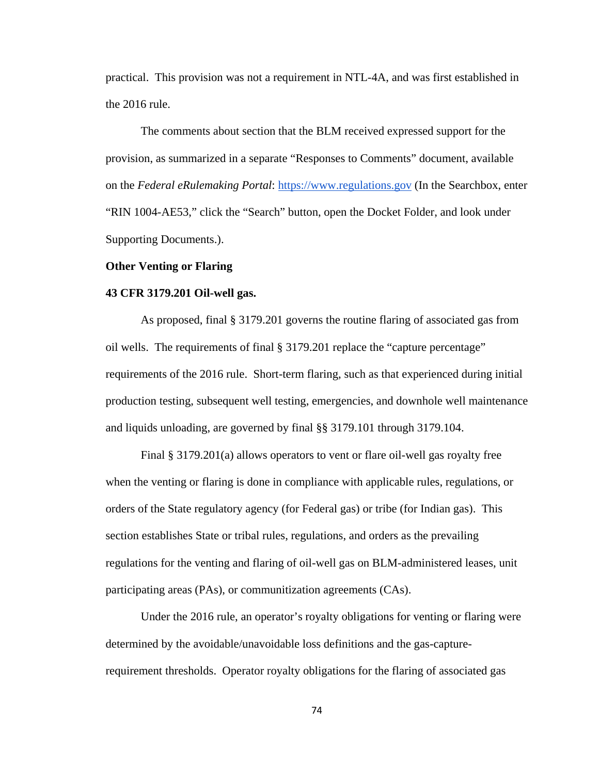practical. This provision was not a requirement in NTL-4A, and was first established in the 2016 rule.

The comments about section that the BLM received expressed support for the provision, as summarized in a separate "Responses to Comments" document, available on the *Federal eRulemaking Portal*: https://www.regulations.gov (In the Searchbox, enter "RIN 1004-AE53," click the "Search" button, open the Docket Folder, and look under Supporting Documents.).

## **Other Venting or Flaring**

#### **43 CFR 3179.201 Oil-well gas.**

As proposed, final § 3179.201 governs the routine flaring of associated gas from oil wells. The requirements of final § 3179.201 replace the "capture percentage" requirements of the 2016 rule. Short-term flaring, such as that experienced during initial production testing, subsequent well testing, emergencies, and downhole well maintenance and liquids unloading, are governed by final §§ 3179.101 through 3179.104.

Final § 3179.201(a) allows operators to vent or flare oil-well gas royalty free when the venting or flaring is done in compliance with applicable rules, regulations, or orders of the State regulatory agency (for Federal gas) or tribe (for Indian gas). This section establishes State or tribal rules, regulations, and orders as the prevailing regulations for the venting and flaring of oil-well gas on BLM-administered leases, unit participating areas (PAs), or communitization agreements (CAs).

Under the 2016 rule, an operator's royalty obligations for venting or flaring were determined by the avoidable/unavoidable loss definitions and the gas-capturerequirement thresholds. Operator royalty obligations for the flaring of associated gas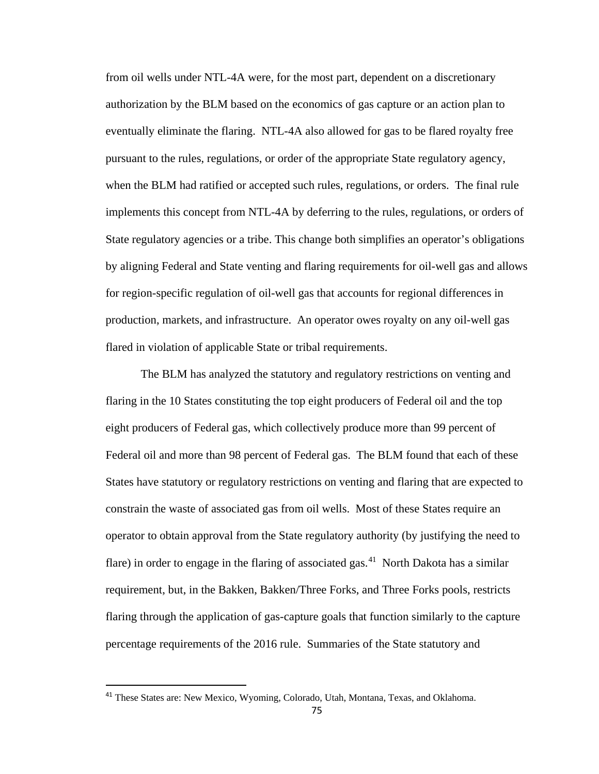from oil wells under NTL-4A were, for the most part, dependent on a discretionary authorization by the BLM based on the economics of gas capture or an action plan to eventually eliminate the flaring. NTL-4A also allowed for gas to be flared royalty free pursuant to the rules, regulations, or order of the appropriate State regulatory agency, when the BLM had ratified or accepted such rules, regulations, or orders. The final rule implements this concept from NTL-4A by deferring to the rules, regulations, or orders of State regulatory agencies or a tribe. This change both simplifies an operator's obligations by aligning Federal and State venting and flaring requirements for oil-well gas and allows for region-specific regulation of oil-well gas that accounts for regional differences in production, markets, and infrastructure. An operator owes royalty on any oil-well gas flared in violation of applicable State or tribal requirements.

The BLM has analyzed the statutory and regulatory restrictions on venting and flaring in the 10 States constituting the top eight producers of Federal oil and the top eight producers of Federal gas, which collectively produce more than 99 percent of Federal oil and more than 98 percent of Federal gas. The BLM found that each of these States have statutory or regulatory restrictions on venting and flaring that are expected to constrain the waste of associated gas from oil wells. Most of these States require an operator to obtain approval from the State regulatory authority (by justifying the need to flare) in order to engage in the flaring of associated gas.<sup>41</sup> North Dakota has a similar requirement, but, in the Bakken, Bakken/Three Forks, and Three Forks pools, restricts flaring through the application of gas-capture goals that function similarly to the capture percentage requirements of the 2016 rule. Summaries of the State statutory and

<span id="page-74-0"></span><sup>&</sup>lt;sup>41</sup> These States are: New Mexico, Wyoming, Colorado, Utah, Montana, Texas, and Oklahoma.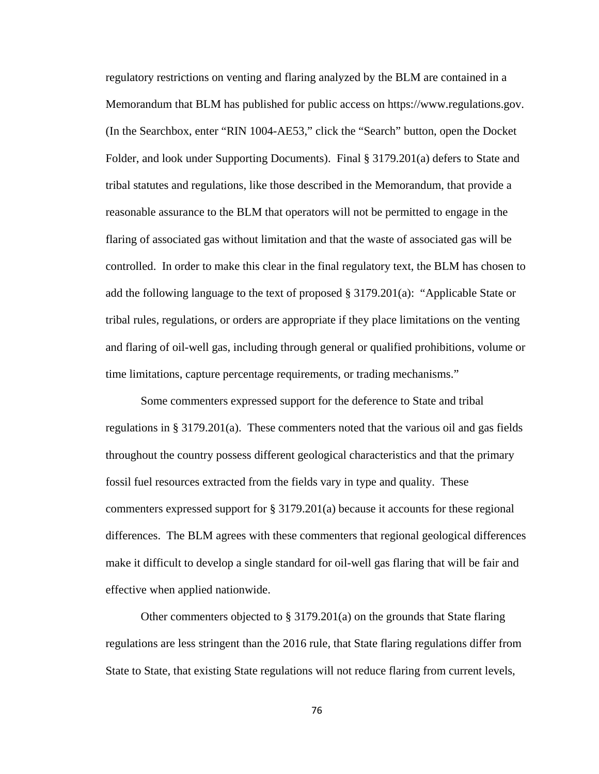regulatory restrictions on venting and flaring analyzed by the BLM are contained in a Memorandum that BLM has published for public access on https://www.regulations.gov. (In the Searchbox, enter "RIN 1004-AE53," click the "Search" button, open the Docket Folder, and look under Supporting Documents). Final § 3179.201(a) defers to State and tribal statutes and regulations, like those described in the Memorandum, that provide a reasonable assurance to the BLM that operators will not be permitted to engage in the flaring of associated gas without limitation and that the waste of associated gas will be controlled. In order to make this clear in the final regulatory text, the BLM has chosen to add the following language to the text of proposed § 3179.201(a): "Applicable State or tribal rules, regulations, or orders are appropriate if they place limitations on the venting and flaring of oil-well gas, including through general or qualified prohibitions, volume or time limitations, capture percentage requirements, or trading mechanisms."

Some commenters expressed support for the deference to State and tribal regulations in § 3179.201(a). These commenters noted that the various oil and gas fields throughout the country possess different geological characteristics and that the primary fossil fuel resources extracted from the fields vary in type and quality. These commenters expressed support for § 3179.201(a) because it accounts for these regional differences. The BLM agrees with these commenters that regional geological differences make it difficult to develop a single standard for oil-well gas flaring that will be fair and effective when applied nationwide.

Other commenters objected to § 3179.201(a) on the grounds that State flaring regulations are less stringent than the 2016 rule, that State flaring regulations differ from State to State, that existing State regulations will not reduce flaring from current levels,

76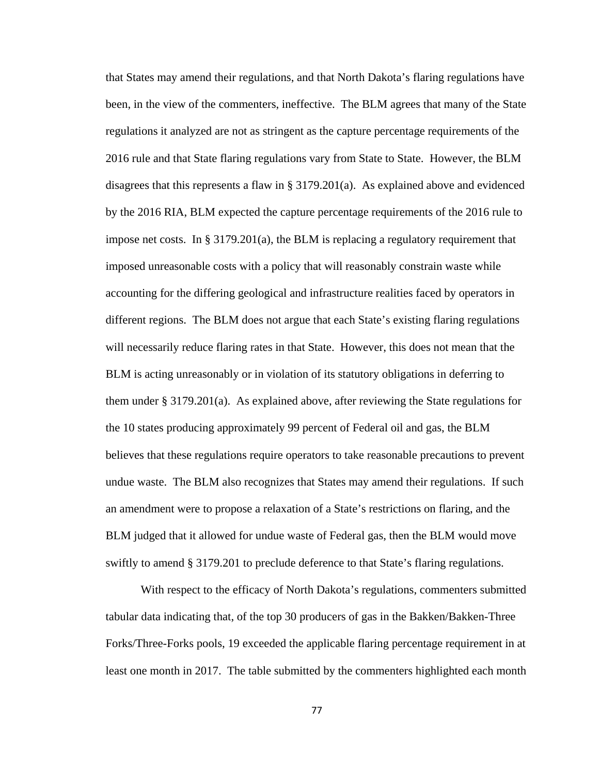that States may amend their regulations, and that North Dakota's flaring regulations have been, in the view of the commenters, ineffective. The BLM agrees that many of the State regulations it analyzed are not as stringent as the capture percentage requirements of the 2016 rule and that State flaring regulations vary from State to State. However, the BLM disagrees that this represents a flaw in § 3179.201(a). As explained above and evidenced by the 2016 RIA, BLM expected the capture percentage requirements of the 2016 rule to impose net costs. In  $\S 3179.201(a)$ , the BLM is replacing a regulatory requirement that imposed unreasonable costs with a policy that will reasonably constrain waste while accounting for the differing geological and infrastructure realities faced by operators in different regions. The BLM does not argue that each State's existing flaring regulations will necessarily reduce flaring rates in that State. However, this does not mean that the BLM is acting unreasonably or in violation of its statutory obligations in deferring to them under § 3179.201(a). As explained above, after reviewing the State regulations for the 10 states producing approximately 99 percent of Federal oil and gas, the BLM believes that these regulations require operators to take reasonable precautions to prevent undue waste. The BLM also recognizes that States may amend their regulations. If such an amendment were to propose a relaxation of a State's restrictions on flaring, and the BLM judged that it allowed for undue waste of Federal gas, then the BLM would move swiftly to amend § 3179.201 to preclude deference to that State's flaring regulations.

With respect to the efficacy of North Dakota's regulations, commenters submitted tabular data indicating that, of the top 30 producers of gas in the Bakken/Bakken-Three Forks/Three-Forks pools, 19 exceeded the applicable flaring percentage requirement in at least one month in 2017. The table submitted by the commenters highlighted each month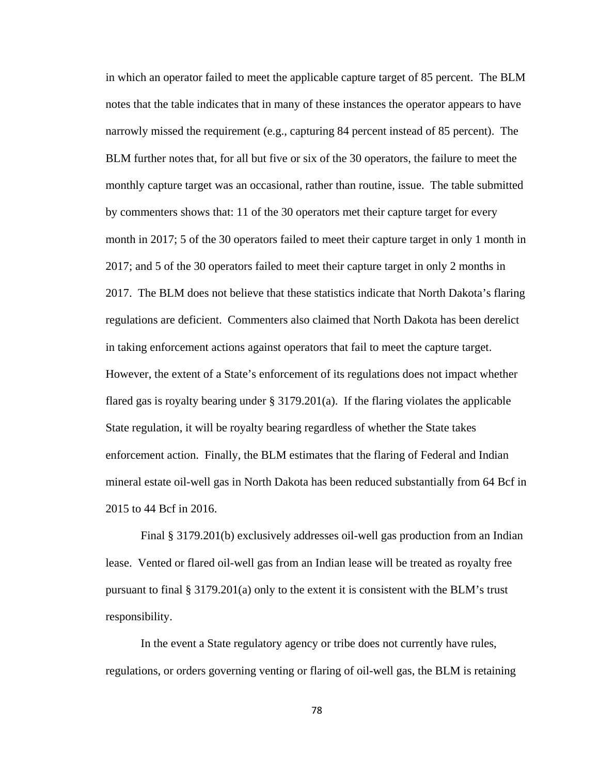in which an operator failed to meet the applicable capture target of 85 percent. The BLM notes that the table indicates that in many of these instances the operator appears to have narrowly missed the requirement (e.g., capturing 84 percent instead of 85 percent). The BLM further notes that, for all but five or six of the 30 operators, the failure to meet the monthly capture target was an occasional, rather than routine, issue. The table submitted by commenters shows that: 11 of the 30 operators met their capture target for every month in 2017; 5 of the 30 operators failed to meet their capture target in only 1 month in 2017; and 5 of the 30 operators failed to meet their capture target in only 2 months in 2017. The BLM does not believe that these statistics indicate that North Dakota's flaring regulations are deficient. Commenters also claimed that North Dakota has been derelict in taking enforcement actions against operators that fail to meet the capture target. However, the extent of a State's enforcement of its regulations does not impact whether flared gas is royalty bearing under § 3179.201(a). If the flaring violates the applicable State regulation, it will be royalty bearing regardless of whether the State takes enforcement action. Finally, the BLM estimates that the flaring of Federal and Indian mineral estate oil-well gas in North Dakota has been reduced substantially from 64 Bcf in 2015 to 44 Bcf in 2016.

Final § 3179.201(b) exclusively addresses oil-well gas production from an Indian lease. Vented or flared oil-well gas from an Indian lease will be treated as royalty free pursuant to final  $\S 3179.201(a)$  only to the extent it is consistent with the BLM's trust responsibility.

In the event a State regulatory agency or tribe does not currently have rules, regulations, or orders governing venting or flaring of oil-well gas, the BLM is retaining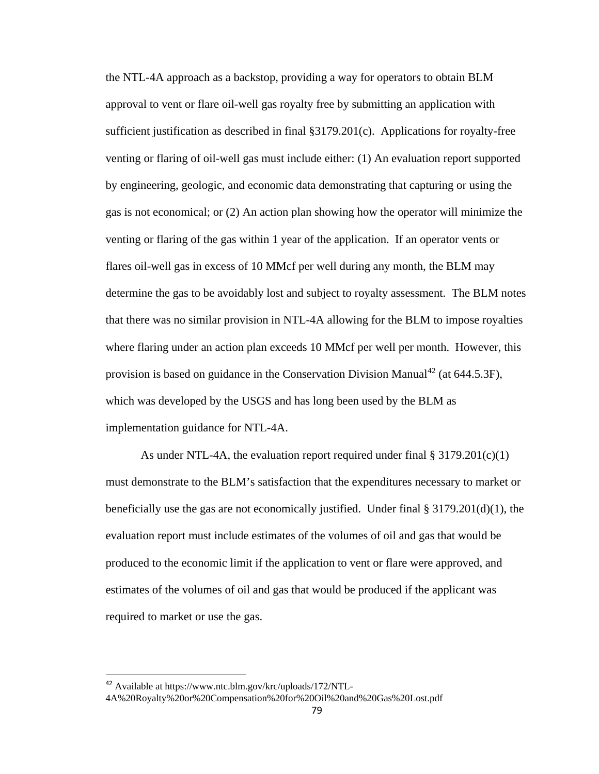the NTL-4A approach as a backstop, providing a way for operators to obtain BLM approval to vent or flare oil-well gas royalty free by submitting an application with sufficient justification as described in final §3179.201(c). Applications for royalty-free venting or flaring of oil-well gas must include either: (1) An evaluation report supported by engineering, geologic, and economic data demonstrating that capturing or using the gas is not economical; or (2) An action plan showing how the operator will minimize the venting or flaring of the gas within 1 year of the application. If an operator vents or flares oil-well gas in excess of 10 MMcf per well during any month, the BLM may determine the gas to be avoidably lost and subject to royalty assessment. The BLM notes that there was no similar provision in NTL-4A allowing for the BLM to impose royalties where flaring under an action plan exceeds 10 MMcf per well per month. However, this provision is based on guidance in the Conservation Division Manual<sup>[42](#page-78-0)</sup> (at  $644.5.3F$ ), which was developed by the USGS and has long been used by the BLM as implementation guidance for NTL-4A.

As under NTL-4A, the evaluation report required under final  $\S 3179.201(c)(1)$ must demonstrate to the BLM's satisfaction that the expenditures necessary to market or beneficially use the gas are not economically justified. Under final § 3179.201(d)(1), the evaluation report must include estimates of the volumes of oil and gas that would be produced to the economic limit if the application to vent or flare were approved, and estimates of the volumes of oil and gas that would be produced if the applicant was required to market or use the gas.

<span id="page-78-0"></span> <sup>42</sup> Available at https://www.ntc.blm.gov/krc/uploads/172/NTL-

<sup>4</sup>A%20Royalty%20or%20Compensation%20for%20Oil%20and%20Gas%20Lost.pdf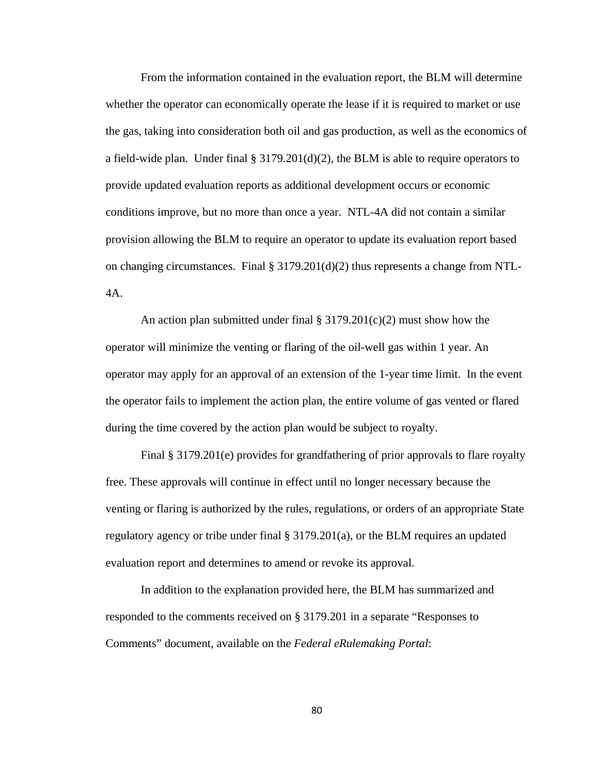From the information contained in the evaluation report, the BLM will determine whether the operator can economically operate the lease if it is required to market or use the gas, taking into consideration both oil and gas production, as well as the economics of a field-wide plan. Under final  $\S 3179.201(d)(2)$ , the BLM is able to require operators to provide updated evaluation reports as additional development occurs or economic conditions improve, but no more than once a year. NTL-4A did not contain a similar provision allowing the BLM to require an operator to update its evaluation report based on changing circumstances. Final  $\S 3179.201(d)(2)$  thus represents a change from NTL-4A.

An action plan submitted under final  $\S 3179.201(c)(2)$  must show how the operator will minimize the venting or flaring of the oil-well gas within 1 year. An operator may apply for an approval of an extension of the 1-year time limit. In the event the operator fails to implement the action plan, the entire volume of gas vented or flared during the time covered by the action plan would be subject to royalty.

Final § 3179.201(e) provides for grandfathering of prior approvals to flare royalty free. These approvals will continue in effect until no longer necessary because the venting or flaring is authorized by the rules, regulations, or orders of an appropriate State regulatory agency or tribe under final  $\S 3179.201(a)$ , or the BLM requires an updated evaluation report and determines to amend or revoke its approval.

In addition to the explanation provided here, the BLM has summarized and responded to the comments received on § 3179.201 in a separate "Responses to Comments" document, available on the *Federal eRulemaking Portal*:

80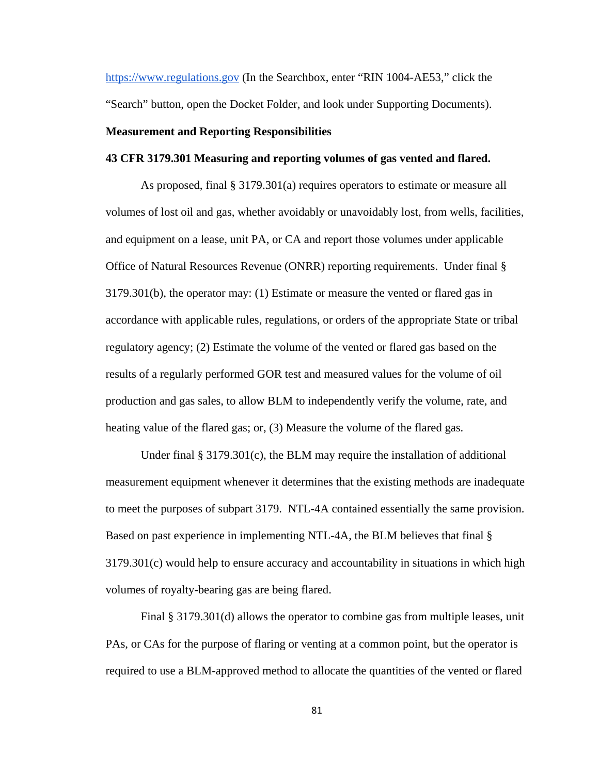https://www.regulations.gov (In the Searchbox, enter "RIN 1004-AE53," click the "Search" button, open the Docket Folder, and look under Supporting Documents).

## **Measurement and Reporting Responsibilities**

## **43 CFR 3179.301 Measuring and reporting volumes of gas vented and flared.**

As proposed, final § 3179.301(a) requires operators to estimate or measure all volumes of lost oil and gas, whether avoidably or unavoidably lost, from wells, facilities, and equipment on a lease, unit PA, or CA and report those volumes under applicable Office of Natural Resources Revenue (ONRR) reporting requirements. Under final § 3179.301(b), the operator may: (1) Estimate or measure the vented or flared gas in accordance with applicable rules, regulations, or orders of the appropriate State or tribal regulatory agency; (2) Estimate the volume of the vented or flared gas based on the results of a regularly performed GOR test and measured values for the volume of oil production and gas sales, to allow BLM to independently verify the volume, rate, and heating value of the flared gas; or, (3) Measure the volume of the flared gas.

Under final § 3179.301(c), the BLM may require the installation of additional measurement equipment whenever it determines that the existing methods are inadequate to meet the purposes of subpart 3179. NTL-4A contained essentially the same provision. Based on past experience in implementing NTL-4A, the BLM believes that final § 3179.301(c) would help to ensure accuracy and accountability in situations in which high volumes of royalty-bearing gas are being flared.

Final § 3179.301(d) allows the operator to combine gas from multiple leases, unit PAs, or CAs for the purpose of flaring or venting at a common point, but the operator is required to use a BLM-approved method to allocate the quantities of the vented or flared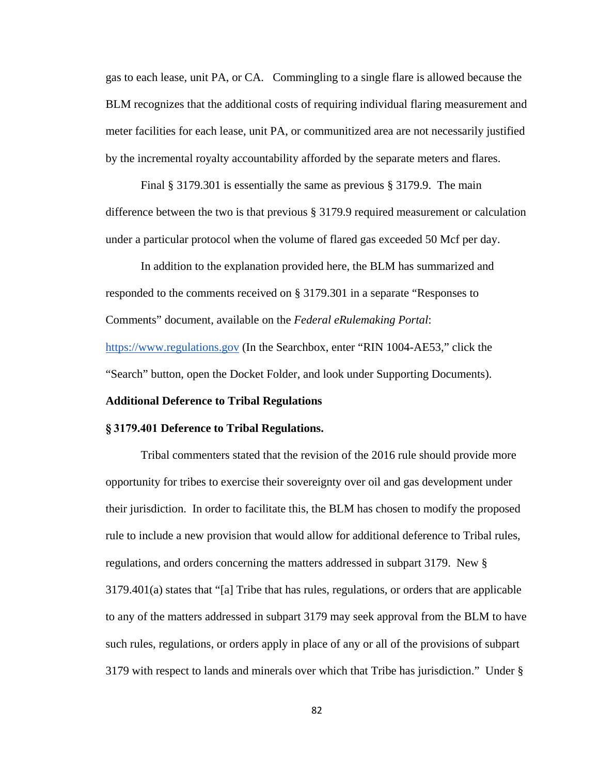gas to each lease, unit PA, or CA. Commingling to a single flare is allowed because the BLM recognizes that the additional costs of requiring individual flaring measurement and meter facilities for each lease, unit PA, or communitized area are not necessarily justified by the incremental royalty accountability afforded by the separate meters and flares.

Final § 3179.301 is essentially the same as previous § 3179.9. The main difference between the two is that previous § 3179.9 required measurement or calculation under a particular protocol when the volume of flared gas exceeded 50 Mcf per day.

In addition to the explanation provided here, the BLM has summarized and responded to the comments received on § 3179.301 in a separate "Responses to Comments" document, available on the *Federal eRulemaking Portal*: https://www.regulations.gov (In the Searchbox, enter "RIN 1004-AE53," click the

"Search" button, open the Docket Folder, and look under Supporting Documents).

#### **Additional Deference to Tribal Regulations**

#### **§ 3179.401 Deference to Tribal Regulations.**

Tribal commenters stated that the revision of the 2016 rule should provide more opportunity for tribes to exercise their sovereignty over oil and gas development under their jurisdiction. In order to facilitate this, the BLM has chosen to modify the proposed rule to include a new provision that would allow for additional deference to Tribal rules, regulations, and orders concerning the matters addressed in subpart 3179. New § 3179.401(a) states that "[a] Tribe that has rules, regulations, or orders that are applicable to any of the matters addressed in subpart 3179 may seek approval from the BLM to have such rules, regulations, or orders apply in place of any or all of the provisions of subpart 3179 with respect to lands and minerals over which that Tribe has jurisdiction." Under §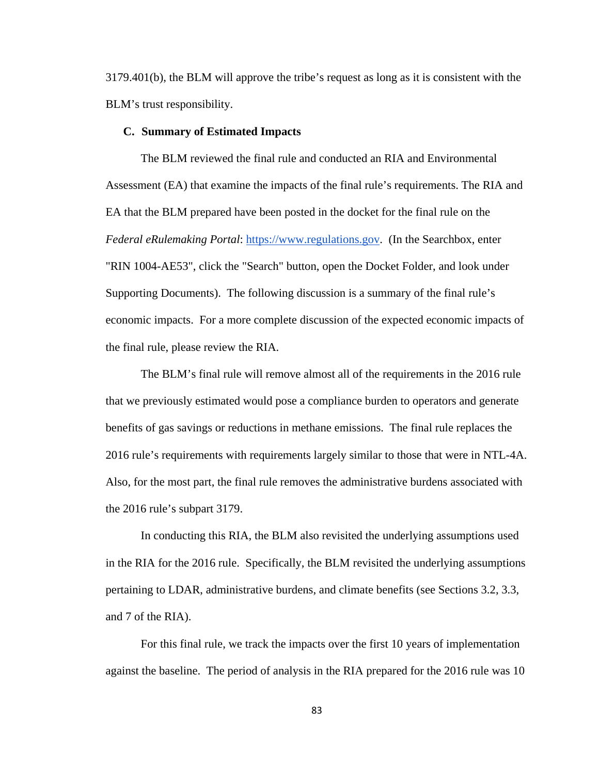3179.401(b), the BLM will approve the tribe's request as long as it is consistent with the BLM's trust responsibility.

#### **C. Summary of Estimated Impacts**

The BLM reviewed the final rule and conducted an RIA and Environmental Assessment (EA) that examine the impacts of the final rule's requirements. The RIA and EA that the BLM prepared have been posted in the docket for the final rule on the *Federal eRulemaking Portal*: https://www.regulations.gov. (In the Searchbox, enter "RIN 1004-AE53", click the "Search" button, open the Docket Folder, and look under Supporting Documents). The following discussion is a summary of the final rule's economic impacts. For a more complete discussion of the expected economic impacts of the final rule, please review the RIA.

The BLM's final rule will remove almost all of the requirements in the 2016 rule that we previously estimated would pose a compliance burden to operators and generate benefits of gas savings or reductions in methane emissions. The final rule replaces the 2016 rule's requirements with requirements largely similar to those that were in NTL-4A. Also, for the most part, the final rule removes the administrative burdens associated with the 2016 rule's subpart 3179.

In conducting this RIA, the BLM also revisited the underlying assumptions used in the RIA for the 2016 rule. Specifically, the BLM revisited the underlying assumptions pertaining to LDAR, administrative burdens, and climate benefits (see Sections 3.2, 3.3, and 7 of the RIA).

For this final rule, we track the impacts over the first 10 years of implementation against the baseline. The period of analysis in the RIA prepared for the 2016 rule was 10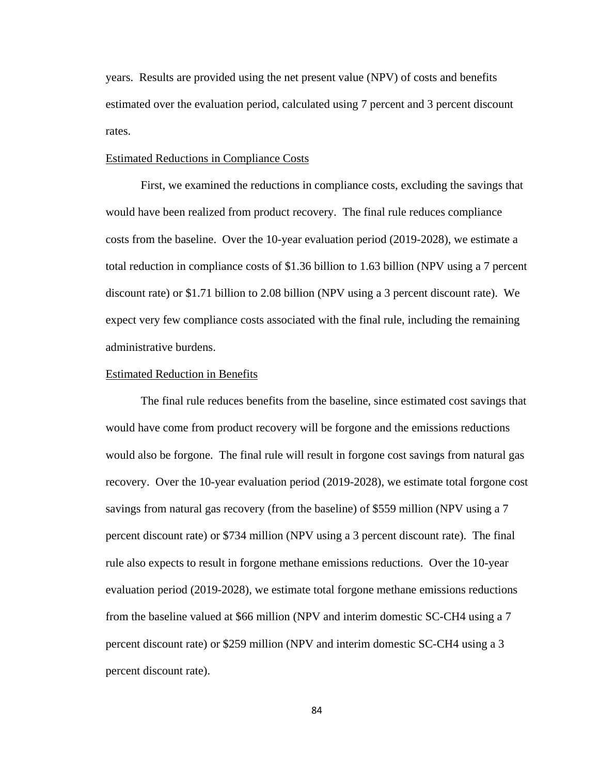years. Results are provided using the net present value (NPV) of costs and benefits estimated over the evaluation period, calculated using 7 percent and 3 percent discount rates.

#### Estimated Reductions in Compliance Costs

First, we examined the reductions in compliance costs, excluding the savings that would have been realized from product recovery. The final rule reduces compliance costs from the baseline. Over the 10-year evaluation period (2019-2028), we estimate a total reduction in compliance costs of \$1.36 billion to 1.63 billion (NPV using a 7 percent discount rate) or \$1.71 billion to 2.08 billion (NPV using a 3 percent discount rate). We expect very few compliance costs associated with the final rule, including the remaining administrative burdens.

#### Estimated Reduction in Benefits

The final rule reduces benefits from the baseline, since estimated cost savings that would have come from product recovery will be forgone and the emissions reductions would also be forgone. The final rule will result in forgone cost savings from natural gas recovery. Over the 10-year evaluation period (2019-2028), we estimate total forgone cost savings from natural gas recovery (from the baseline) of \$559 million (NPV using a 7 percent discount rate) or \$734 million (NPV using a 3 percent discount rate). The final rule also expects to result in forgone methane emissions reductions. Over the 10-year evaluation period (2019-2028), we estimate total forgone methane emissions reductions from the baseline valued at \$66 million (NPV and interim domestic SC-CH4 using a 7 percent discount rate) or \$259 million (NPV and interim domestic SC-CH4 using a 3 percent discount rate).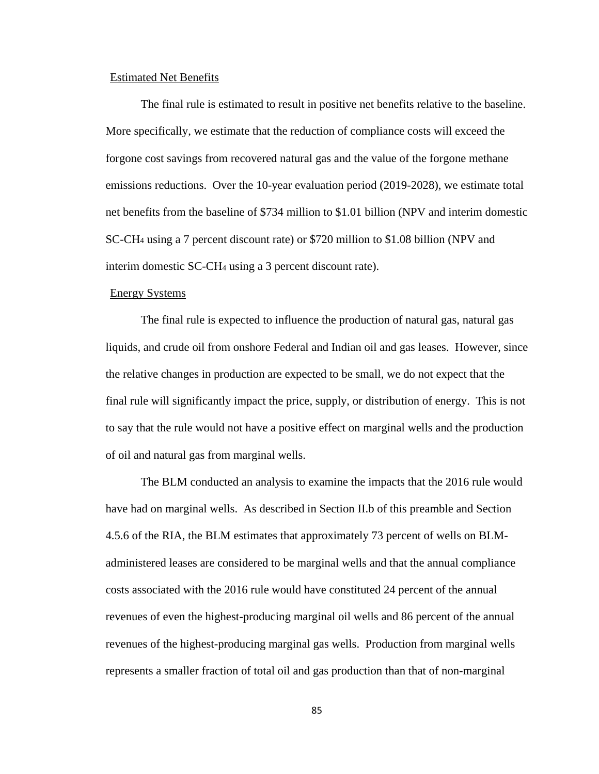## Estimated Net Benefits

The final rule is estimated to result in positive net benefits relative to the baseline. More specifically, we estimate that the reduction of compliance costs will exceed the forgone cost savings from recovered natural gas and the value of the forgone methane emissions reductions. Over the 10-year evaluation period (2019-2028), we estimate total net benefits from the baseline of \$734 million to \$1.01 billion (NPV and interim domestic SC-CH4 using a 7 percent discount rate) or \$720 million to \$1.08 billion (NPV and interim domestic SC-CH4 using a 3 percent discount rate).

#### Energy Systems

The final rule is expected to influence the production of natural gas, natural gas liquids, and crude oil from onshore Federal and Indian oil and gas leases. However, since the relative changes in production are expected to be small, we do not expect that the final rule will significantly impact the price, supply, or distribution of energy. This is not to say that the rule would not have a positive effect on marginal wells and the production of oil and natural gas from marginal wells.

The BLM conducted an analysis to examine the impacts that the 2016 rule would have had on marginal wells. As described in Section II.b of this preamble and Section 4.5.6 of the RIA, the BLM estimates that approximately 73 percent of wells on BLMadministered leases are considered to be marginal wells and that the annual compliance costs associated with the 2016 rule would have constituted 24 percent of the annual revenues of even the highest-producing marginal oil wells and 86 percent of the annual revenues of the highest-producing marginal gas wells. Production from marginal wells represents a smaller fraction of total oil and gas production than that of non-marginal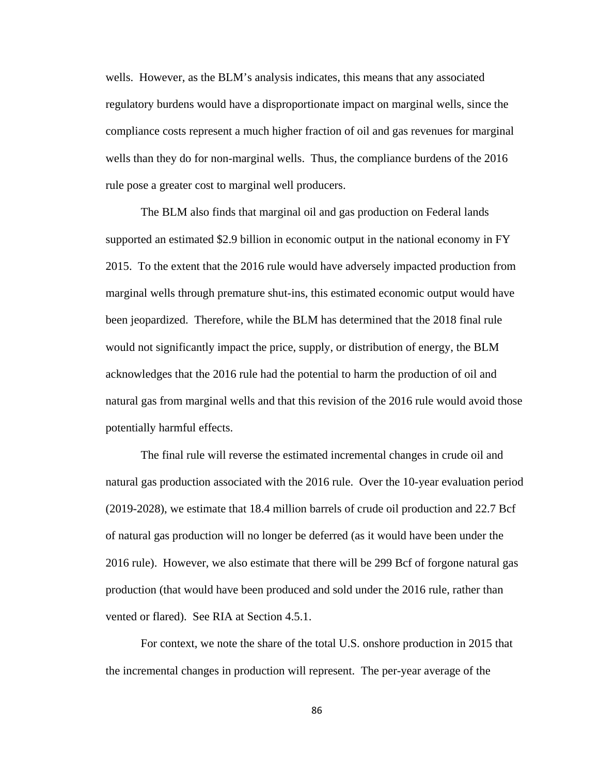wells. However, as the BLM's analysis indicates, this means that any associated regulatory burdens would have a disproportionate impact on marginal wells, since the compliance costs represent a much higher fraction of oil and gas revenues for marginal wells than they do for non-marginal wells. Thus, the compliance burdens of the 2016 rule pose a greater cost to marginal well producers.

The BLM also finds that marginal oil and gas production on Federal lands supported an estimated \$2.9 billion in economic output in the national economy in FY 2015. To the extent that the 2016 rule would have adversely impacted production from marginal wells through premature shut-ins, this estimated economic output would have been jeopardized. Therefore, while the BLM has determined that the 2018 final rule would not significantly impact the price, supply, or distribution of energy, the BLM acknowledges that the 2016 rule had the potential to harm the production of oil and natural gas from marginal wells and that this revision of the 2016 rule would avoid those potentially harmful effects.

The final rule will reverse the estimated incremental changes in crude oil and natural gas production associated with the 2016 rule. Over the 10-year evaluation period (2019-2028), we estimate that 18.4 million barrels of crude oil production and 22.7 Bcf of natural gas production will no longer be deferred (as it would have been under the 2016 rule). However, we also estimate that there will be 299 Bcf of forgone natural gas production (that would have been produced and sold under the 2016 rule, rather than vented or flared). See RIA at Section 4.5.1.

For context, we note the share of the total U.S. onshore production in 2015 that the incremental changes in production will represent. The per-year average of the

86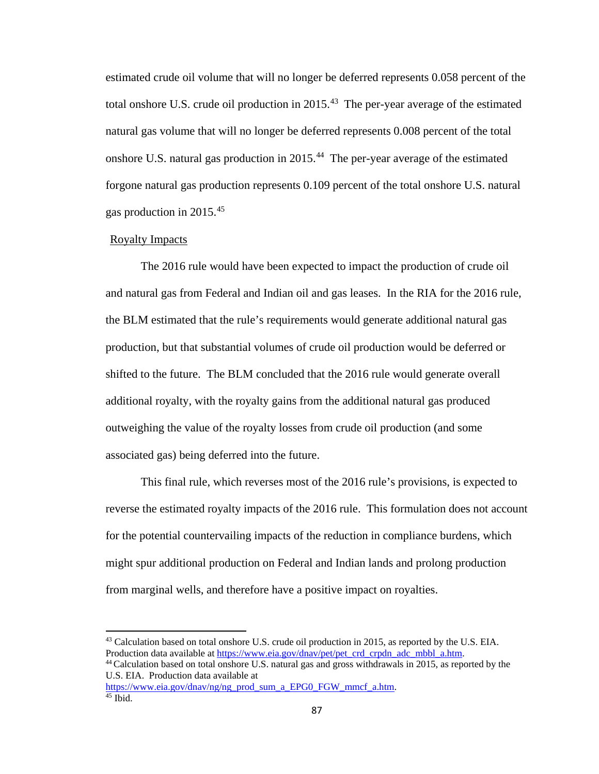estimated crude oil volume that will no longer be deferred represents 0.058 percent of the total onshore U.S. crude oil production in 2015.<sup>43</sup> The per-year average of the estimated natural gas volume that will no longer be deferred represents 0.008 percent of the total onshore U.S. natural gas production in 2015.[44](#page-86-1) The per-year average of the estimated forgone natural gas production represents 0.109 percent of the total onshore U.S. natural gas production in 2015.[45](#page-86-2)

#### Royalty Impacts

 $\overline{a}$ 

The 2016 rule would have been expected to impact the production of crude oil and natural gas from Federal and Indian oil and gas leases. In the RIA for the 2016 rule, the BLM estimated that the rule's requirements would generate additional natural gas production, but that substantial volumes of crude oil production would be deferred or shifted to the future. The BLM concluded that the 2016 rule would generate overall additional royalty, with the royalty gains from the additional natural gas produced outweighing the value of the royalty losses from crude oil production (and some associated gas) being deferred into the future.

This final rule, which reverses most of the 2016 rule's provisions, is expected to reverse the estimated royalty impacts of the 2016 rule. This formulation does not account for the potential countervailing impacts of the reduction in compliance burdens, which might spur additional production on Federal and Indian lands and prolong production from marginal wells, and therefore have a positive impact on royalties.

<span id="page-86-0"></span><sup>&</sup>lt;sup>43</sup> Calculation based on total onshore U.S. crude oil production in 2015, as reported by the U.S. EIA. Production data available at [https://www.eia.gov/dnav/pet/pet\\_crd\\_crpdn\\_adc\\_mbbl\\_a.htm.](https://www.eia.gov/dnav/pet/pet_crd_crpdn_adc_mbbl_a.htm) 44 Calculation based on total onshore U.S. natural gas and gross withdrawals in 2015, as reported by the

<span id="page-86-1"></span>U.S. EIA. Production data available at

<span id="page-86-2"></span>[https://www.eia.gov/dnav/ng/ng\\_prod\\_sum\\_a\\_EPG0\\_FGW\\_mmcf\\_a.htm.](https://www.eia.gov/dnav/ng/ng_prod_sum_a_EPG0_FGW_mmcf_a.htm) 45 Ibid.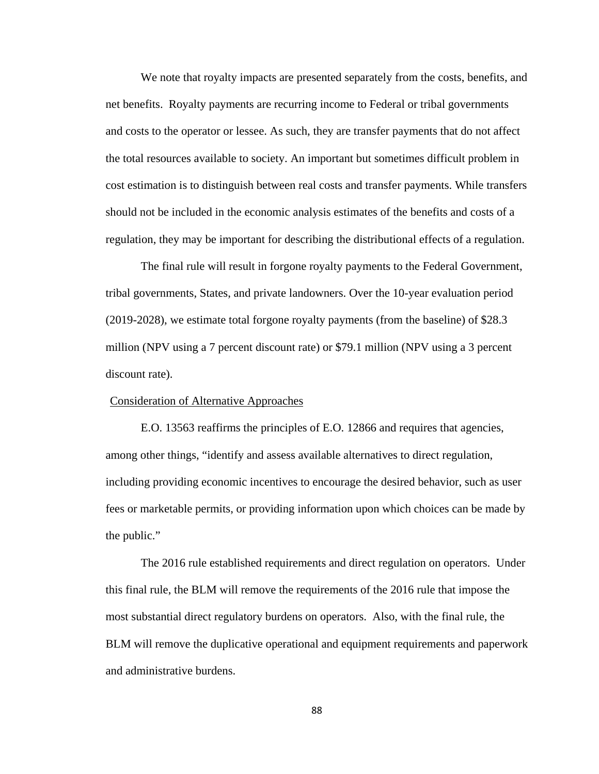We note that royalty impacts are presented separately from the costs, benefits, and net benefits. Royalty payments are recurring income to Federal or tribal governments and costs to the operator or lessee. As such, they are transfer payments that do not affect the total resources available to society. An important but sometimes difficult problem in cost estimation is to distinguish between real costs and transfer payments. While transfers should not be included in the economic analysis estimates of the benefits and costs of a regulation, they may be important for describing the distributional effects of a regulation.

The final rule will result in forgone royalty payments to the Federal Government, tribal governments, States, and private landowners. Over the 10-year evaluation period (2019-2028), we estimate total forgone royalty payments (from the baseline) of \$28.3 million (NPV using a 7 percent discount rate) or \$79.1 million (NPV using a 3 percent discount rate).

## Consideration of Alternative Approaches

E.O. 13563 reaffirms the principles of E.O. 12866 and requires that agencies, among other things, "identify and assess available alternatives to direct regulation, including providing economic incentives to encourage the desired behavior, such as user fees or marketable permits, or providing information upon which choices can be made by the public."

The 2016 rule established requirements and direct regulation on operators. Under this final rule, the BLM will remove the requirements of the 2016 rule that impose the most substantial direct regulatory burdens on operators. Also, with the final rule, the BLM will remove the duplicative operational and equipment requirements and paperwork and administrative burdens.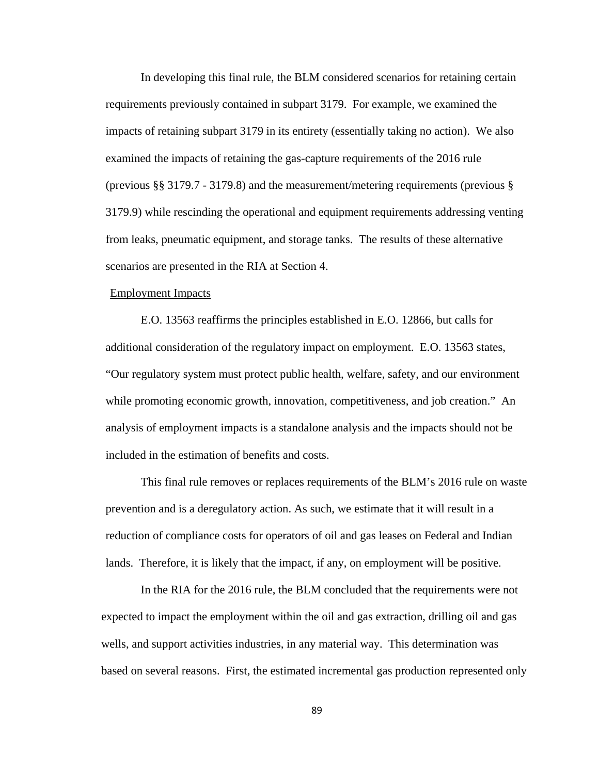In developing this final rule, the BLM considered scenarios for retaining certain requirements previously contained in subpart 3179. For example, we examined the impacts of retaining subpart 3179 in its entirety (essentially taking no action). We also examined the impacts of retaining the gas-capture requirements of the 2016 rule (previous §§ 3179.7 - 3179.8) and the measurement/metering requirements (previous § 3179.9) while rescinding the operational and equipment requirements addressing venting from leaks, pneumatic equipment, and storage tanks. The results of these alternative scenarios are presented in the RIA at Section 4.

## Employment Impacts

E.O. 13563 reaffirms the principles established in E.O. 12866, but calls for additional consideration of the regulatory impact on employment. E.O. 13563 states, "Our regulatory system must protect public health, welfare, safety, and our environment while promoting economic growth, innovation, competitiveness, and job creation." An analysis of employment impacts is a standalone analysis and the impacts should not be included in the estimation of benefits and costs.

This final rule removes or replaces requirements of the BLM's 2016 rule on waste prevention and is a deregulatory action. As such, we estimate that it will result in a reduction of compliance costs for operators of oil and gas leases on Federal and Indian lands. Therefore, it is likely that the impact, if any, on employment will be positive.

In the RIA for the 2016 rule, the BLM concluded that the requirements were not expected to impact the employment within the oil and gas extraction, drilling oil and gas wells, and support activities industries, in any material way. This determination was based on several reasons. First, the estimated incremental gas production represented only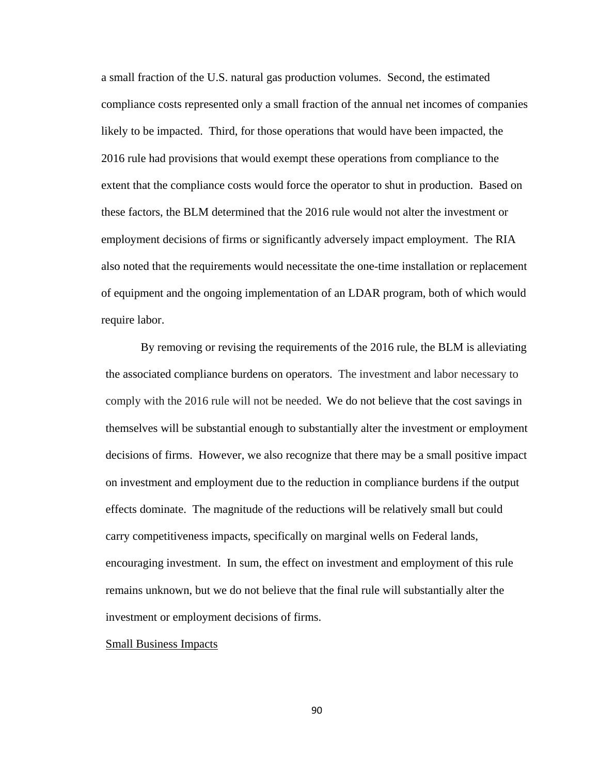a small fraction of the U.S. natural gas production volumes. Second, the estimated compliance costs represented only a small fraction of the annual net incomes of companies likely to be impacted. Third, for those operations that would have been impacted, the 2016 rule had provisions that would exempt these operations from compliance to the extent that the compliance costs would force the operator to shut in production. Based on these factors, the BLM determined that the 2016 rule would not alter the investment or employment decisions of firms or significantly adversely impact employment. The RIA also noted that the requirements would necessitate the one-time installation or replacement of equipment and the ongoing implementation of an LDAR program, both of which would require labor.

By removing or revising the requirements of the 2016 rule, the BLM is alleviating the associated compliance burdens on operators. The investment and labor necessary to comply with the 2016 rule will not be needed. We do not believe that the cost savings in themselves will be substantial enough to substantially alter the investment or employment decisions of firms. However, we also recognize that there may be a small positive impact on investment and employment due to the reduction in compliance burdens if the output effects dominate. The magnitude of the reductions will be relatively small but could carry competitiveness impacts, specifically on marginal wells on Federal lands, encouraging investment. In sum, the effect on investment and employment of this rule remains unknown, but we do not believe that the final rule will substantially alter the investment or employment decisions of firms.

## Small Business Impacts

90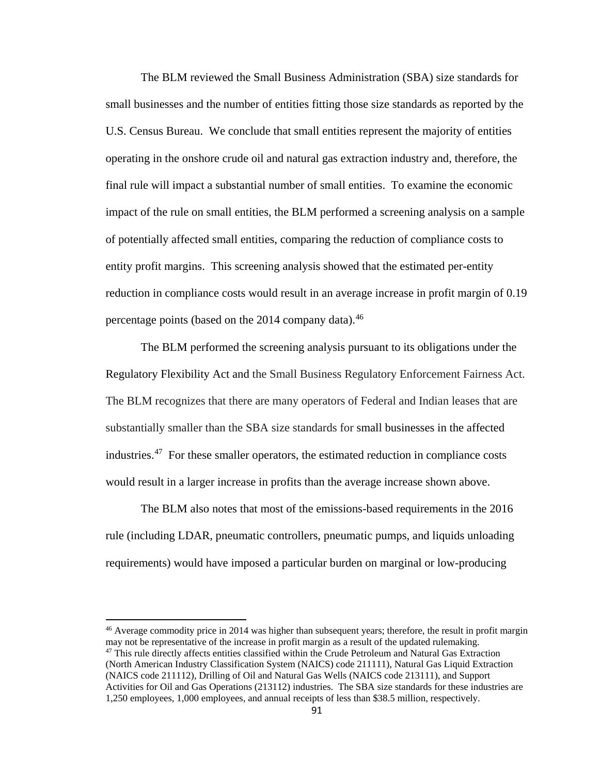The BLM reviewed the Small Business Administration (SBA) size standards for small businesses and the number of entities fitting those size standards as reported by the U.S. Census Bureau. We conclude that small entities represent the majority of entities operating in the onshore crude oil and natural gas extraction industry and, therefore, the final rule will impact a substantial number of small entities. To examine the economic impact of the rule on small entities, the BLM performed a screening analysis on a sample of potentially affected small entities, comparing the reduction of compliance costs to entity profit margins. This screening analysis showed that the estimated per-entity reduction in compliance costs would result in an average increase in profit margin of 0.19 percentage points (based on the 2014 company data).<sup>[46](#page-90-0)</sup>

The BLM performed the screening analysis pursuant to its obligations under the Regulatory Flexibility Act and the Small Business Regulatory Enforcement Fairness Act. The BLM recognizes that there are many operators of Federal and Indian leases that are substantially smaller than the SBA size standards for small businesses in the affected industries.[47](#page-90-1) For these smaller operators, the estimated reduction in compliance costs would result in a larger increase in profits than the average increase shown above.

The BLM also notes that most of the emissions-based requirements in the 2016 rule (including LDAR, pneumatic controllers, pneumatic pumps, and liquids unloading requirements) would have imposed a particular burden on marginal or low-producing

<span id="page-90-1"></span><span id="page-90-0"></span><sup>46</sup> Average commodity price in 2014 was higher than subsequent years; therefore, the result in profit margin may not be representative of the increase in profit margin as a result of the updated rulemaking. <sup>47</sup> This rule directly affects entities classified within the Crude Petroleum and Natural Gas Extraction (North American Industry Classification System (NAICS) code 211111), Natural Gas Liquid Extraction (NAICS code 211112), Drilling of Oil and Natural Gas Wells (NAICS code 213111), and Support Activities for Oil and Gas Operations (213112) industries. The SBA size standards for these industries are 1,250 employees, 1,000 employees, and annual receipts of less than \$38.5 million, respectively.

l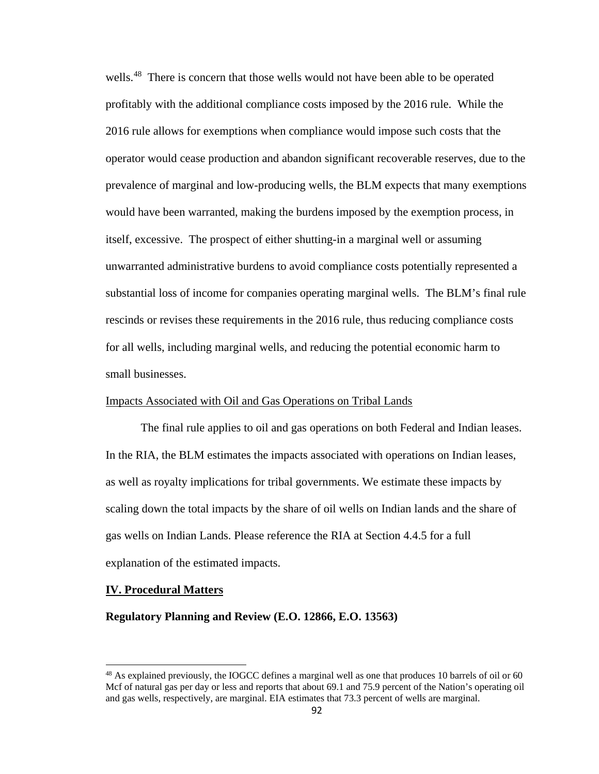wells.<sup>48</sup> There is concern that those wells would not have been able to be operated profitably with the additional compliance costs imposed by the 2016 rule. While the 2016 rule allows for exemptions when compliance would impose such costs that the operator would cease production and abandon significant recoverable reserves, due to the prevalence of marginal and low-producing wells, the BLM expects that many exemptions would have been warranted, making the burdens imposed by the exemption process, in itself, excessive. The prospect of either shutting-in a marginal well or assuming unwarranted administrative burdens to avoid compliance costs potentially represented a substantial loss of income for companies operating marginal wells. The BLM's final rule rescinds or revises these requirements in the 2016 rule, thus reducing compliance costs for all wells, including marginal wells, and reducing the potential economic harm to small businesses.

## Impacts Associated with Oil and Gas Operations on Tribal Lands

The final rule applies to oil and gas operations on both Federal and Indian leases. In the RIA, the BLM estimates the impacts associated with operations on Indian leases, as well as royalty implications for tribal governments. We estimate these impacts by scaling down the total impacts by the share of oil wells on Indian lands and the share of gas wells on Indian Lands. Please reference the RIA at Section 4.4.5 for a full explanation of the estimated impacts.

#### **IV. Procedural Matters**

 $\overline{a}$ 

#### **Regulatory Planning and Review (E.O. 12866, E.O. 13563)**

<span id="page-91-0"></span> $^{48}$  As explained previously, the IOGCC defines a marginal well as one that produces 10 barrels of oil or 60 Mcf of natural gas per day or less and reports that about 69.1 and 75.9 percent of the Nation's operating oil and gas wells, respectively, are marginal. EIA estimates that 73.3 percent of wells are marginal.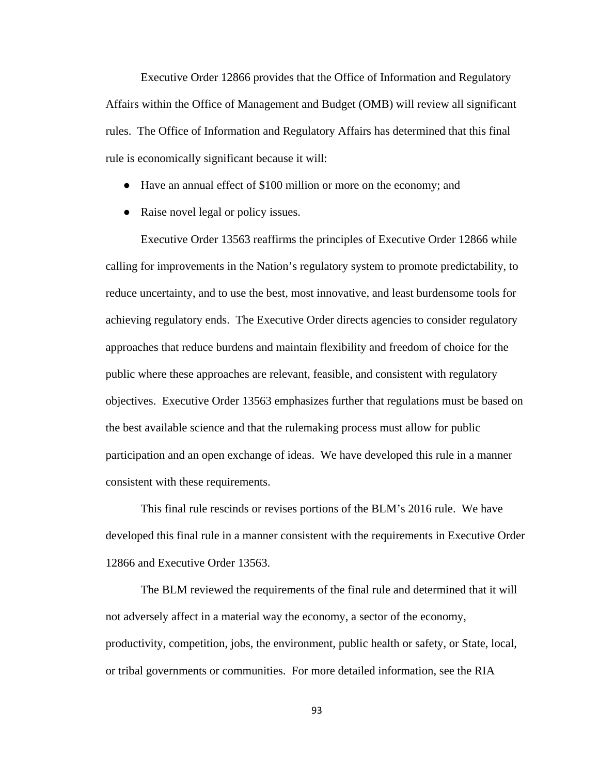Executive Order 12866 provides that the Office of Information and Regulatory Affairs within the Office of Management and Budget (OMB) will review all significant rules. The Office of Information and Regulatory Affairs has determined that this final rule is economically significant because it will:

- Have an annual effect of \$100 million or more on the economy; and
- Raise novel legal or policy issues.

 Executive Order 13563 reaffirms the principles of Executive Order 12866 while calling for improvements in the Nation's regulatory system to promote predictability, to reduce uncertainty, and to use the best, most innovative, and least burdensome tools for achieving regulatory ends. The Executive Order directs agencies to consider regulatory approaches that reduce burdens and maintain flexibility and freedom of choice for the public where these approaches are relevant, feasible, and consistent with regulatory objectives. Executive Order 13563 emphasizes further that regulations must be based on the best available science and that the rulemaking process must allow for public participation and an open exchange of ideas. We have developed this rule in a manner consistent with these requirements.

This final rule rescinds or revises portions of the BLM's 2016 rule. We have developed this final rule in a manner consistent with the requirements in Executive Order 12866 and Executive Order 13563.

The BLM reviewed the requirements of the final rule and determined that it will not adversely affect in a material way the economy, a sector of the economy, productivity, competition, jobs, the environment, public health or safety, or State, local, or tribal governments or communities. For more detailed information, see the RIA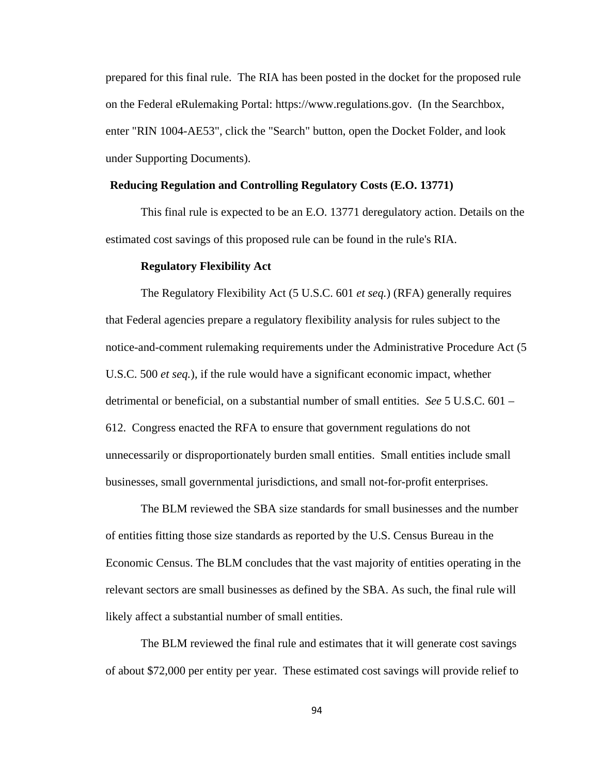prepared for this final rule. The RIA has been posted in the docket for the proposed rule on the Federal eRulemaking Portal: https://www.regulations.gov. (In the Searchbox, enter "RIN 1004-AE53", click the "Search" button, open the Docket Folder, and look under Supporting Documents).

### **Reducing Regulation and Controlling Regulatory Costs (E.O. 13771)**

This final rule is expected to be an E.O. 13771 deregulatory action. Details on the estimated cost savings of this proposed rule can be found in the rule's RIA.

#### **Regulatory Flexibility Act**

The Regulatory Flexibility Act (5 U.S.C. 601 *et seq.*) (RFA) generally requires that Federal agencies prepare a regulatory flexibility analysis for rules subject to the notice-and-comment rulemaking requirements under the Administrative Procedure Act (5 U.S.C. 500 *et seq.*), if the rule would have a significant economic impact, whether detrimental or beneficial, on a substantial number of small entities. *See* 5 U.S.C. 601 – 612. Congress enacted the RFA to ensure that government regulations do not unnecessarily or disproportionately burden small entities. Small entities include small businesses, small governmental jurisdictions, and small not-for-profit enterprises.

The BLM reviewed the SBA size standards for small businesses and the number of entities fitting those size standards as reported by the U.S. Census Bureau in the Economic Census. The BLM concludes that the vast majority of entities operating in the relevant sectors are small businesses as defined by the SBA. As such, the final rule will likely affect a substantial number of small entities.

The BLM reviewed the final rule and estimates that it will generate cost savings of about \$72,000 per entity per year. These estimated cost savings will provide relief to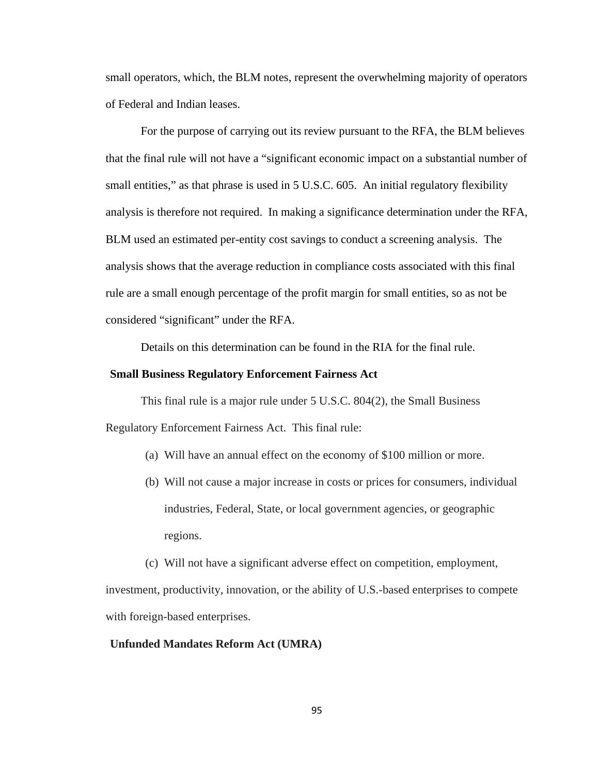small operators, which, the BLM notes, represent the overwhelming majority of operators of Federal and Indian leases.

For the purpose of carrying out its review pursuant to the RFA, the BLM believes that the final rule will not have a "significant economic impact on a substantial number of small entities," as that phrase is used in 5 U.S.C. 605. An initial regulatory flexibility analysis is therefore not required. In making a significance determination under the RFA, BLM used an estimated per-entity cost savings to conduct a screening analysis. The analysis shows that the average reduction in compliance costs associated with this final rule are a small enough percentage of the profit margin for small entities, so as not be considered "significant" under the RFA.

Details on this determination can be found in the RIA for the final rule.

#### **Small Business Regulatory Enforcement Fairness Act**

This final rule is a major rule under 5 U.S.C. 804(2), the Small Business Regulatory Enforcement Fairness Act. This final rule:

- (a) Will have an annual effect on the economy of \$100 million or more.
- (b) Will not cause a major increase in costs or prices for consumers, individual industries, Federal, State, or local government agencies, or geographic regions.
- (c) Will not have a significant adverse effect on competition, employment,

investment, productivity, innovation, or the ability of U.S.-based enterprises to compete with foreign-based enterprises.

## **Unfunded Mandates Reform Act (UMRA)**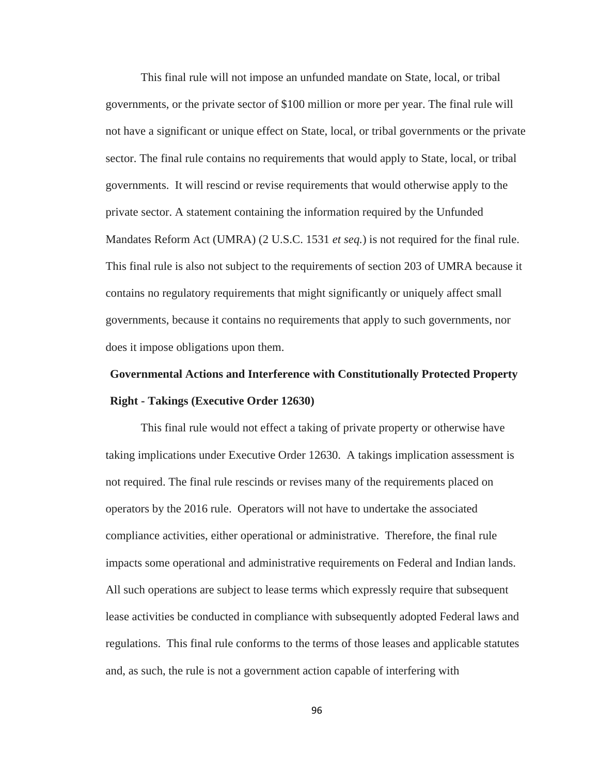This final rule will not impose an unfunded mandate on State, local, or tribal governments, or the private sector of \$100 million or more per year. The final rule will not have a significant or unique effect on State, local, or tribal governments or the private sector. The final rule contains no requirements that would apply to State, local, or tribal governments. It will rescind or revise requirements that would otherwise apply to the private sector. A statement containing the information required by the Unfunded Mandates Reform Act (UMRA) (2 U.S.C. 1531 *et seq.*) is not required for the final rule. This final rule is also not subject to the requirements of section 203 of UMRA because it contains no regulatory requirements that might significantly or uniquely affect small governments, because it contains no requirements that apply to such governments, nor does it impose obligations upon them.

# **Governmental Actions and Interference with Constitutionally Protected Property Right - Takings (Executive Order 12630)**

This final rule would not effect a taking of private property or otherwise have taking implications under Executive Order 12630. A takings implication assessment is not required. The final rule rescinds or revises many of the requirements placed on operators by the 2016 rule. Operators will not have to undertake the associated compliance activities, either operational or administrative. Therefore, the final rule impacts some operational and administrative requirements on Federal and Indian lands. All such operations are subject to lease terms which expressly require that subsequent lease activities be conducted in compliance with subsequently adopted Federal laws and regulations. This final rule conforms to the terms of those leases and applicable statutes and, as such, the rule is not a government action capable of interfering with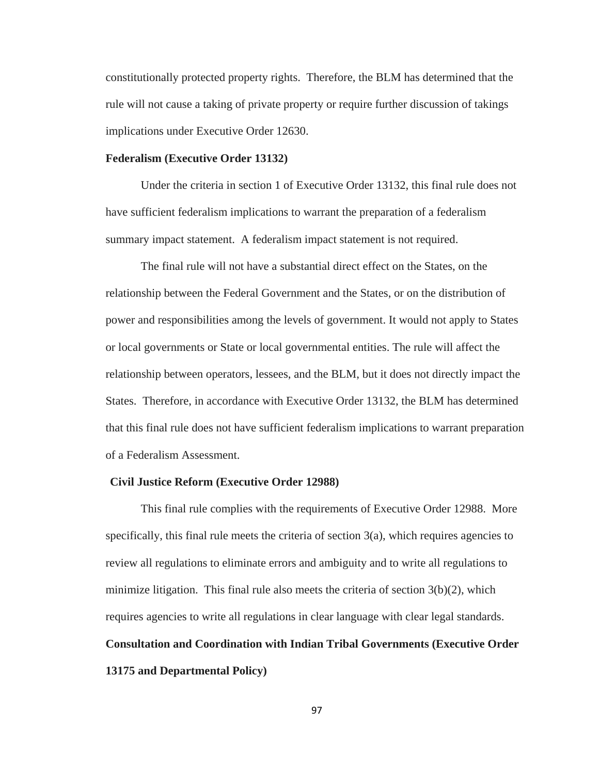constitutionally protected property rights. Therefore, the BLM has determined that the rule will not cause a taking of private property or require further discussion of takings implications under Executive Order 12630.

## **Federalism (Executive Order 13132)**

Under the criteria in section 1 of Executive Order 13132, this final rule does not have sufficient federalism implications to warrant the preparation of a federalism summary impact statement. A federalism impact statement is not required.

The final rule will not have a substantial direct effect on the States, on the relationship between the Federal Government and the States, or on the distribution of power and responsibilities among the levels of government. It would not apply to States or local governments or State or local governmental entities. The rule will affect the relationship between operators, lessees, and the BLM, but it does not directly impact the States. Therefore, in accordance with Executive Order 13132, the BLM has determined that this final rule does not have sufficient federalism implications to warrant preparation of a Federalism Assessment.

#### **Civil Justice Reform (Executive Order 12988)**

This final rule complies with the requirements of Executive Order 12988. More specifically, this final rule meets the criteria of section  $3(a)$ , which requires agencies to review all regulations to eliminate errors and ambiguity and to write all regulations to minimize litigation. This final rule also meets the criteria of section  $3(b)(2)$ , which requires agencies to write all regulations in clear language with clear legal standards. **Consultation and Coordination with Indian Tribal Governments (Executive Order 13175 and Departmental Policy)**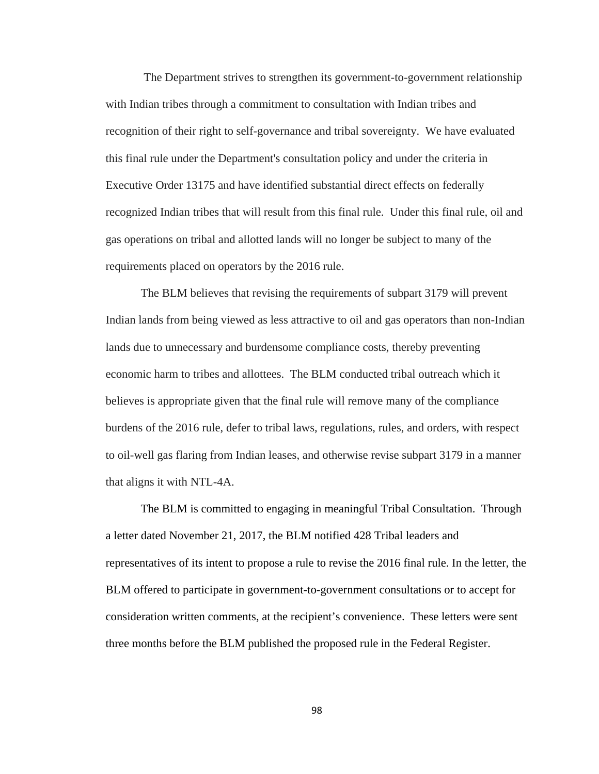The Department strives to strengthen its government-to-government relationship with Indian tribes through a commitment to consultation with Indian tribes and recognition of their right to self-governance and tribal sovereignty. We have evaluated this final rule under the Department's consultation policy and under the criteria in Executive Order 13175 and have identified substantial direct effects on federally recognized Indian tribes that will result from this final rule. Under this final rule, oil and gas operations on tribal and allotted lands will no longer be subject to many of the requirements placed on operators by the 2016 rule.

The BLM believes that revising the requirements of subpart 3179 will prevent Indian lands from being viewed as less attractive to oil and gas operators than non-Indian lands due to unnecessary and burdensome compliance costs, thereby preventing economic harm to tribes and allottees. The BLM conducted tribal outreach which it believes is appropriate given that the final rule will remove many of the compliance burdens of the 2016 rule, defer to tribal laws, regulations, rules, and orders, with respect to oil-well gas flaring from Indian leases, and otherwise revise subpart 3179 in a manner that aligns it with NTL-4A.

The BLM is committed to engaging in meaningful Tribal Consultation. Through a letter dated November 21, 2017, the BLM notified 428 Tribal leaders and representatives of its intent to propose a rule to revise the 2016 final rule. In the letter, the BLM offered to participate in government-to-government consultations or to accept for consideration written comments, at the recipient's convenience. These letters were sent three months before the BLM published the proposed rule in the Federal Register.

98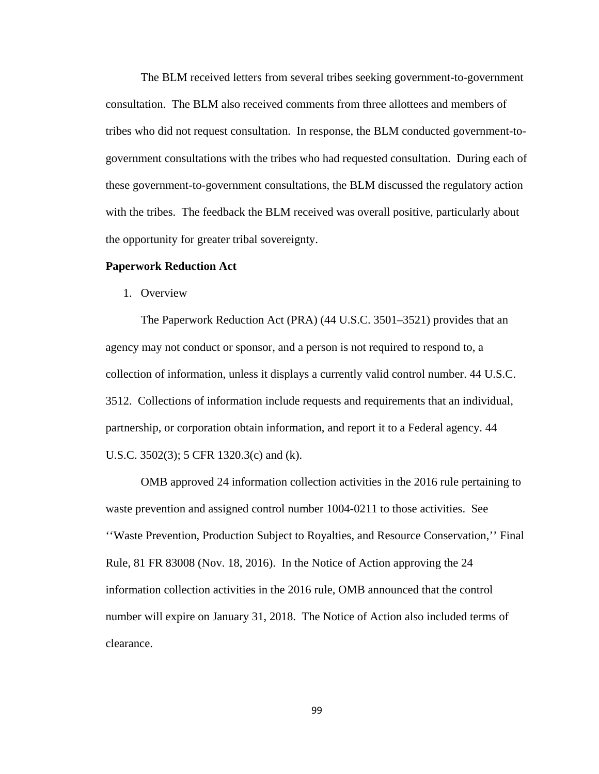The BLM received letters from several tribes seeking government-to-government consultation. The BLM also received comments from three allottees and members of tribes who did not request consultation. In response, the BLM conducted government-togovernment consultations with the tribes who had requested consultation. During each of these government-to-government consultations, the BLM discussed the regulatory action with the tribes. The feedback the BLM received was overall positive, particularly about the opportunity for greater tribal sovereignty.

#### **Paperwork Reduction Act**

1. Overview

The Paperwork Reduction Act (PRA) (44 U.S.C. 3501–3521) provides that an agency may not conduct or sponsor, and a person is not required to respond to, a collection of information, unless it displays a currently valid control number. 44 U.S.C. 3512. Collections of information include requests and requirements that an individual, partnership, or corporation obtain information, and report it to a Federal agency. 44 U.S.C. 3502(3); 5 CFR 1320.3(c) and (k).

OMB approved 24 information collection activities in the 2016 rule pertaining to waste prevention and assigned control number 1004-0211 to those activities. See ''Waste Prevention, Production Subject to Royalties, and Resource Conservation,'' Final Rule, 81 FR 83008 (Nov. 18, 2016). In the Notice of Action approving the 24 information collection activities in the 2016 rule, OMB announced that the control number will expire on January 31, 2018. The Notice of Action also included terms of clearance.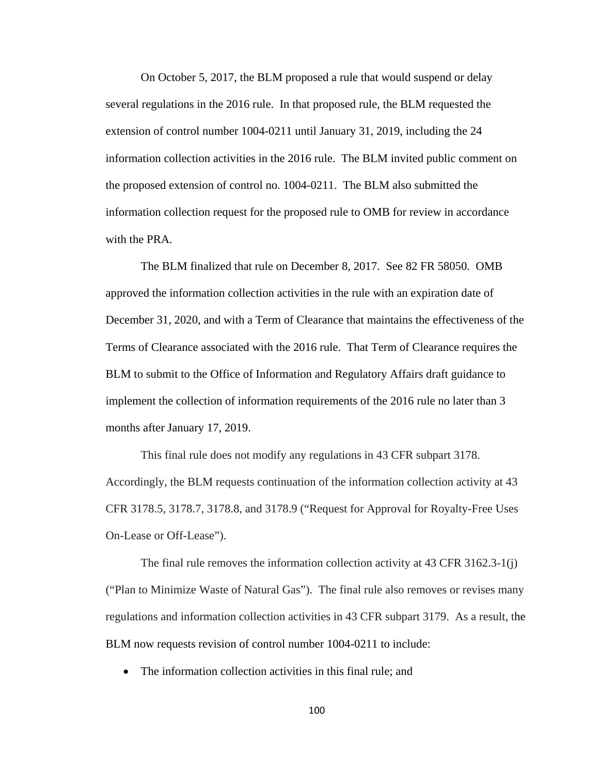On October 5, 2017, the BLM proposed a rule that would suspend or delay several regulations in the 2016 rule. In that proposed rule, the BLM requested the extension of control number 1004-0211 until January 31, 2019, including the 24 information collection activities in the 2016 rule. The BLM invited public comment on the proposed extension of control no. 1004-0211. The BLM also submitted the information collection request for the proposed rule to OMB for review in accordance with the PRA.

The BLM finalized that rule on December 8, 2017. See 82 FR 58050. OMB approved the information collection activities in the rule with an expiration date of December 31, 2020, and with a Term of Clearance that maintains the effectiveness of the Terms of Clearance associated with the 2016 rule. That Term of Clearance requires the BLM to submit to the Office of Information and Regulatory Affairs draft guidance to implement the collection of information requirements of the 2016 rule no later than 3 months after January 17, 2019.

This final rule does not modify any regulations in 43 CFR subpart 3178. Accordingly, the BLM requests continuation of the information collection activity at 43 CFR 3178.5, 3178.7, 3178.8, and 3178.9 ("Request for Approval for Royalty-Free Uses On-Lease or Off-Lease").

The final rule removes the information collection activity at 43 CFR 3162.3-1(j) ("Plan to Minimize Waste of Natural Gas"). The final rule also removes or revises many regulations and information collection activities in 43 CFR subpart 3179. As a result, the BLM now requests revision of control number 1004-0211 to include:

• The information collection activities in this final rule; and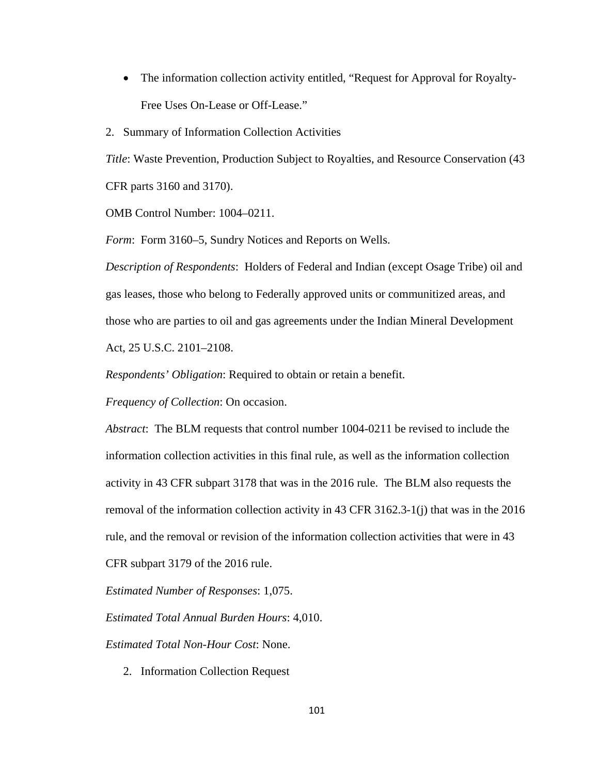• The information collection activity entitled, "Request for Approval for Royalty-Free Uses On-Lease or Off-Lease."

2. Summary of Information Collection Activities

*Title*: Waste Prevention, Production Subject to Royalties, and Resource Conservation (43 CFR parts 3160 and 3170).

OMB Control Number: 1004–0211.

*Form*: Form 3160–5, Sundry Notices and Reports on Wells.

*Description of Respondents*: Holders of Federal and Indian (except Osage Tribe) oil and gas leases, those who belong to Federally approved units or communitized areas, and those who are parties to oil and gas agreements under the Indian Mineral Development Act, 25 U.S.C. 2101–2108.

*Respondents' Obligation*: Required to obtain or retain a benefit.

*Frequency of Collection*: On occasion.

*Abstract*: The BLM requests that control number 1004-0211 be revised to include the information collection activities in this final rule, as well as the information collection activity in 43 CFR subpart 3178 that was in the 2016 rule. The BLM also requests the removal of the information collection activity in 43 CFR 3162.3-1(j) that was in the 2016 rule, and the removal or revision of the information collection activities that were in 43 CFR subpart 3179 of the 2016 rule.

*Estimated Number of Responses*: 1,075.

*Estimated Total Annual Burden Hours*: 4,010.

*Estimated Total Non-Hour Cost*: None.

2. Information Collection Request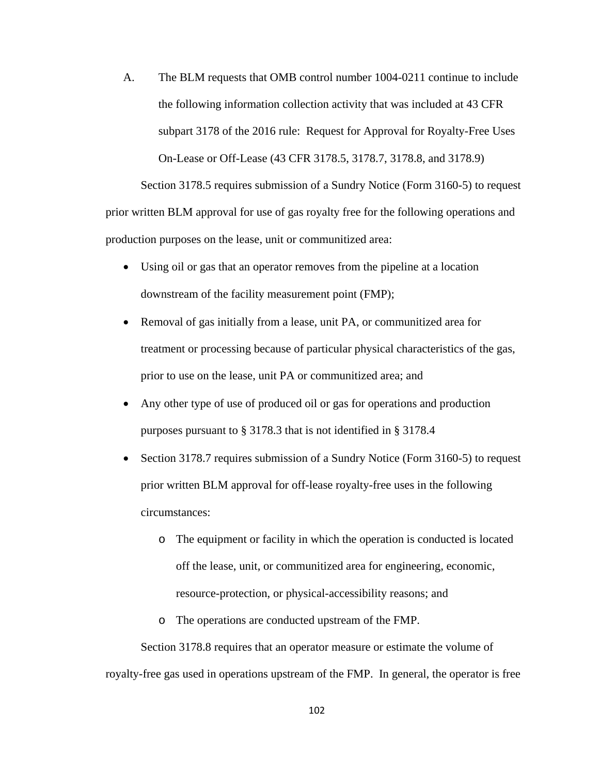A. The BLM requests that OMB control number 1004-0211 continue to include the following information collection activity that was included at 43 CFR subpart 3178 of the 2016 rule: Request for Approval for Royalty-Free Uses On-Lease or Off-Lease (43 CFR 3178.5, 3178.7, 3178.8, and 3178.9)

Section 3178.5 requires submission of a Sundry Notice (Form 3160-5) to request prior written BLM approval for use of gas royalty free for the following operations and production purposes on the lease, unit or communitized area:

- Using oil or gas that an operator removes from the pipeline at a location downstream of the facility measurement point (FMP);
- Removal of gas initially from a lease, unit PA, or communitized area for treatment or processing because of particular physical characteristics of the gas, prior to use on the lease, unit PA or communitized area; and
- Any other type of use of produced oil or gas for operations and production purposes pursuant to § 3178.3 that is not identified in § 3178.4
- Section 3178.7 requires submission of a Sundry Notice (Form 3160-5) to request prior written BLM approval for off-lease royalty-free uses in the following circumstances:
	- o The equipment or facility in which the operation is conducted is located off the lease, unit, or communitized area for engineering, economic, resource-protection, or physical-accessibility reasons; and
	- o The operations are conducted upstream of the FMP.

Section 3178.8 requires that an operator measure or estimate the volume of royalty-free gas used in operations upstream of the FMP. In general, the operator is free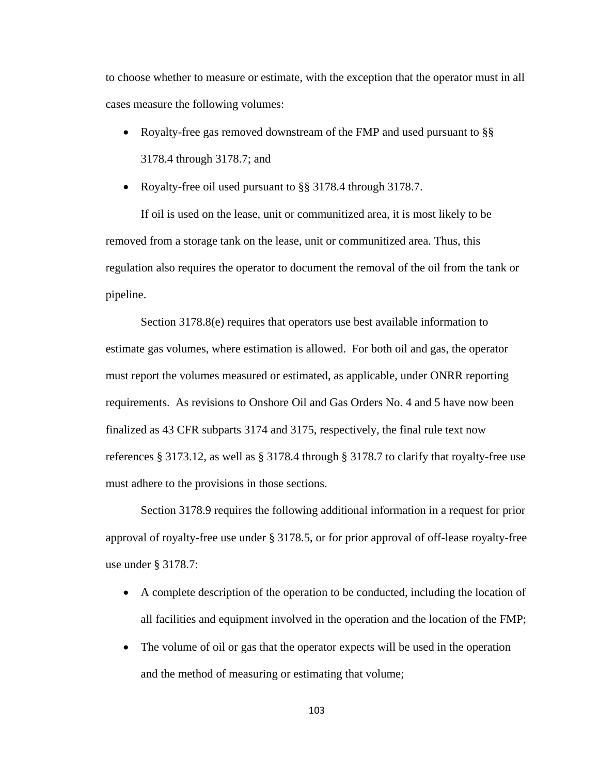to choose whether to measure or estimate, with the exception that the operator must in all cases measure the following volumes:

• Royalty-free gas removed downstream of the FMP and used pursuant to §§ 3178.4 through 3178.7; and

• Royalty-free oil used pursuant to §§ 3178.4 through 3178.7.

If oil is used on the lease, unit or communitized area, it is most likely to be removed from a storage tank on the lease, unit or communitized area. Thus, this regulation also requires the operator to document the removal of the oil from the tank or pipeline.

Section 3178.8(e) requires that operators use best available information to estimate gas volumes, where estimation is allowed. For both oil and gas, the operator must report the volumes measured or estimated, as applicable, under ONRR reporting requirements. As revisions to Onshore Oil and Gas Orders No. 4 and 5 have now been finalized as 43 CFR subparts 3174 and 3175, respectively, the final rule text now references § 3173.12, as well as § 3178.4 through § 3178.7 to clarify that royalty-free use must adhere to the provisions in those sections.

Section 3178.9 requires the following additional information in a request for prior approval of royalty-free use under § 3178.5, or for prior approval of off-lease royalty-free use under § 3178.7:

- A complete description of the operation to be conducted, including the location of all facilities and equipment involved in the operation and the location of the FMP;
- The volume of oil or gas that the operator expects will be used in the operation and the method of measuring or estimating that volume;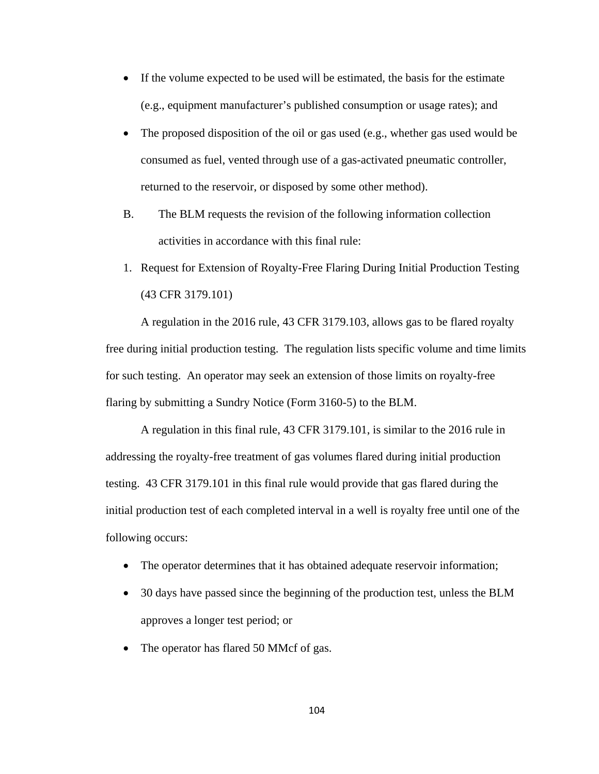- If the volume expected to be used will be estimated, the basis for the estimate (e.g., equipment manufacturer's published consumption or usage rates); and
- The proposed disposition of the oil or gas used (e.g., whether gas used would be consumed as fuel, vented through use of a gas-activated pneumatic controller, returned to the reservoir, or disposed by some other method).
- B. The BLM requests the revision of the following information collection activities in accordance with this final rule:
- 1. Request for Extension of Royalty-Free Flaring During Initial Production Testing (43 CFR 3179.101)

A regulation in the 2016 rule, 43 CFR 3179.103, allows gas to be flared royalty free during initial production testing. The regulation lists specific volume and time limits for such testing. An operator may seek an extension of those limits on royalty-free flaring by submitting a Sundry Notice (Form 3160-5) to the BLM.

A regulation in this final rule, 43 CFR 3179.101, is similar to the 2016 rule in addressing the royalty-free treatment of gas volumes flared during initial production testing. 43 CFR 3179.101 in this final rule would provide that gas flared during the initial production test of each completed interval in a well is royalty free until one of the following occurs:

- The operator determines that it has obtained adequate reservoir information;
- 30 days have passed since the beginning of the production test, unless the BLM approves a longer test period; or
- The operator has flared 50 MMcf of gas.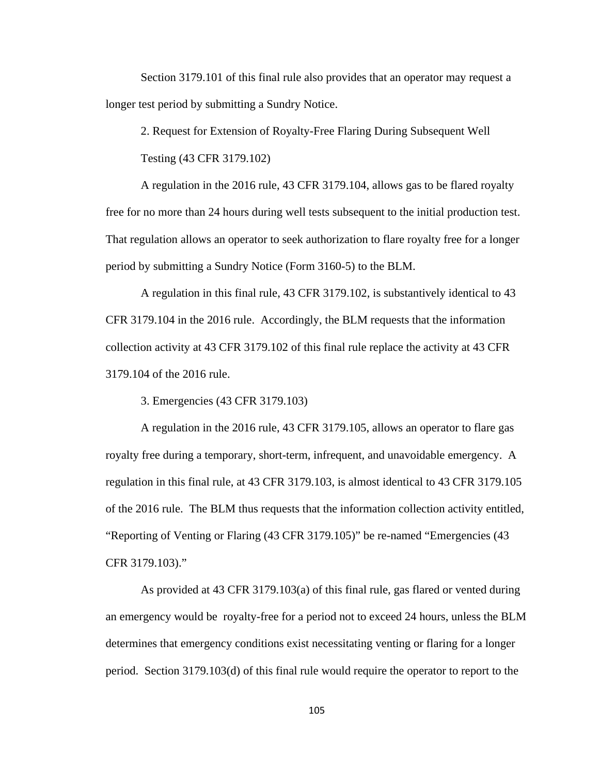Section 3179.101 of this final rule also provides that an operator may request a longer test period by submitting a Sundry Notice.

2. Request for Extension of Royalty-Free Flaring During Subsequent Well

Testing (43 CFR 3179.102)

A regulation in the 2016 rule, 43 CFR 3179.104, allows gas to be flared royalty free for no more than 24 hours during well tests subsequent to the initial production test. That regulation allows an operator to seek authorization to flare royalty free for a longer period by submitting a Sundry Notice (Form 3160-5) to the BLM.

A regulation in this final rule, 43 CFR 3179.102, is substantively identical to 43 CFR 3179.104 in the 2016 rule. Accordingly, the BLM requests that the information collection activity at 43 CFR 3179.102 of this final rule replace the activity at 43 CFR 3179.104 of the 2016 rule.

3. Emergencies (43 CFR 3179.103)

A regulation in the 2016 rule, 43 CFR 3179.105, allows an operator to flare gas royalty free during a temporary, short-term, infrequent, and unavoidable emergency. A regulation in this final rule, at 43 CFR 3179.103, is almost identical to 43 CFR 3179.105 of the 2016 rule. The BLM thus requests that the information collection activity entitled, "Reporting of Venting or Flaring (43 CFR 3179.105)" be re-named "Emergencies (43 CFR 3179.103)."

As provided at 43 CFR 3179.103(a) of this final rule, gas flared or vented during an emergency would be royalty-free for a period not to exceed 24 hours, unless the BLM determines that emergency conditions exist necessitating venting or flaring for a longer period. Section 3179.103(d) of this final rule would require the operator to report to the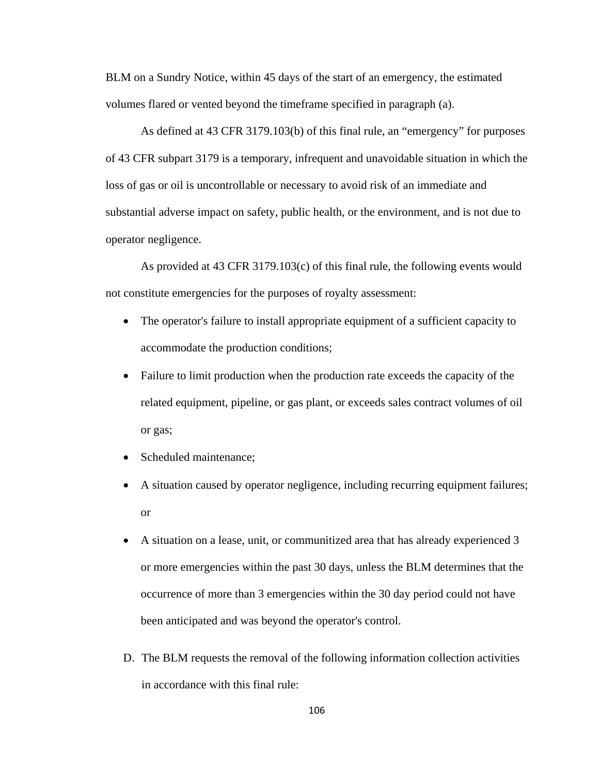BLM on a Sundry Notice, within 45 days of the start of an emergency, the estimated volumes flared or vented beyond the timeframe specified in paragraph (a).

As defined at 43 CFR 3179.103(b) of this final rule, an "emergency" for purposes of 43 CFR subpart 3179 is a temporary, infrequent and unavoidable situation in which the loss of gas or oil is uncontrollable or necessary to avoid risk of an immediate and substantial adverse impact on safety, public health, or the environment, and is not due to operator negligence.

As provided at 43 CFR 3179.103(c) of this final rule, the following events would not constitute emergencies for the purposes of royalty assessment:

- The operator's failure to install appropriate equipment of a sufficient capacity to accommodate the production conditions;
- Failure to limit production when the production rate exceeds the capacity of the related equipment, pipeline, or gas plant, or exceeds sales contract volumes of oil or gas;
- Scheduled maintenance;
- A situation caused by operator negligence, including recurring equipment failures; or
- A situation on a lease, unit, or communitized area that has already experienced 3 or more emergencies within the past 30 days, unless the BLM determines that the occurrence of more than 3 emergencies within the 30 day period could not have been anticipated and was beyond the operator's control.
- D. The BLM requests the removal of the following information collection activities in accordance with this final rule: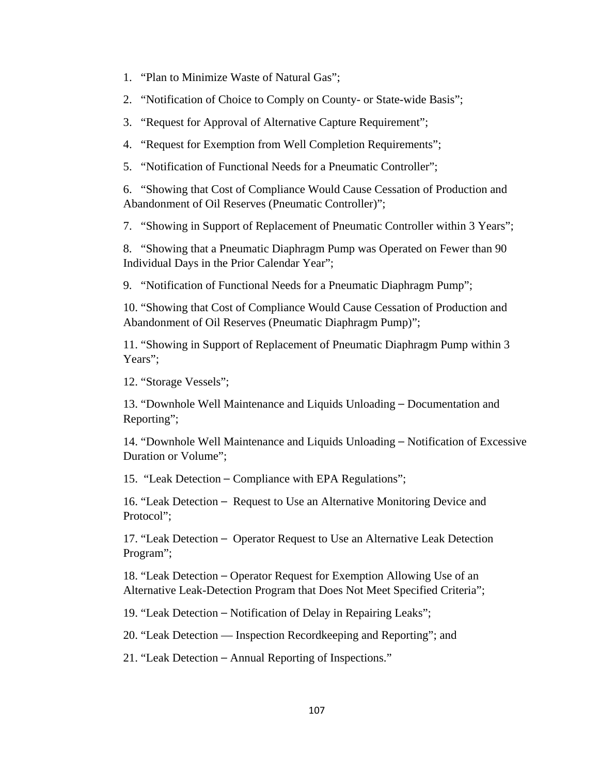- 1. "Plan to Minimize Waste of Natural Gas";
- 2. "Notification of Choice to Comply on County- or State-wide Basis";
- 3. "Request for Approval of Alternative Capture Requirement";
- 4. "Request for Exemption from Well Completion Requirements";
- 5. "Notification of Functional Needs for a Pneumatic Controller";

6. "Showing that Cost of Compliance Would Cause Cessation of Production and Abandonment of Oil Reserves (Pneumatic Controller)";

7. "Showing in Support of Replacement of Pneumatic Controller within 3 Years";

8. "Showing that a Pneumatic Diaphragm Pump was Operated on Fewer than 90 Individual Days in the Prior Calendar Year";

9. "Notification of Functional Needs for a Pneumatic Diaphragm Pump";

10. "Showing that Cost of Compliance Would Cause Cessation of Production and Abandonment of Oil Reserves (Pneumatic Diaphragm Pump)";

11. "Showing in Support of Replacement of Pneumatic Diaphragm Pump within 3 Years";

12. "Storage Vessels";

13. "Downhole Well Maintenance and Liquids Unloading – Documentation and Reporting";

14. "Downhole Well Maintenance and Liquids Unloading – Notification of Excessive Duration or Volume";

15. "Leak Detection – Compliance with EPA Regulations";

16. "Leak Detection – Request to Use an Alternative Monitoring Device and Protocol":

17. "Leak Detection – Operator Request to Use an Alternative Leak Detection Program";

18. "Leak Detection – Operator Request for Exemption Allowing Use of an Alternative Leak-Detection Program that Does Not Meet Specified Criteria";

19. "Leak Detection – Notification of Delay in Repairing Leaks";

20. "Leak Detection — Inspection Recordkeeping and Reporting"; and

21. "Leak Detection – Annual Reporting of Inspections."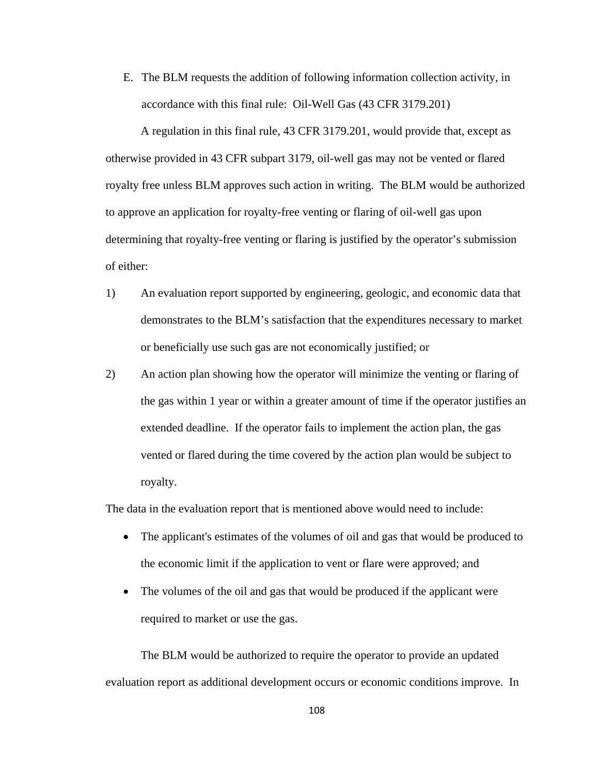E. The BLM requests the addition of following information collection activity, in accordance with this final rule: Oil-Well Gas (43 CFR 3179.201)

A regulation in this final rule, 43 CFR 3179.201, would provide that, except as otherwise provided in 43 CFR subpart 3179, oil-well gas may not be vented or flared royalty free unless BLM approves such action in writing. The BLM would be authorized to approve an application for royalty-free venting or flaring of oil-well gas upon determining that royalty-free venting or flaring is justified by the operator's submission of either:

- 1) An evaluation report supported by engineering, geologic, and economic data that demonstrates to the BLM's satisfaction that the expenditures necessary to market or beneficially use such gas are not economically justified; or
- 2) An action plan showing how the operator will minimize the venting or flaring of the gas within 1 year or within a greater amount of time if the operator justifies an extended deadline. If the operator fails to implement the action plan, the gas vented or flared during the time covered by the action plan would be subject to royalty.

The data in the evaluation report that is mentioned above would need to include:

- The applicant's estimates of the volumes of oil and gas that would be produced to the economic limit if the application to vent or flare were approved; and
- The volumes of the oil and gas that would be produced if the applicant were required to market or use the gas.

The BLM would be authorized to require the operator to provide an updated evaluation report as additional development occurs or economic conditions improve. In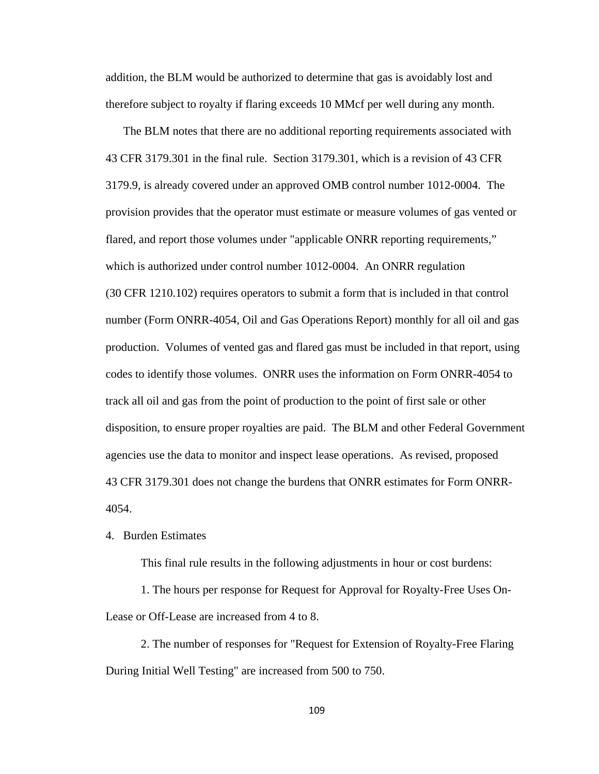addition, the BLM would be authorized to determine that gas is avoidably lost and therefore subject to royalty if flaring exceeds 10 MMcf per well during any month.

The BLM notes that there are no additional reporting requirements associated with 43 CFR 3179.301 in the final rule. Section 3179.301, which is a revision of 43 CFR 3179.9, is already covered under an approved OMB control number 1012-0004. The provision provides that the operator must estimate or measure volumes of gas vented or flared, and report those volumes under "applicable ONRR reporting requirements," which is authorized under control number 1012-0004. An ONRR regulation (30 CFR 1210.102) requires operators to submit a form that is included in that control number (Form ONRR-4054, Oil and Gas Operations Report) monthly for all oil and gas production. Volumes of vented gas and flared gas must be included in that report, using codes to identify those volumes. ONRR uses the information on Form ONRR-4054 to track all oil and gas from the point of production to the point of first sale or other disposition, to ensure proper royalties are paid. The BLM and other Federal Government agencies use the data to monitor and inspect lease operations. As revised, proposed 43 CFR 3179.301 does not change the burdens that ONRR estimates for Form ONRR-4054.

## 4. Burden Estimates

This final rule results in the following adjustments in hour or cost burdens:

1. The hours per response for Request for Approval for Royalty-Free Uses On-Lease or Off-Lease are increased from 4 to 8.

2. The number of responses for "Request for Extension of Royalty-Free Flaring During Initial Well Testing" are increased from 500 to 750.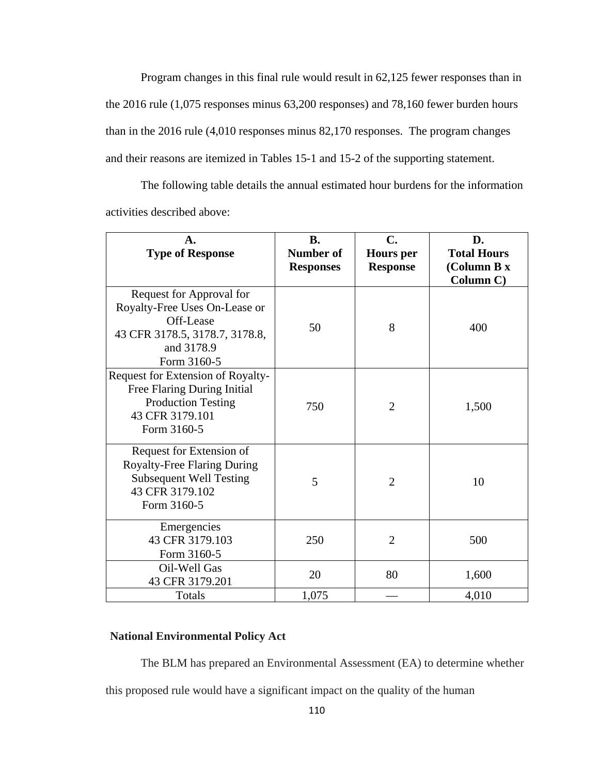Program changes in this final rule would result in 62,125 fewer responses than in the 2016 rule (1,075 responses minus 63,200 responses) and 78,160 fewer burden hours than in the 2016 rule (4,010 responses minus 82,170 responses. The program changes and their reasons are itemized in Tables 15-1 and 15-2 of the supporting statement.

The following table details the annual estimated hour burdens for the information activities described above:

| A.<br><b>Type of Response</b>                                                                                                         | <b>B.</b><br><b>Number of</b><br><b>Responses</b> | C.<br><b>Hours</b> per<br><b>Response</b> | D.<br><b>Total Hours</b><br>(Column B x<br>Column C) |
|---------------------------------------------------------------------------------------------------------------------------------------|---------------------------------------------------|-------------------------------------------|------------------------------------------------------|
| Request for Approval for<br>Royalty-Free Uses On-Lease or<br>Off-Lease<br>43 CFR 3178.5, 3178.7, 3178.8,<br>and 3178.9<br>Form 3160-5 | 50                                                | 8                                         | 400                                                  |
| Request for Extension of Royalty-<br>Free Flaring During Initial<br><b>Production Testing</b><br>43 CFR 3179.101<br>Form 3160-5       | 750                                               | $\overline{2}$                            | 1,500                                                |
| Request for Extension of<br><b>Royalty-Free Flaring During</b><br><b>Subsequent Well Testing</b><br>43 CFR 3179.102<br>Form 3160-5    | 5                                                 | $\overline{2}$                            | 10                                                   |
| Emergencies<br>43 CFR 3179.103<br>Form 3160-5                                                                                         | 250                                               | 2                                         | 500                                                  |
| Oil-Well Gas<br>43 CFR 3179.201                                                                                                       | 20                                                | 80                                        | 1,600                                                |
| Totals                                                                                                                                | 1,075                                             |                                           | 4,010                                                |

# **National Environmental Policy Act**

The BLM has prepared an Environmental Assessment (EA) to determine whether this proposed rule would have a significant impact on the quality of the human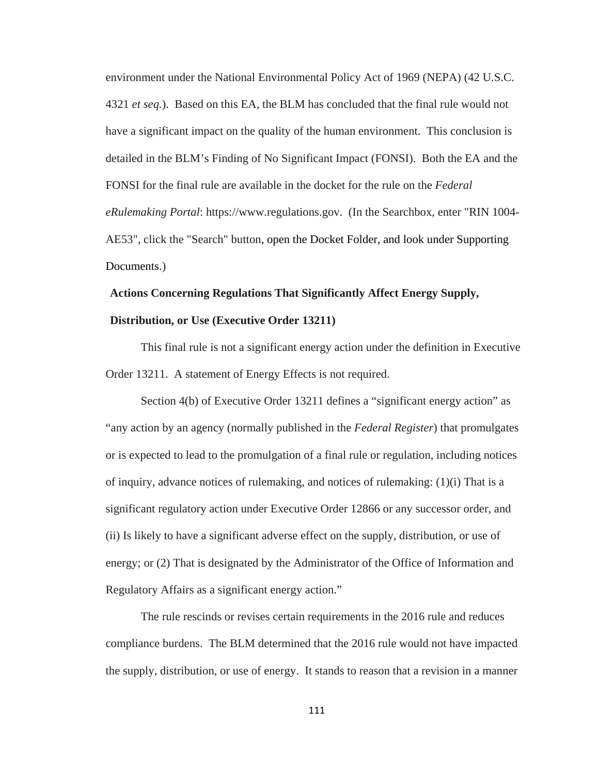environment under the National Environmental Policy Act of 1969 (NEPA) (42 U.S.C. 4321 *et seq.*). Based on this EA, the BLM has concluded that the final rule would not have a significant impact on the quality of the human environment. This conclusion is detailed in the BLM's Finding of No Significant Impact (FONSI). Both the EA and the FONSI for the final rule are available in the docket for the rule on the *Federal eRulemaking Portal*: https://www.regulations.gov. (In the Searchbox, enter "RIN 1004- AE53", click the "Search" button, open the Docket Folder, and look under Supporting Documents.)

# **Actions Concerning Regulations That Significantly Affect Energy Supply, Distribution, or Use (Executive Order 13211)**

This final rule is not a significant energy action under the definition in Executive Order 13211. A statement of Energy Effects is not required.

Section 4(b) of Executive Order 13211 defines a "significant energy action" as "any action by an agency (normally published in the *Federal Register*) that promulgates or is expected to lead to the promulgation of a final rule or regulation, including notices of inquiry, advance notices of rulemaking, and notices of rulemaking: (1)(i) That is a significant regulatory action under Executive Order 12866 or any successor order, and (ii) Is likely to have a significant adverse effect on the supply, distribution, or use of energy; or (2) That is designated by the Administrator of the Office of Information and Regulatory Affairs as a significant energy action."

 The rule rescinds or revises certain requirements in the 2016 rule and reduces compliance burdens. The BLM determined that the 2016 rule would not have impacted the supply, distribution, or use of energy. It stands to reason that a revision in a manner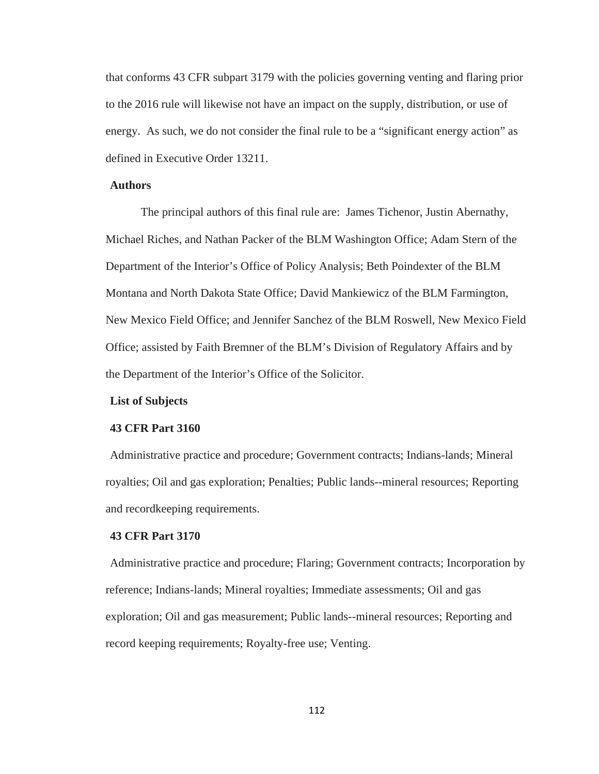that conforms 43 CFR subpart 3179 with the policies governing venting and flaring prior to the 2016 rule will likewise not have an impact on the supply, distribution, or use of energy. As such, we do not consider the final rule to be a "significant energy action" as defined in Executive Order 13211.

## **Authors**

The principal authors of this final rule are: James Tichenor, Justin Abernathy, Michael Riches, and Nathan Packer of the BLM Washington Office; Adam Stern of the Department of the Interior's Office of Policy Analysis; Beth Poindexter of the BLM Montana and North Dakota State Office; David Mankiewicz of the BLM Farmington, New Mexico Field Office; and Jennifer Sanchez of the BLM Roswell, New Mexico Field Office; assisted by Faith Bremner of the BLM's Division of Regulatory Affairs and by the Department of the Interior's Office of the Solicitor.

### **List of Subjects**

#### **43 CFR Part 3160**

Administrative practice and procedure; Government contracts; Indians-lands; Mineral royalties; Oil and gas exploration; Penalties; Public lands--mineral resources; Reporting and recordkeeping requirements.

# **43 CFR Part 3170**

Administrative practice and procedure; Flaring; Government contracts; Incorporation by reference; Indians-lands; Mineral royalties; Immediate assessments; Oil and gas exploration; Oil and gas measurement; Public lands--mineral resources; Reporting and record keeping requirements; Royalty-free use; Venting.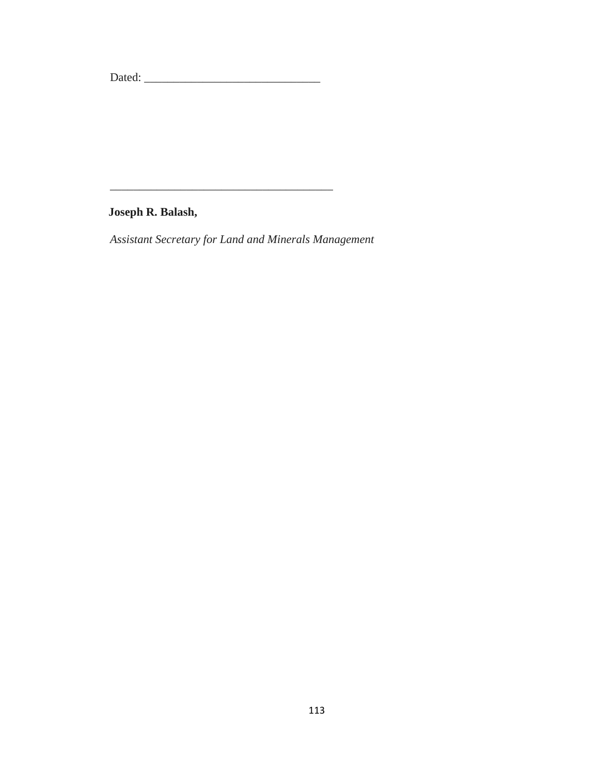Dated: \_\_\_\_\_\_\_\_\_\_\_\_\_\_\_\_\_\_\_\_\_\_\_\_\_\_\_\_\_\_

**Joseph R. Balash,**

*Assistant Secretary for Land and Minerals Management*

\_\_\_\_\_\_\_\_\_\_\_\_\_\_\_\_\_\_\_\_\_\_\_\_\_\_\_\_\_\_\_\_\_\_\_\_\_\_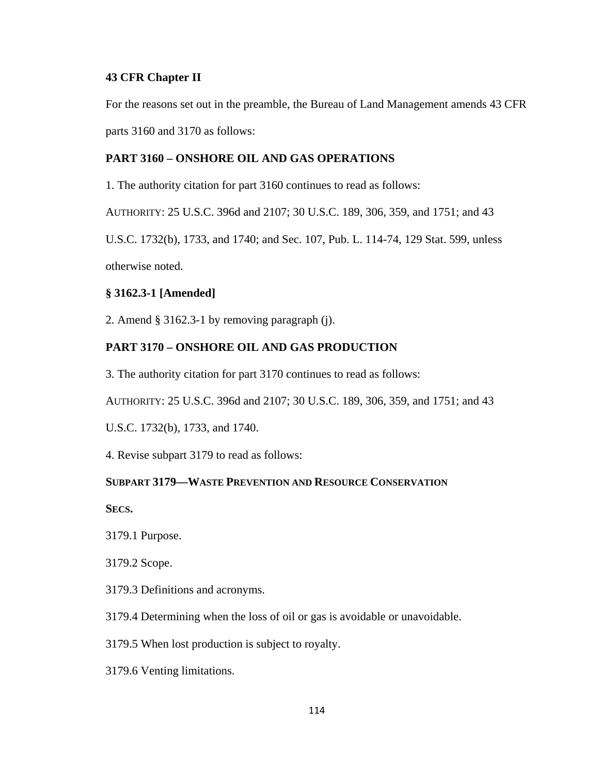# **43 CFR Chapter II**

For the reasons set out in the preamble, the Bureau of Land Management amends 43 CFR parts 3160 and 3170 as follows:

# **PART 3160 – ONSHORE OIL AND GAS OPERATIONS**

1. The authority citation for part 3160 continues to read as follows:

AUTHORITY: 25 U.S.C. 396d and 2107; 30 U.S.C. 189, 306, 359, and 1751; and 43

U.S.C. 1732(b), 1733, and 1740; and Sec. 107, Pub. L. 114-74, 129 Stat. 599, unless otherwise noted.

# **§ 3162.3-1 [Amended]**

2. Amend § 3162.3-1 by removing paragraph (j).

# **PART 3170 – ONSHORE OIL AND GAS PRODUCTION**

3. The authority citation for part 3170 continues to read as follows:

AUTHORITY: 25 U.S.C. 396d and 2107; 30 U.S.C. 189, 306, 359, and 1751; and 43

U.S.C. 1732(b), 1733, and 1740.

4. Revise subpart 3179 to read as follows:

# **SUBPART 3179—WASTE PREVENTION AND RESOURCE CONSERVATION**

**SECS.**

3179.1 Purpose.

3179.2 Scope.

3179.3 Definitions and acronyms.

3179.4 Determining when the loss of oil or gas is avoidable or unavoidable.

3179.5 When lost production is subject to royalty.

3179.6 Venting limitations.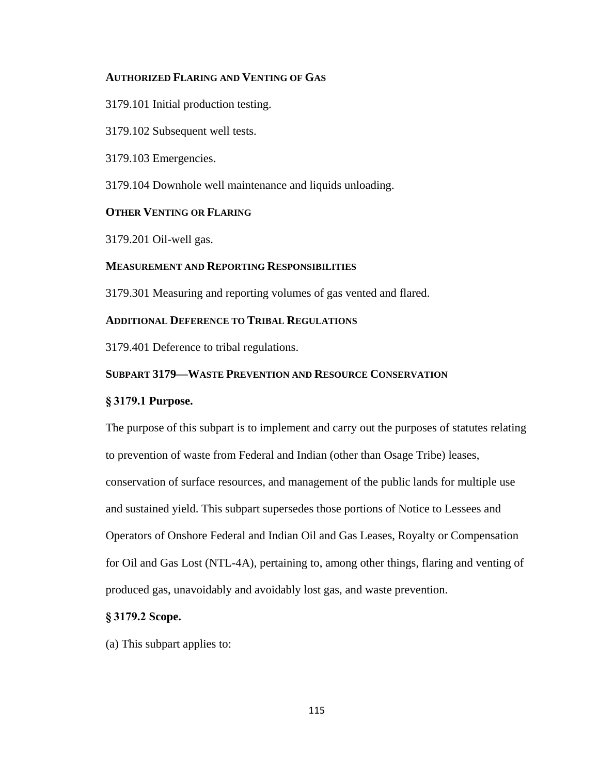# **AUTHORIZED FLARING AND VENTING OF GAS**

3179.101 Initial production testing.

3179.102 Subsequent well tests.

3179.103 Emergencies.

3179.104 Downhole well maintenance and liquids unloading.

# **OTHER VENTING OR FLARING**

3179.201 Oil-well gas.

# **MEASUREMENT AND REPORTING RESPONSIBILITIES**

3179.301 Measuring and reporting volumes of gas vented and flared.

# **ADDITIONAL DEFERENCE TO TRIBAL REGULATIONS**

3179.401 Deference to tribal regulations.

# **SUBPART 3179—WASTE PREVENTION AND RESOURCE CONSERVATION**

# **§ 3179.1 Purpose.**

The purpose of this subpart is to implement and carry out the purposes of statutes relating to prevention of waste from Federal and Indian (other than Osage Tribe) leases, conservation of surface resources, and management of the public lands for multiple use and sustained yield. This subpart supersedes those portions of Notice to Lessees and Operators of Onshore Federal and Indian Oil and Gas Leases, Royalty or Compensation for Oil and Gas Lost (NTL-4A), pertaining to, among other things, flaring and venting of produced gas, unavoidably and avoidably lost gas, and waste prevention.

# **§ 3179.2 Scope.**

(a) This subpart applies to: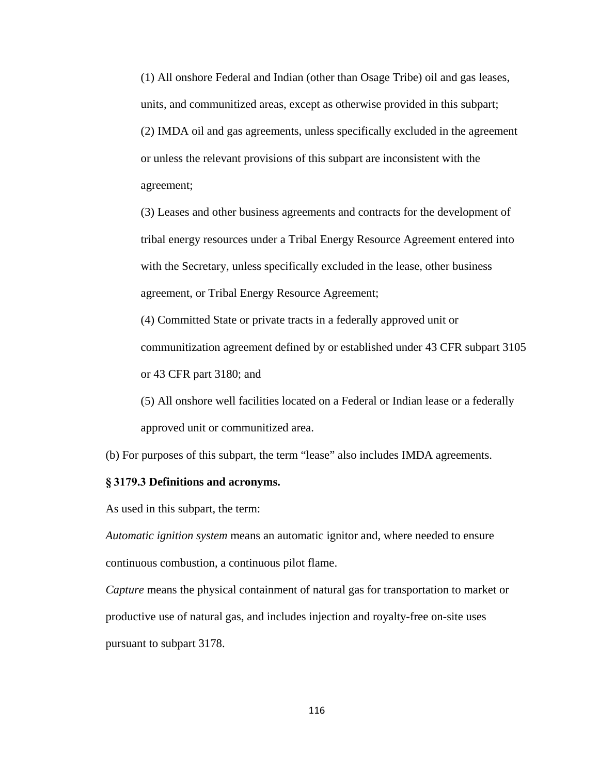(1) All onshore Federal and Indian (other than Osage Tribe) oil and gas leases, units, and communitized areas, except as otherwise provided in this subpart; (2) IMDA oil and gas agreements, unless specifically excluded in the agreement or unless the relevant provisions of this subpart are inconsistent with the agreement;

(3) Leases and other business agreements and contracts for the development of tribal energy resources under a Tribal Energy Resource Agreement entered into with the Secretary, unless specifically excluded in the lease, other business agreement, or Tribal Energy Resource Agreement;

(4) Committed State or private tracts in a federally approved unit or communitization agreement defined by or established under 43 CFR subpart 3105 or 43 CFR part 3180; and

(5) All onshore well facilities located on a Federal or Indian lease or a federally approved unit or communitized area.

(b) For purposes of this subpart, the term "lease" also includes IMDA agreements.

#### **§ 3179.3 Definitions and acronyms.**

As used in this subpart, the term:

*Automatic ignition system* means an automatic ignitor and, where needed to ensure continuous combustion, a continuous pilot flame.

*Capture* means the physical containment of natural gas for transportation to market or productive use of natural gas, and includes injection and royalty-free on-site uses pursuant to subpart 3178.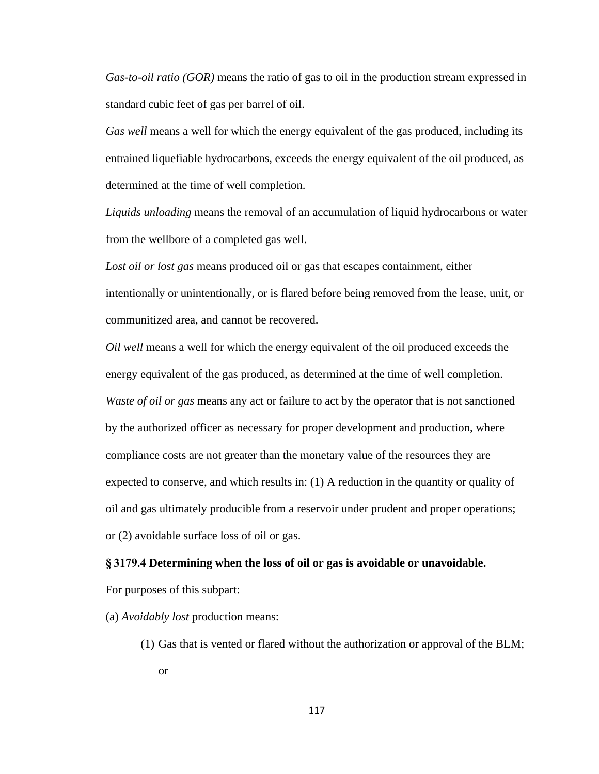*Gas-to-oil ratio (GOR)* means the ratio of gas to oil in the production stream expressed in standard cubic feet of gas per barrel of oil.

*Gas well* means a well for which the energy equivalent of the gas produced, including its entrained liquefiable hydrocarbons, exceeds the energy equivalent of the oil produced, as determined at the time of well completion.

*Liquids unloading* means the removal of an accumulation of liquid hydrocarbons or water from the wellbore of a completed gas well.

*Lost oil or lost gas* means produced oil or gas that escapes containment, either intentionally or unintentionally, or is flared before being removed from the lease, unit, or communitized area, and cannot be recovered.

*Oil well* means a well for which the energy equivalent of the oil produced exceeds the energy equivalent of the gas produced, as determined at the time of well completion. *Waste of oil or gas* means any act or failure to act by the operator that is not sanctioned by the authorized officer as necessary for proper development and production, where compliance costs are not greater than the monetary value of the resources they are expected to conserve, and which results in: (1) A reduction in the quantity or quality of oil and gas ultimately producible from a reservoir under prudent and proper operations; or (2) avoidable surface loss of oil or gas.

# **§ 3179.4 Determining when the loss of oil or gas is avoidable or unavoidable.**

For purposes of this subpart:

(a) *Avoidably lost* production means:

(1) Gas that is vented or flared without the authorization or approval of the BLM; or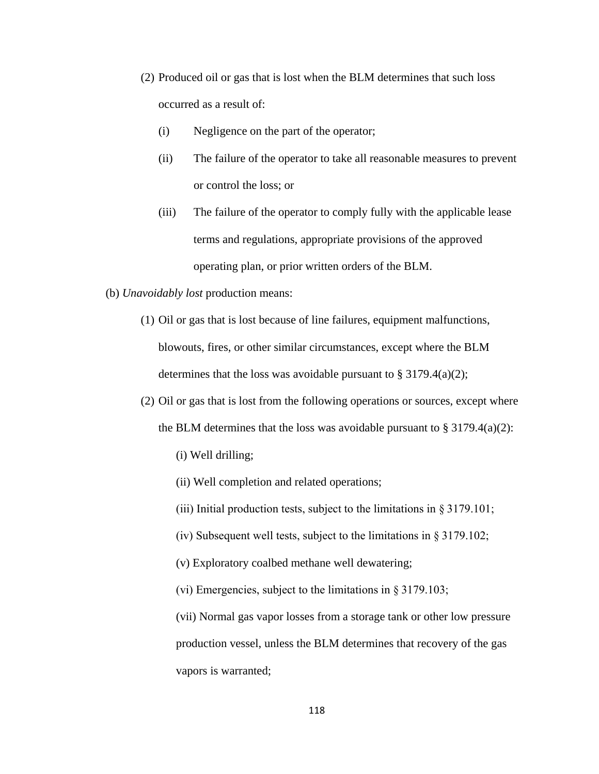- (2) Produced oil or gas that is lost when the BLM determines that such loss occurred as a result of:
	- (i) Negligence on the part of the operator;
	- (ii) The failure of the operator to take all reasonable measures to prevent or control the loss; or
	- (iii) The failure of the operator to comply fully with the applicable lease terms and regulations, appropriate provisions of the approved operating plan, or prior written orders of the BLM.
- (b) *Unavoidably lost* production means:
	- (1) Oil or gas that is lost because of line failures, equipment malfunctions, blowouts, fires, or other similar circumstances, except where the BLM determines that the loss was avoidable pursuant to  $\S 3179.4(a)(2)$ ;
	- (2) Oil or gas that is lost from the following operations or sources, except where
		- the BLM determines that the loss was avoidable pursuant to  $\S 3179.4(a)(2)$ :
			- (i) Well drilling;
			- (ii) Well completion and related operations;
			- (iii) Initial production tests, subject to the limitations in § 3179.101;
			- (iv) Subsequent well tests, subject to the limitations in  $\S 3179.102$ ;
			- (v) Exploratory coalbed methane well dewatering;
			- (vi) Emergencies, subject to the limitations in § 3179.103;

(vii) Normal gas vapor losses from a storage tank or other low pressure production vessel, unless the BLM determines that recovery of the gas vapors is warranted;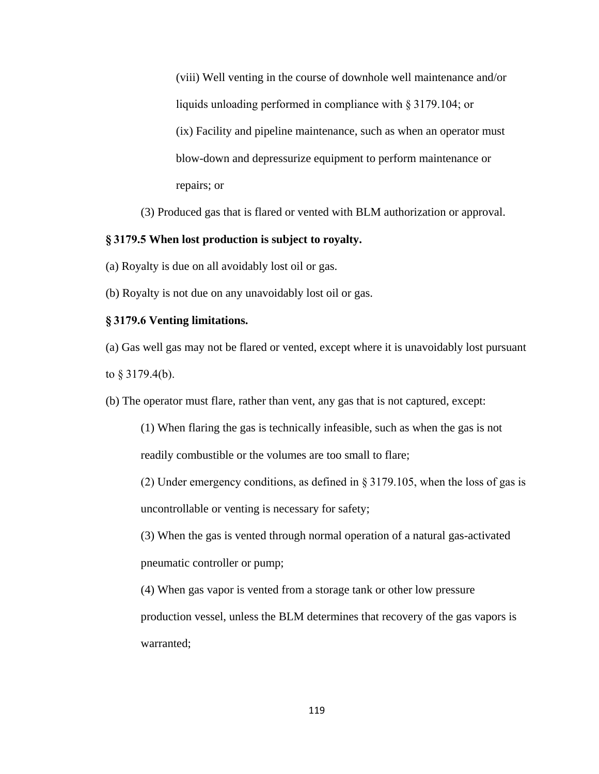(viii) Well venting in the course of downhole well maintenance and/or liquids unloading performed in compliance with § 3179.104; or (ix) Facility and pipeline maintenance, such as when an operator must blow-down and depressurize equipment to perform maintenance or repairs; or

(3) Produced gas that is flared or vented with BLM authorization or approval.

# **§ 3179.5 When lost production is subject to royalty.**

(a) Royalty is due on all avoidably lost oil or gas.

(b) Royalty is not due on any unavoidably lost oil or gas.

### **§ 3179.6 Venting limitations.**

(a) Gas well gas may not be flared or vented, except where it is unavoidably lost pursuant to § 3179.4(b).

(b) The operator must flare, rather than vent, any gas that is not captured, except:

(1) When flaring the gas is technically infeasible, such as when the gas is not readily combustible or the volumes are too small to flare;

(2) Under emergency conditions, as defined in § 3179.105, when the loss of gas is uncontrollable or venting is necessary for safety;

(3) When the gas is vented through normal operation of a natural gas-activated pneumatic controller or pump;

(4) When gas vapor is vented from a storage tank or other low pressure production vessel, unless the BLM determines that recovery of the gas vapors is warranted;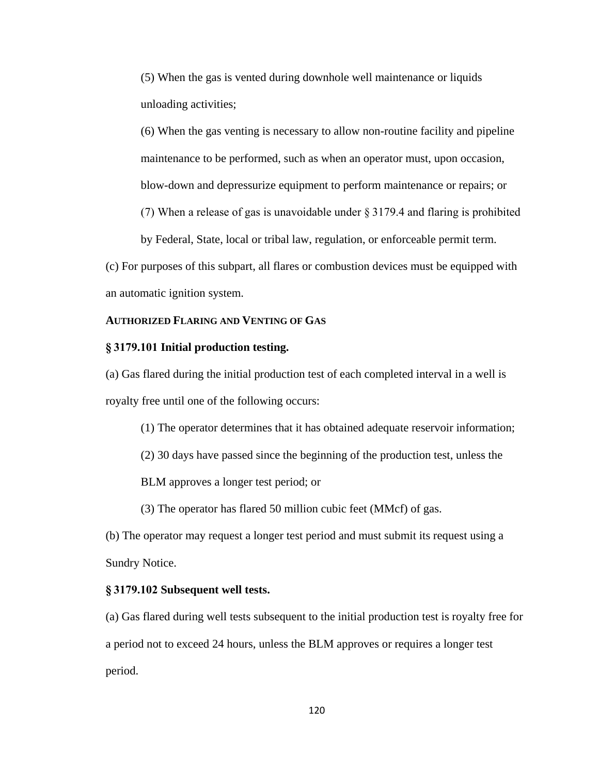(5) When the gas is vented during downhole well maintenance or liquids unloading activities;

(6) When the gas venting is necessary to allow non-routine facility and pipeline maintenance to be performed, such as when an operator must, upon occasion, blow-down and depressurize equipment to perform maintenance or repairs; or

(7) When a release of gas is unavoidable under § 3179.4 and flaring is prohibited

by Federal, State, local or tribal law, regulation, or enforceable permit term.

(c) For purposes of this subpart, all flares or combustion devices must be equipped with an automatic ignition system.

## **AUTHORIZED FLARING AND VENTING OF GAS**

# **§ 3179.101 Initial production testing.**

(a) Gas flared during the initial production test of each completed interval in a well is royalty free until one of the following occurs:

(1) The operator determines that it has obtained adequate reservoir information;

(2) 30 days have passed since the beginning of the production test, unless the

BLM approves a longer test period; or

(3) The operator has flared 50 million cubic feet (MMcf) of gas.

(b) The operator may request a longer test period and must submit its request using a Sundry Notice.

#### **§ 3179.102 Subsequent well tests.**

(a) Gas flared during well tests subsequent to the initial production test is royalty free for a period not to exceed 24 hours, unless the BLM approves or requires a longer test period.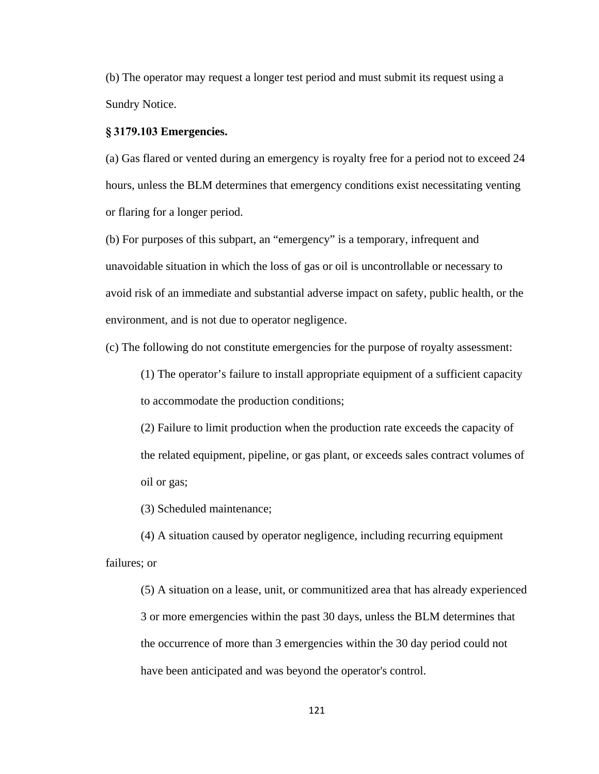(b) The operator may request a longer test period and must submit its request using a Sundry Notice.

### **§ 3179.103 Emergencies.**

(a) Gas flared or vented during an emergency is royalty free for a period not to exceed 24 hours, unless the BLM determines that emergency conditions exist necessitating venting or flaring for a longer period.

(b) For purposes of this subpart, an "emergency" is a temporary, infrequent and unavoidable situation in which the loss of gas or oil is uncontrollable or necessary to avoid risk of an immediate and substantial adverse impact on safety, public health, or the environment, and is not due to operator negligence.

(c) The following do not constitute emergencies for the purpose of royalty assessment:

(1) The operator's failure to install appropriate equipment of a sufficient capacity to accommodate the production conditions;

(2) Failure to limit production when the production rate exceeds the capacity of the related equipment, pipeline, or gas plant, or exceeds sales contract volumes of oil or gas;

(3) Scheduled maintenance;

(4) A situation caused by operator negligence, including recurring equipment failures; or

(5) A situation on a lease, unit, or communitized area that has already experienced 3 or more emergencies within the past 30 days, unless the BLM determines that the occurrence of more than 3 emergencies within the 30 day period could not have been anticipated and was beyond the operator's control.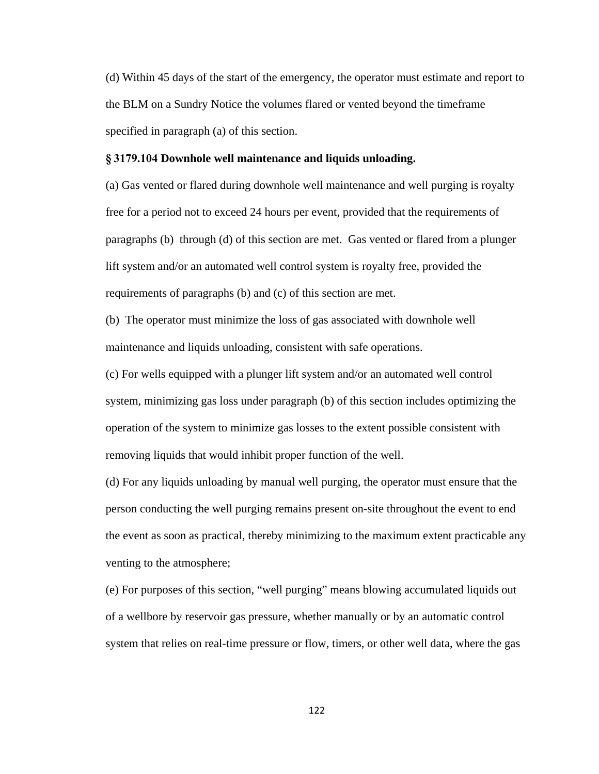(d) Within 45 days of the start of the emergency, the operator must estimate and report to the BLM on a Sundry Notice the volumes flared or vented beyond the timeframe specified in paragraph (a) of this section.

#### **§ 3179.104 Downhole well maintenance and liquids unloading.**

(a) Gas vented or flared during downhole well maintenance and well purging is royalty free for a period not to exceed 24 hours per event, provided that the requirements of paragraphs (b) through (d) of this section are met. Gas vented or flared from a plunger lift system and/or an automated well control system is royalty free, provided the requirements of paragraphs (b) and (c) of this section are met.

(b) The operator must minimize the loss of gas associated with downhole well maintenance and liquids unloading, consistent with safe operations.

(c) For wells equipped with a plunger lift system and/or an automated well control system, minimizing gas loss under paragraph (b) of this section includes optimizing the operation of the system to minimize gas losses to the extent possible consistent with removing liquids that would inhibit proper function of the well.

(d) For any liquids unloading by manual well purging, the operator must ensure that the person conducting the well purging remains present on-site throughout the event to end the event as soon as practical, thereby minimizing to the maximum extent practicable any venting to the atmosphere;

(e) For purposes of this section, "well purging" means blowing accumulated liquids out of a wellbore by reservoir gas pressure, whether manually or by an automatic control system that relies on real-time pressure or flow, timers, or other well data, where the gas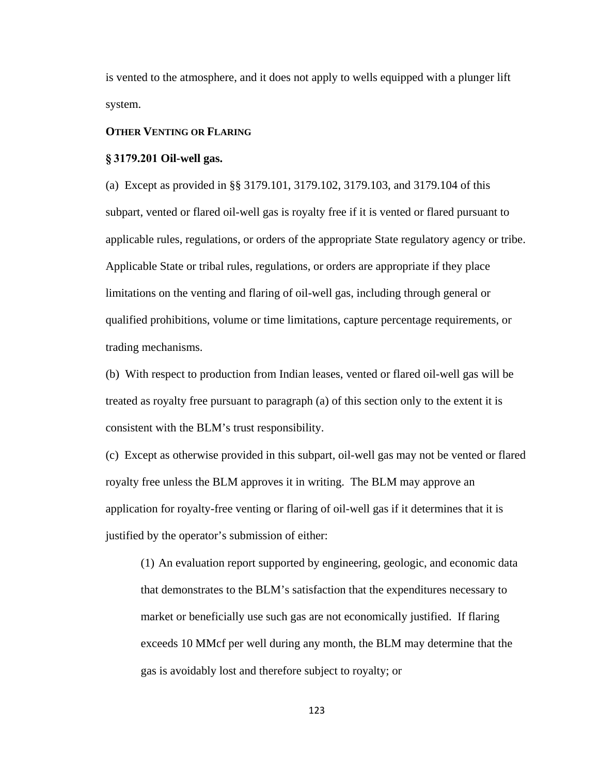is vented to the atmosphere, and it does not apply to wells equipped with a plunger lift system.

## **OTHER VENTING OR FLARING**

#### **§ 3179.201 Oil-well gas.**

(a) Except as provided in §§ 3179.101, 3179.102, 3179.103, and 3179.104 of this subpart, vented or flared oil-well gas is royalty free if it is vented or flared pursuant to applicable rules, regulations, or orders of the appropriate State regulatory agency or tribe. Applicable State or tribal rules, regulations, or orders are appropriate if they place limitations on the venting and flaring of oil-well gas, including through general or qualified prohibitions, volume or time limitations, capture percentage requirements, or trading mechanisms.

(b) With respect to production from Indian leases, vented or flared oil-well gas will be treated as royalty free pursuant to paragraph (a) of this section only to the extent it is consistent with the BLM's trust responsibility.

(c) Except as otherwise provided in this subpart, oil-well gas may not be vented or flared royalty free unless the BLM approves it in writing. The BLM may approve an application for royalty-free venting or flaring of oil-well gas if it determines that it is justified by the operator's submission of either:

(1) An evaluation report supported by engineering, geologic, and economic data that demonstrates to the BLM's satisfaction that the expenditures necessary to market or beneficially use such gas are not economically justified. If flaring exceeds 10 MMcf per well during any month, the BLM may determine that the gas is avoidably lost and therefore subject to royalty; or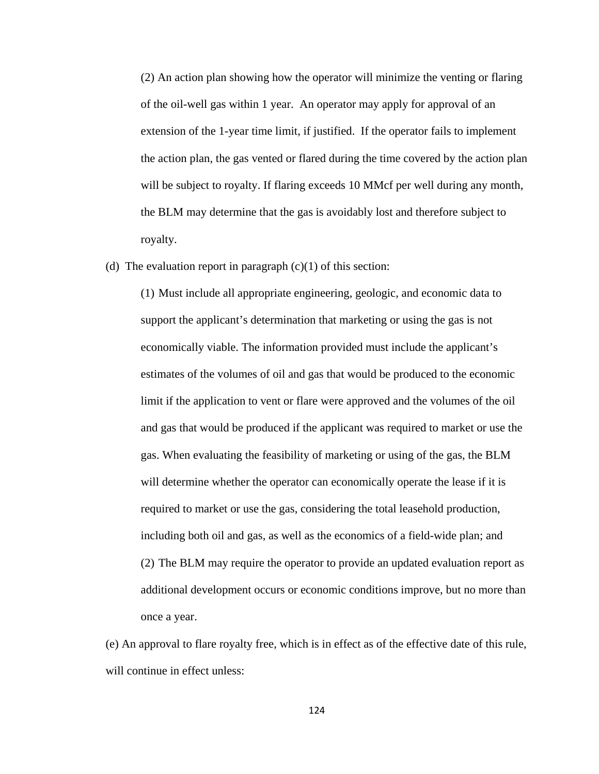(2) An action plan showing how the operator will minimize the venting or flaring of the oil-well gas within 1 year. An operator may apply for approval of an extension of the 1-year time limit, if justified. If the operator fails to implement the action plan, the gas vented or flared during the time covered by the action plan will be subject to royalty. If flaring exceeds 10 MMcf per well during any month, the BLM may determine that the gas is avoidably lost and therefore subject to royalty.

(d) The evaluation report in paragraph  $(c)(1)$  of this section:

(1) Must include all appropriate engineering, geologic, and economic data to support the applicant's determination that marketing or using the gas is not economically viable. The information provided must include the applicant's estimates of the volumes of oil and gas that would be produced to the economic limit if the application to vent or flare were approved and the volumes of the oil and gas that would be produced if the applicant was required to market or use the gas. When evaluating the feasibility of marketing or using of the gas, the BLM will determine whether the operator can economically operate the lease if it is required to market or use the gas, considering the total leasehold production, including both oil and gas, as well as the economics of a field-wide plan; and (2) The BLM may require the operator to provide an updated evaluation report as additional development occurs or economic conditions improve, but no more than once a year.

(e) An approval to flare royalty free, which is in effect as of the effective date of this rule, will continue in effect unless:

124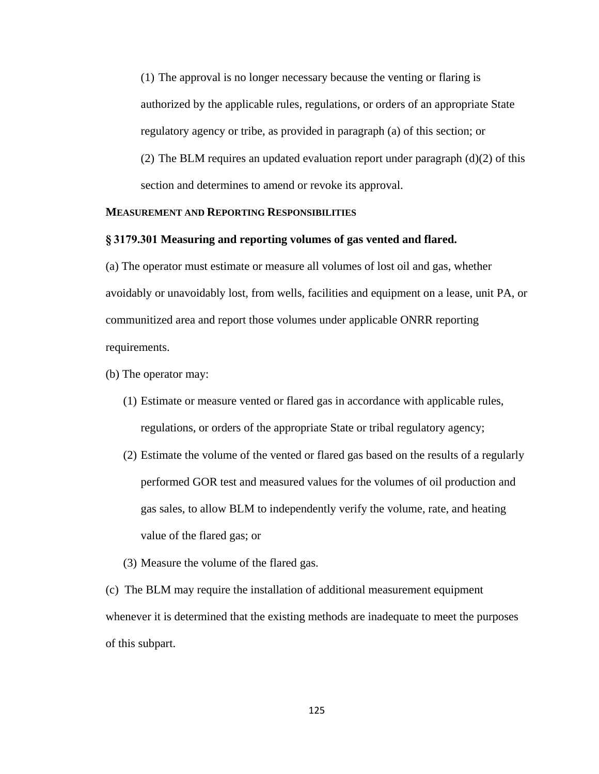(1) The approval is no longer necessary because the venting or flaring is authorized by the applicable rules, regulations, or orders of an appropriate State regulatory agency or tribe, as provided in paragraph (a) of this section; or

(2) The BLM requires an updated evaluation report under paragraph (d)(2) of this section and determines to amend or revoke its approval.

# **MEASUREMENT AND REPORTING RESPONSIBILITIES**

## **§ 3179.301 Measuring and reporting volumes of gas vented and flared.**

(a) The operator must estimate or measure all volumes of lost oil and gas, whether avoidably or unavoidably lost, from wells, facilities and equipment on a lease, unit PA, or communitized area and report those volumes under applicable ONRR reporting requirements.

- (b) The operator may:
	- (1) Estimate or measure vented or flared gas in accordance with applicable rules, regulations, or orders of the appropriate State or tribal regulatory agency;
	- (2) Estimate the volume of the vented or flared gas based on the results of a regularly performed GOR test and measured values for the volumes of oil production and gas sales, to allow BLM to independently verify the volume, rate, and heating value of the flared gas; or
	- (3) Measure the volume of the flared gas.

(c) The BLM may require the installation of additional measurement equipment whenever it is determined that the existing methods are inadequate to meet the purposes of this subpart.